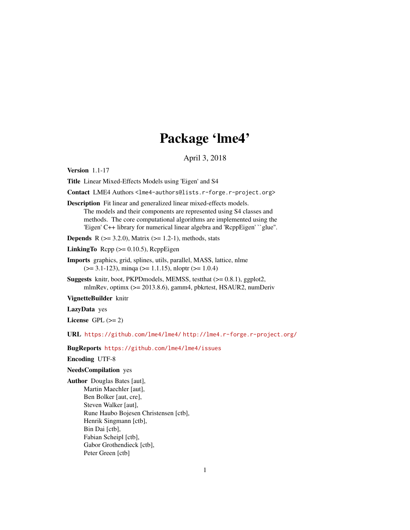# Package 'lme4'

April 3, 2018

<span id="page-0-0"></span>Version 1.1-17

Title Linear Mixed-Effects Models using 'Eigen' and S4

Contact LME4 Authors <lme4-authors@lists.r-forge.r-project.org>

Description Fit linear and generalized linear mixed-effects models. The models and their components are represented using S4 classes and methods. The core computational algorithms are implemented using the 'Eigen' C++ library for numerical linear algebra and 'RcppEigen' ``glue''.

**Depends** R  $(>= 3.2.0)$ , Matrix  $(>= 1.2-1)$ , methods, stats

LinkingTo  $\text{Rcpp} (> = 0.10.5)$ ,  $\text{RcppEigen}$ 

Imports graphics, grid, splines, utils, parallel, MASS, lattice, nlme  $(>= 3.1 - 123)$ , minqa  $(>= 1.1.15)$ , nloptr  $(>= 1.0.4)$ 

Suggests knitr, boot, PKPDmodels, MEMSS, testthat (>= 0.8.1), ggplot2, mlmRev, optimx (>= 2013.8.6), gamm4, pbkrtest, HSAUR2, numDeriv

VignetteBuilder knitr

LazyData yes

License GPL  $(>= 2)$ 

URL <https://github.com/lme4/lme4/> <http://lme4.r-forge.r-project.org/>

BugReports <https://github.com/lme4/lme4/issues>

Encoding UTF-8

# NeedsCompilation yes

Author Douglas Bates [aut], Martin Maechler [aut], Ben Bolker [aut, cre], Steven Walker [aut], Rune Haubo Bojesen Christensen [ctb], Henrik Singmann [ctb], Bin Dai [ctb], Fabian Scheipl [ctb], Gabor Grothendieck [ctb], Peter Green [ctb]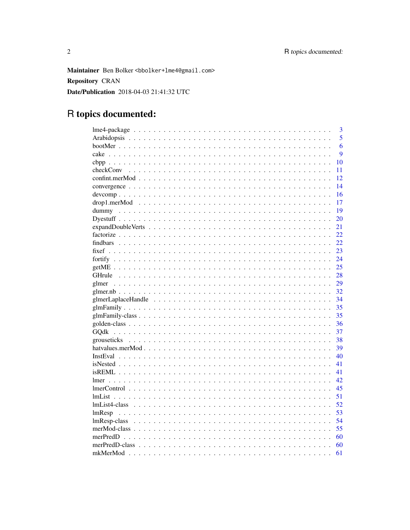Maintainer Ben Bolker <bbolker+lme4@gmail.com> **Repository CRAN** Date/Publication 2018-04-03 21:41:32 UTC

# R topics documented:

| 3               |
|-----------------|
| 5               |
| 6               |
| 9               |
| 10              |
| checkConv<br>11 |
| 12              |
| 14              |
| 16              |
| 17              |
| 19              |
| 20              |
| 21              |
| 22              |
| 22              |
| 23              |
| 24              |
| 25              |
| 28              |
| 29              |
| 32              |
| 34              |
| 35              |
| 35              |
| 36              |
| 37              |
| 38              |
| 39              |
| 40              |
| 41              |
| 41              |
| 42              |
| 45              |
| 51              |
| 52              |
| 53<br>lmResp    |
| 54              |
| 55              |
| 60              |
|                 |
| 60              |
| 61              |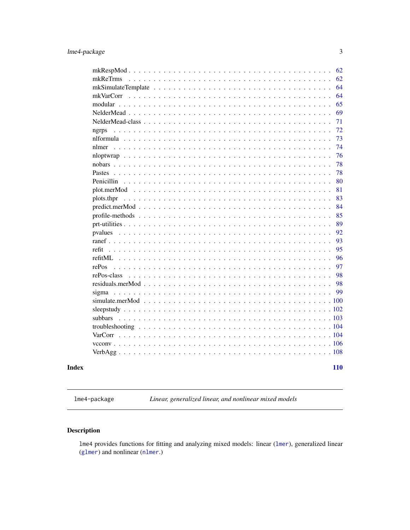<span id="page-2-0"></span>

|                                                                                                      | 62         |
|------------------------------------------------------------------------------------------------------|------------|
| mkReTrms                                                                                             | 62         |
|                                                                                                      | 64         |
| mkVarCorr                                                                                            | 64         |
|                                                                                                      | 65         |
|                                                                                                      | 69         |
|                                                                                                      | 71         |
| ngrps                                                                                                | 72         |
|                                                                                                      | 73         |
|                                                                                                      | 74         |
| nloptwrap                                                                                            | 76         |
|                                                                                                      | 78         |
| <b>Pastes</b>                                                                                        | 78         |
| Penicillin                                                                                           | 80         |
|                                                                                                      | 81         |
| plots.thpr                                                                                           | 83         |
| $predict.merMod \dots \dots \dots \dots \dots \dots \dots \dots \dots \dots \dots \dots \dots \dots$ | 84         |
|                                                                                                      | 85         |
|                                                                                                      | 89         |
| pvalues                                                                                              | 92         |
|                                                                                                      | 93         |
| refit                                                                                                | 95         |
|                                                                                                      | 96         |
| rePos                                                                                                | 97         |
| rePos-class                                                                                          | 98         |
|                                                                                                      | 98         |
|                                                                                                      | 99         |
|                                                                                                      | .100       |
|                                                                                                      | .102       |
|                                                                                                      |            |
|                                                                                                      |            |
| VarCorr                                                                                              |            |
|                                                                                                      |            |
|                                                                                                      |            |
|                                                                                                      |            |
|                                                                                                      | <b>110</b> |

# **Index**

lme4-package

Linear, generalized linear, and nonlinear mixed models

# **Description**

lme4 provides functions for fitting and analyzing mixed models: linear (lmer), generalized linear  $(glmer)$  and nonlinear  $(nlmer.)$ 

 $\overline{3}$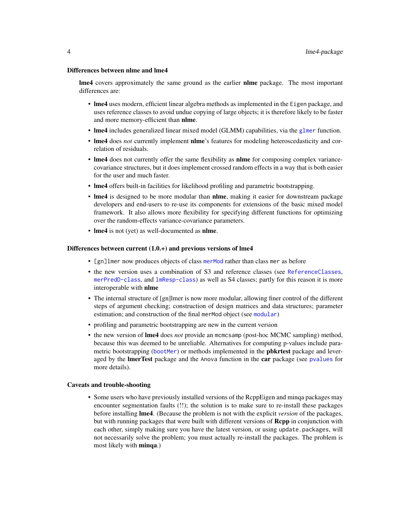#### Differences between nlme and lme4

**lme4** covers approximately the same ground as the earlier **nime** package. The most important differences are:

- lme4 uses modern, efficient linear algebra methods as implemented in the Eigen package, and uses reference classes to avoid undue copying of large objects; it is therefore likely to be faster and more memory-efficient than nlme.
- **lme4** includes generalized linear mixed model (GLMM) capabilities, via the [glmer](#page-28-1) function.
- lme4 does *not* currently implement nlme's features for modeling heteroscedasticity and correlation of residuals.
- lme4 does not currently offer the same flexibility as **nlme** for composing complex variancecovariance structures, but it does implement crossed random effects in a way that is both easier for the user and much faster.
- lme4 offers built-in facilities for likelihood profiling and parametric bootstrapping.
- lme4 is designed to be more modular than **nlme**, making it easier for downstream package developers and end-users to re-use its components for extensions of the basic mixed model framework. It also allows more flexibility for specifying different functions for optimizing over the random-effects variance-covariance parameters.
- lme4 is not (yet) as well-documented as nlme.

## Differences between current (1.0.+) and previous versions of lme4

- [gn]lmer now produces objects of class [merMod](#page-54-1) rather than class mer as before
- the new version uses a combination of S3 and reference classes (see [ReferenceClasses](#page-0-0), [merPredD-class](#page-59-1), and [lmResp-class](#page-53-1)) as well as S4 classes; partly for this reason it is more interoperable with nlme
- The internal structure of [gn]lmer is now more modular, allowing finer control of the different steps of argument checking; construction of design matrices and data structures; parameter estimation; and construction of the final merMod object (see [modular](#page-64-1))
- profiling and parametric bootstrapping are new in the current version
- the new version of lme4 does *not* provide an mcmcsamp (post-hoc MCMC sampling) method, because this was deemed to be unreliable. Alternatives for computing p-values include parametric bootstrapping ([bootMer](#page-5-1)) or methods implemented in the **pbkrtest** package and leveraged by the **ImerTest** package and the Anova function in the **car** package (see [pvalues](#page-91-1) for more details).

#### Caveats and trouble-shooting

• Some users who have previously installed versions of the RcppEigen and minqa packages may encounter segmentation faults (!!); the solution is to make sure to re-install these packages before installing lme4. (Because the problem is not with the explicit *version* of the packages, but with running packages that were built with different versions of Rcpp in conjunction with each other, simply making sure you have the latest version, or using update.packages, will not necessarily solve the problem; you must actually re-install the packages. The problem is most likely with minqa.)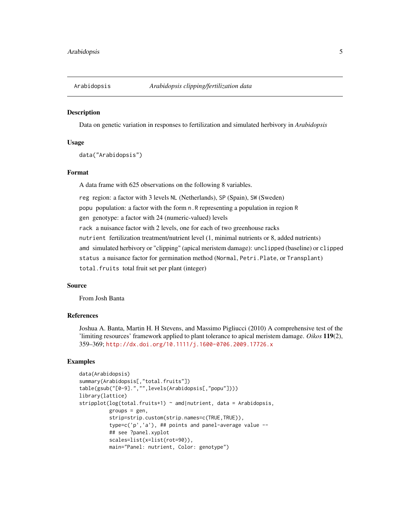<span id="page-4-0"></span>

#### **Description**

Data on genetic variation in responses to fertilization and simulated herbivory in *Arabidopsis*

## Usage

data("Arabidopsis")

# Format

A data frame with 625 observations on the following 8 variables.

reg region: a factor with 3 levels NL (Netherlands), SP (Spain), SW (Sweden)

popu population: a factor with the form n.R representing a population in region R

gen genotype: a factor with 24 (numeric-valued) levels

rack a nuisance factor with 2 levels, one for each of two greenhouse racks

nutrient fertilization treatment/nutrient level (1, minimal nutrients or 8, added nutrients)

amd simulated herbivory or "clipping" (apical meristem damage): unclipped (baseline) or clipped

status a nuisance factor for germination method (Normal, Petri.Plate, or Transplant)

total.fruits total fruit set per plant (integer)

#### Source

From Josh Banta

## References

Joshua A. Banta, Martin H. H Stevens, and Massimo Pigliucci (2010) A comprehensive test of the 'limiting resources' framework applied to plant tolerance to apical meristem damage. *Oikos* 119(2), 359–369; <http://dx.doi.org/10.1111/j.1600-0706.2009.17726.x>

```
data(Arabidopsis)
summary(Arabidopsis[,"total.fruits"])
table(gsub("[0-9].","",levels(Arabidopsis[,"popu"])))
library(lattice)
stripplot(log(total.fruits+1) ~ amd|nutrient, data = Arabidopsis,
          groups = gen,
          strip=strip.custom(strip.names=c(TRUE,TRUE)),
          type=c('p','a'), ## points and panel-average value --
          ## see ?panel.xyplot
          scales=list(x=list(rot=90)),
          main="Panel: nutrient, Color: genotype")
```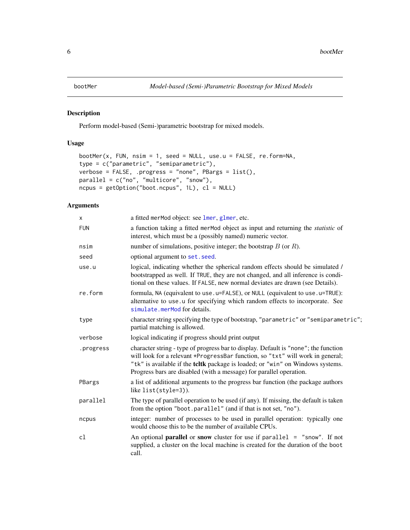<span id="page-5-1"></span><span id="page-5-0"></span>

# Description

Perform model-based (Semi-)parametric bootstrap for mixed models.

# Usage

```
bootMer(x, FUN, nsim = 1, seed = NULL, use.u = FALSE, re.form=NA,
type = c("parametric", "semiparametric"),
verbose = FALSE, .progress = "none", PBargs = list(),
parallel = c("no", "multicore", "snow"),
ncpus = getOption("boot.ncpus", 1L), cl = NULL)
```
# Arguments

| X         | a fitted merMod object: see lmer, glmer, etc.                                                                                                                                                                                                                                                                                  |
|-----------|--------------------------------------------------------------------------------------------------------------------------------------------------------------------------------------------------------------------------------------------------------------------------------------------------------------------------------|
| FUN       | a function taking a fitted merMod object as input and returning the <i>statistic</i> of<br>interest, which must be a (possibly named) numeric vector.                                                                                                                                                                          |
| nsim      | number of simulations, positive integer; the bootstrap $B$ (or $R$ ).                                                                                                                                                                                                                                                          |
| seed      | optional argument to set. seed.                                                                                                                                                                                                                                                                                                |
| use.u     | logical, indicating whether the spherical random effects should be simulated /<br>bootstrapped as well. If TRUE, they are not changed, and all inference is condi-<br>tional on these values. If FALSE, new normal deviates are drawn (see Details).                                                                           |
| re.form   | formula, NA (equivalent to use.u=FALSE), or NULL (equivalent to use.u=TRUE):<br>alternative to use u for specifying which random effects to incorporate. See<br>simulate.merMod for details.                                                                                                                                   |
| type      | character string specifying the type of bootstrap, "parametric" or "semiparametric";<br>partial matching is allowed.                                                                                                                                                                                                           |
| verbose   | logical indicating if progress should print output                                                                                                                                                                                                                                                                             |
| .progress | character string - type of progress bar to display. Default is "none"; the function<br>will look for a relevant *ProgressBar function, so "txt" will work in general;<br>"tk" is available if the tcltk package is loaded; or "win" on Windows systems.<br>Progress bars are disabled (with a message) for parallel operation. |
| PBargs    | a list of additional arguments to the progress bar function (the package authors<br>like list(style=3)).                                                                                                                                                                                                                       |
| parallel  | The type of parallel operation to be used (if any). If missing, the default is taken<br>from the option "boot.parallel" (and if that is not set, "no").                                                                                                                                                                        |
| ncpus     | integer: number of processes to be used in parallel operation: typically one<br>would choose this to be the number of available CPUs.                                                                                                                                                                                          |
| cl        | An optional <b>parallel</b> or snow cluster for use if $parallel = "snow".$ If not<br>supplied, a cluster on the local machine is created for the duration of the boot<br>call.                                                                                                                                                |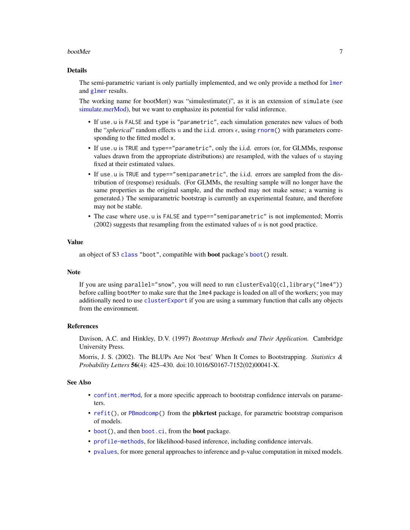#### bootMer 7

#### Details

The semi-parametric variant is only partially implemented, and we only provide a method for [lmer](#page-41-1) and [glmer](#page-28-1) results.

The working name for bootMer() was "simulestimate()", as it is an extension of simulate (see [simulate.merMod\)](#page-99-1), but we want to emphasize its potential for valid inference.

- If use.u is FALSE and type is "parametric", each simulation generates new values of both the "*spherical*" random effects u and the i.i.d. errors  $\epsilon$ , using **[rnorm\(](#page-0-0))** with parameters corresponding to the fitted model x.
- If use.u is TRUE and type=="parametric", only the i.i.d. errors (or, for GLMMs, response values drawn from the appropriate distributions) are resampled, with the values of  $u$  staying fixed at their estimated values.
- If use.u is TRUE and type=="semiparametric", the i.i.d. errors are sampled from the distribution of (response) residuals. (For GLMMs, the resulting sample will no longer have the same properties as the original sample, and the method may not make sense; a warning is generated.) The semiparametric bootstrap is currently an experimental feature, and therefore may not be stable.
- The case where use.u is FALSE and type=="semiparametric" is not implemented; Morris  $(2002)$  suggests that resampling from the estimated values of  $u$  is not good practice.

# Value

an object of S3 [class](#page-0-0) "boot", compatible with **boot** package's [boot\(](#page-0-0)) result.

#### **Note**

If you are using parallel="snow", you will need to run clusterEval $O(cl, library('lme4''))$ before calling bootMer to make sure that the lme4 package is loaded on all of the workers; you may additionally need to use [clusterExport](#page-0-0) if you are using a summary function that calls any objects from the environment.

## References

Davison, A.C. and Hinkley, D.V. (1997) *Bootstrap Methods and Their Application*. Cambridge University Press.

Morris, J. S. (2002). The BLUPs Are Not 'best' When It Comes to Bootstrapping. *Statistics & Probability Letters* 56(4): 425–430. doi:10.1016/S0167-7152(02)00041-X.

## See Also

- [confint.merMod](#page-11-1), for a more specific approach to bootstrap confidence intervals on parameters.
- [refit\(](#page-94-1)), or [PBmodcomp\(](#page-0-0)) from the **pbkrtest** package, for parametric bootstrap comparison of models.
- [boot\(](#page-0-0)), and then [boot.ci](#page-0-0), from the **boot** package.
- [profile-methods](#page-84-1), for likelihood-based inference, including confidence intervals.
- [pvalues](#page-91-1), for more general approaches to inference and p-value computation in mixed models.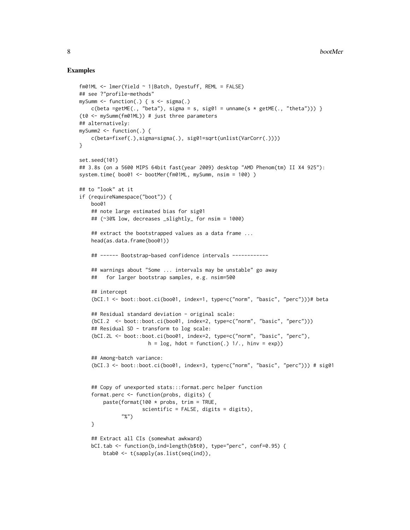```
fm01ML <- lmer(Yield ~ 1|Batch, Dyestuff, REML = FALSE)
## see ?"profile-methods"
mySumm \leq function(.) { s \leq sigma(.)
   c(beta =getME(., "beta"), sigma = s, sig01 = unname(s * getME(., "theta"))) }
(t0 <- mySumm(fm01ML)) # just three parameters
## alternatively:
mySumm2 <- function(.) {
   c(beta=fixef(.),sigma=sigma(.), sig01=sqrt(unlist(VarCorr(.))))
}
set.seed(101)
## 3.8s (on a 5600 MIPS 64bit fast(year 2009) desktop "AMD Phenom(tm) II X4 925"):
system.time( boo01 <- bootMer(fm01ML, mySumm, nsim = 100) )
## to "look" at it
if (requireNamespace("boot")) {
   boo01
   ## note large estimated bias for sig01
    ## (~30% low, decreases _slightly_ for nsim = 1000)
    ## extract the bootstrapped values as a data frame ...
   head(as.data.frame(boo01))
   ## ------ Bootstrap-based confidence intervals ------------
    ## warnings about "Some ... intervals may be unstable" go away
    ## for larger bootstrap samples, e.g. nsim=500
    ## intercept
    (bCI.1 <- boot::boot.ci(boo01, index=1, type=c("norm", "basic", "perc")))# beta
    ## Residual standard deviation - original scale:
    (bCI.2 <- boot::boot.ci(boo01, index=2, type=c("norm", "basic", "perc")))
    ## Residual SD - transform to log scale:
    (bCI.2L <- boot::boot.ci(boo01, index=2, type=c("norm", "basic", "perc"),
                       h = \log, hdot = function(.) 1/., hinv = exp))
    ## Among-batch variance:
    (bCI.3 <- boot::boot.ci(boo01, index=3, type=c("norm", "basic", "perc"))) # sig01
    ## Copy of unexported stats:::format.perc helper function
    format.perc <- function(probs, digits) {
       paste(format(100 * probs, trim = TRUE,
                     scientific = FALSE, digits = digits),
              "%")
    }
    ## Extract all CIs (somewhat awkward)
   bCI.tab <- function(b,ind=length(b$t0), type="perc", conf=0.95) {
       btab0 <- t(sapply(as.list(seq(ind)),
```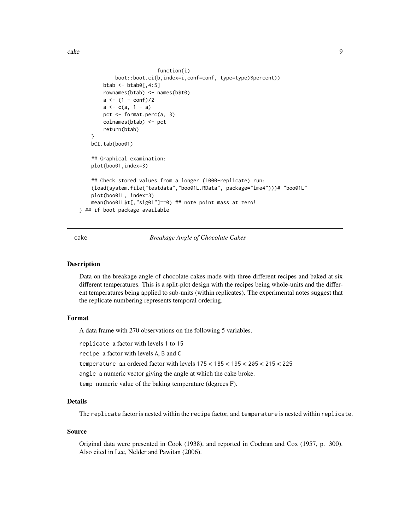<span id="page-8-0"></span>cake 9

```
function(i)
            boot::boot.ci(b,index=i,conf=conf, type=type)$percent))
        btab \leftarrow btab0[, 4:5]
        rownames(btab) <- names(b$t0)
        a \leftarrow (1 - \text{conf})/2a \leftarrow c(a, 1 - a)pct <- format.perc(a, 3)
        colnames(btab) <- pct
        return(btab)
    }
   bCI.tab(boo01)
    ## Graphical examination:
   plot(boo01,index=3)
    ## Check stored values from a longer (1000-replicate) run:
    (load(system.file("testdata","boo01L.RData", package="lme4")))# "boo01L"
    plot(boo01L, index=3)
    mean(boo01L$t[,"sig01"]==0) ## note point mass at zero!
} ## if boot package available
```
## cake *Breakage Angle of Chocolate Cakes*

#### Description

Data on the breakage angle of chocolate cakes made with three different recipes and baked at six different temperatures. This is a split-plot design with the recipes being whole-units and the different temperatures being applied to sub-units (within replicates). The experimental notes suggest that the replicate numbering represents temporal ordering.

#### Format

A data frame with 270 observations on the following 5 variables.

replicate a factor with levels 1 to 15

recipe a factor with levels A, B and C

temperature an ordered factor with levels 175 < 185 < 195 < 205 < 215 < 225

angle a numeric vector giving the angle at which the cake broke.

temp numeric value of the baking temperature (degrees F).

# Details

The replicate factor is nested within the recipe factor, and temperature is nested within replicate.

## Source

Original data were presented in Cook (1938), and reported in Cochran and Cox (1957, p. 300). Also cited in Lee, Nelder and Pawitan (2006).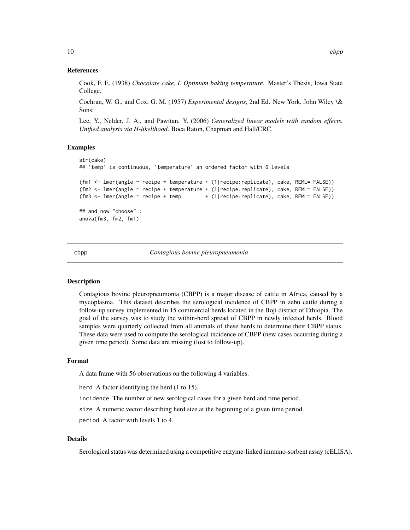<span id="page-9-0"></span>Cook, F. E. (1938) *Chocolate cake, I. Optimum baking temperature*. Master's Thesis, Iowa State College.

Cochran, W. G., and Cox, G. M. (1957) *Experimental designs*, 2nd Ed. New York, John Wiley \& Sons.

Lee, Y., Nelder, J. A., and Pawitan, Y. (2006) *Generalized linear models with random effects. Unified analysis via H-likelihood*. Boca Raton, Chapman and Hall/CRC.

#### Examples

```
str(cake)
## 'temp' is continuous, 'temperature' an ordered factor with 6 levels
(fm1 <- lmer(angle ~ recipe * temperature + (1|recipe:replicate), cake, REML= FALSE))
(fm2 <- lmer(angle ~ recipe + temperature + (1|recipe:replicate), cake, REML= FALSE))
(fm3 <- lmer(angle ~ recipe + temp + (1|recipe:replicate), cake, REML= FALSE))
## and now "choose" :
anova(fm3, fm2, fm1)
```
#### cbpp *Contagious bovine pleuropneumonia*

## Description

Contagious bovine pleuropneumonia (CBPP) is a major disease of cattle in Africa, caused by a mycoplasma. This dataset describes the serological incidence of CBPP in zebu cattle during a follow-up survey implemented in 15 commercial herds located in the Boji district of Ethiopia. The goal of the survey was to study the within-herd spread of CBPP in newly infected herds. Blood samples were quarterly collected from all animals of these herds to determine their CBPP status. These data were used to compute the serological incidence of CBPP (new cases occurring during a given time period). Some data are missing (lost to follow-up).

# Format

A data frame with 56 observations on the following 4 variables.

herd A factor identifying the herd (1 to 15).

incidence The number of new serological cases for a given herd and time period.

size A numeric vector describing herd size at the beginning of a given time period.

period A factor with levels 1 to 4.

# Details

Serological status was determined using a competitive enzyme-linked immuno-sorbent assay (cELISA).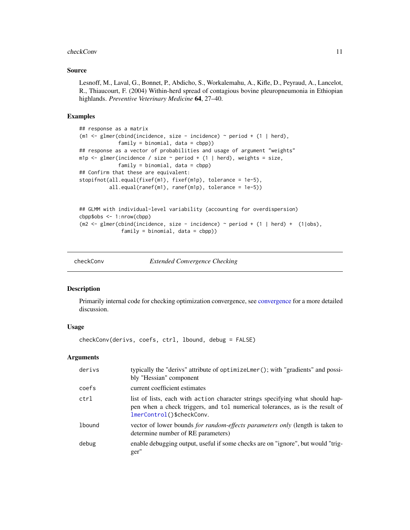#### <span id="page-10-0"></span>checkConv 11

#### Source

Lesnoff, M., Laval, G., Bonnet, P., Abdicho, S., Workalemahu, A., Kifle, D., Peyraud, A., Lancelot, R., Thiaucourt, F. (2004) Within-herd spread of contagious bovine pleuropneumonia in Ethiopian highlands. *Preventive Veterinary Medicine* 64, 27–40.

#### Examples

```
## response as a matrix
(m1 <- glmer(cbind(incidence, size - incidence) ~ period + (1 | herd),
             family = binomial, data = cbpp))
## response as a vector of probabilities and usage of argument "weights"
m1p \le glmer(incidence / size \sim period + (1 | herd), weights = size,
             family = binomial, data = cbpp)
## Confirm that these are equivalent:
stopifnot(all.equal(fixef(m1), fixef(m1p), tolerance = 1e-5),
          all.equal(ranef(m1), ranef(m1p), tolerance = 1e-5))
## GLMM with individual-level variability (accounting for overdispersion)
cbpp$obs <- 1:nrow(cbpp)
(m2 <- glmer(cbind(incidence, size - incidence) \sim period + (1 | herd) + (1|obs),
```

```
family = binomial, data = cbpp))
```
checkConv *Extended Convergence Checking*

## Description

Primarily internal code for checking optimization convergence, see [convergence](#page-13-1) for a more detailed discussion.

# Usage

checkConv(derivs, coefs, ctrl, lbound, debug = FALSE)

# Arguments

| derivs | typically the "derivs" attribute of optimizeLmer(); with "gradients" and possi-<br>bly "Hessian" component                                                                                 |
|--------|--------------------------------------------------------------------------------------------------------------------------------------------------------------------------------------------|
| coefs  | current coefficient estimates                                                                                                                                                              |
| ctrl   | list of lists, each with action character strings specifying what should hap-<br>pen when a check triggers, and tol numerical tolerances, as is the result of<br>lmerControl()\$checkConv. |
| lbound | vector of lower bounds for random-effects parameters only (length is taken to<br>determine number of RE parameters)                                                                        |
| debug  | enable debugging output, useful if some checks are on "ignore", but would "trig-<br>ger"                                                                                                   |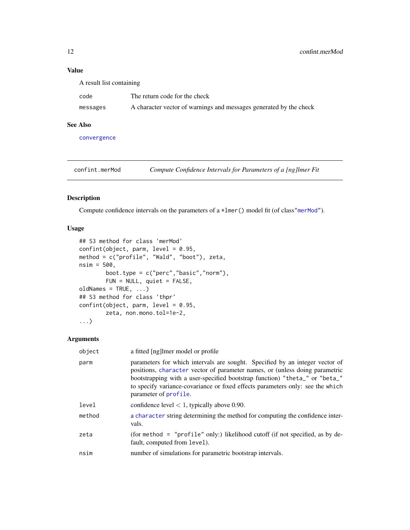# Value

| A result list containing |                                                                    |  |
|--------------------------|--------------------------------------------------------------------|--|
| code                     | The return code for the check                                      |  |
| messages                 | A character vector of warnings and messages generated by the check |  |

# See Also

[convergence](#page-13-1)

<span id="page-11-1"></span>confint.merMod *Compute Confidence Intervals for Parameters of a [ng]lmer Fit*

# Description

Compute confidence intervals on the parameters of a \*lmer() model fit (of class["merMod"](#page-54-1)).

# Usage

```
## S3 method for class 'merMod'
confint(object, parm, level = 0.95,method = c("profile", "Wald", "boot"), zeta,
nsim = 500,
        boot.type = c("perc", "basic", "norm"),FUN = NULL, quiet = FALSE,
oldNames = TRUE, ...)## S3 method for class 'thpr'
confint(object, parm, level = 0.95,zeta, non.mono.tol=1e-2,
...)
```
# Arguments

| object | a fitted [ng] lmer model or profile                                                                                                                                                                                                                                                                                                                   |
|--------|-------------------------------------------------------------------------------------------------------------------------------------------------------------------------------------------------------------------------------------------------------------------------------------------------------------------------------------------------------|
| parm   | parameters for which intervals are sought. Specified by an integer vector of<br>positions, character vector of parameter names, or (unless doing parametric<br>bootstrapping with a user-specified bootstrap function) "theta_" or "beta_"<br>to specify variance-covariance or fixed effects parameters only: see the which<br>parameter of profile. |
| level  | confidence level $< 1$ , typically above 0.90.                                                                                                                                                                                                                                                                                                        |
| method | a character string determining the method for computing the confidence inter-<br>vals.                                                                                                                                                                                                                                                                |
| zeta   | (for method = "profile" only:) likelihood cutoff (if not specified, as by de-<br>fault, computed from level).                                                                                                                                                                                                                                         |
| nsim   | number of simulations for parametric bootstrap intervals.                                                                                                                                                                                                                                                                                             |
|        |                                                                                                                                                                                                                                                                                                                                                       |

<span id="page-11-0"></span>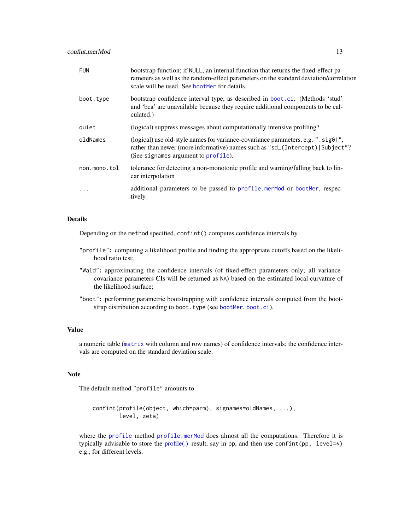| <b>FUN</b>   | bootstrap function; if NULL, an internal function that returns the fixed-effect pa-<br>rameters as well as the random-effect parameters on the standard deviation/correlation<br>scale will be used. See bootMer for details. |
|--------------|-------------------------------------------------------------------------------------------------------------------------------------------------------------------------------------------------------------------------------|
| boot.type    | bootstrap confidence interval type, as described in boot.ci. (Methods 'stud'<br>and 'bca' are unavailable because they require additional components to be cal-<br>culated.)                                                  |
| quiet        | (logical) suppress messages about computationally intensive profiling?                                                                                                                                                        |
| oldNames     | (logical) use old-style names for variance-covariance parameters, e.g. ".sig01",<br>rather than newer (more informative) names such as "sd_(Intercept) Subject"?<br>(See signames argument to profile).                       |
| non.mono.tol | tolerance for detecting a non-monotonic profile and warning/falling back to lin-<br>ear interpolation                                                                                                                         |
| .            | additional parameters to be passed to profile.merMod or bootMer, respec-<br>tively.                                                                                                                                           |

#### Details

Depending on the method specified, confint() computes confidence intervals by

- "profile": computing a likelihood profile and finding the appropriate cutoffs based on the likelihood ratio test;
- "Wald": approximating the confidence intervals (of fixed-effect parameters only; all variancecovariance parameters CIs will be returned as NA) based on the estimated local curvature of the likelihood surface;
- "boot": performing parametric bootstrapping with confidence intervals computed from the bootstrap distribution according to boot.type (see [bootMer](#page-5-1), [boot.ci](#page-0-0)).

# Value

a numeric table ([matrix](#page-0-0) with column and row names) of confidence intervals; the confidence intervals are computed on the standard deviation scale.

## Note

The default method "profile" amounts to

```
confint(profile(object, which=parm), signames=oldNames, ...),
       level, zeta)
```
where the [profile](#page-0-0) method [profile.merMod](#page-84-2) does almost all the computations. Therefore it is typically advisable to store the [profile\(.\)](#page-84-2) result, say in pp, and then use confint(pp, level= $\star$ ) e.g., for different levels.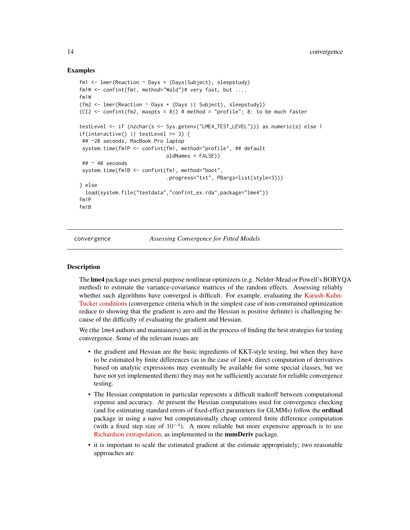#### <span id="page-13-0"></span>Examples

```
fm1 <- lmer(Reaction ~ Days + (Days|Subject), sleepstudy)
fm1W <- confint(fm1, method="Wald")# very fast, but ....
fm1W
(fm2 <- lmer(Reaction ~ Days + (Days || Subject), sleepstudy))
(CI2 <- confint(fm2, maxpts = 8)) # method = "profile"; 8: to be much faster
testLevel <- if (nzchar(s <- Sys.getenv("LME4_TEST_LEVEL"))) as.numeric(s) else 1
if(interactive() || testLevel >= 3) {
 ## ~20 seconds, MacBook Pro laptop
 system.time(fm1P <- confint(fm1, method="profile", ## default
                             oldNames = FALSE))
 \# \approx 40 seconds
 system.time(fm1B <- confint(fm1, method="boot",
                             .progress="txt", PBargs=list(style=3)))
} else
 load(system.file("testdata","confint_ex.rda",package="lme4"))
fm1P
fm1B
```
<span id="page-13-1"></span>convergence *Assessing Convergence for Fitted Models*

#### **Description**

The lme4 package uses general-purpose nonlinear optimizers (e.g. Nelder-Mead or Powell's BOBYQA method) to estimate the variance-covariance matrices of the random effects. Assessing reliably whether such algorithms have converged is difficult. For example, evaluating the [Karush-Kuhn-](http://en.wikipedia.org/wiki/Karush%E2%80%93Kuhn%E2%80%93Tucker_conditions)[Tucker conditions](http://en.wikipedia.org/wiki/Karush%E2%80%93Kuhn%E2%80%93Tucker_conditions) (convergence criteria which in the simplest case of non-constrained optimization reduce to showing that the gradient is zero and the Hessian is positive definite) is challenging because of the difficulty of evaluating the gradient and Hessian.

We (the lme4 authors and maintainers) are still in the process of finding the best strategies for testing convergence. Some of the relevant issues are

- the gradient and Hessian are the basic ingredients of KKT-style testing, but when they have to be estimated by finite differences (as in the case of lme4; direct computation of derivatives based on analytic expressions may eventually be available for some special classes, but we have not yet implemented them) they may not be sufficiently accurate for reliable convergence testing.
- The Hessian computation in particular represents a difficult tradeoff between computational expense and accuracy. At present the Hessian computations used for convergence checking (and for estimating standard errors of fixed-effect parameters for GLMMs) follow the ordinal package in using a naive but computationally cheap centered finite difference computation (with a fixed step size of  $10^{-4}$ ). A more reliable but more expensive approach is to use [Richardson extrapolation,](http://en.wikipedia.org/wiki/Richardson_extrapolation) as implemented in the numDeriv package.
- it is important to scale the estimated gradient at the estimate appropriately; two reasonable approaches are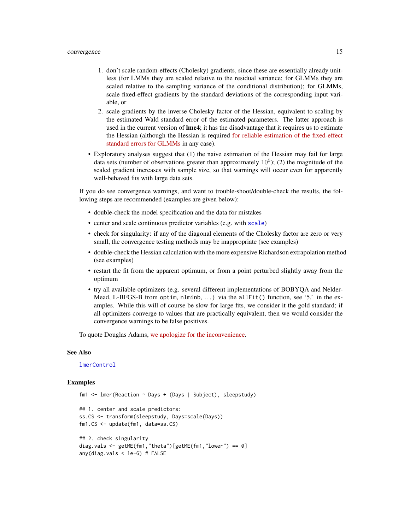#### convergence 15

- 1. don't scale random-effects (Cholesky) gradients, since these are essentially already unitless (for LMMs they are scaled relative to the residual variance; for GLMMs they are scaled relative to the sampling variance of the conditional distribution); for GLMMs, scale fixed-effect gradients by the standard deviations of the corresponding input variable, or
- 2. scale gradients by the inverse Cholesky factor of the Hessian, equivalent to scaling by the estimated Wald standard error of the estimated parameters. The latter approach is used in the current version of **lme4**; it has the disadvantage that it requires us to estimate the Hessian (although the Hessian is required [for reliable estimation of the fixed-effect](https://github.com/lme4/lme4/issues/47) [standard errors for GLMMs](https://github.com/lme4/lme4/issues/47) in any case).
- Exploratory analyses suggest that (1) the naive estimation of the Hessian may fail for large data sets (number of observations greater than approximately  $10<sup>5</sup>$ ); (2) the magnitude of the scaled gradient increases with sample size, so that warnings will occur even for apparently well-behaved fits with large data sets.

If you do see convergence warnings, and want to trouble-shoot/double-check the results, the following steps are recommended (examples are given below):

- double-check the model specification and the data for mistakes
- center and scale continuous predictor variables (e.g. with [scale](#page-0-0))
- check for singularity: if any of the diagonal elements of the Cholesky factor are zero or very small, the convergence testing methods may be inappropriate (see examples)
- double-check the Hessian calculation with the more expensive Richardson extrapolation method (see examples)
- restart the fit from the apparent optimum, or from a point perturbed slightly away from the optimum
- try all available optimizers (e.g. several different implementations of BOBYQA and Nelder-Mead, L-BFGS-B from optim, nlminb, ...) via the allFit() function, see '5.' in the examples. While this will of course be slow for large fits, we consider it the gold standard; if all optimizers converge to values that are practically equivalent, then we would consider the convergence warnings to be false positives.

To quote Douglas Adams, [we apologize for the inconvenience.](http://en.wikipedia.org/wiki/So_Long,_and_Thanks_for_All_the_Fish)

#### See Also

[lmerControl](#page-44-1)

```
fm1 <- lmer(Reaction ~ Days + (Days | Subject), sleepstudy)
## 1. center and scale predictors:
ss.CS <- transform(sleepstudy, Days=scale(Days))
fm1.CS <- update(fm1, data=ss.CS)
## 2. check singularity
diag.vals <- getME(fm1,"theta")[getME(fm1,"lower") == 0]
any(diag.vals < 1e-6) # FALSE
```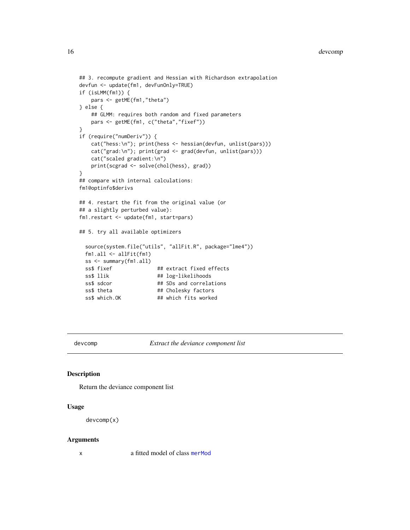#### <span id="page-15-0"></span>16 devcomp

```
## 3. recompute gradient and Hessian with Richardson extrapolation
devfun <- update(fm1, devFunOnly=TRUE)
if (isLMM(fm1)) {
   pars <- getME(fm1,"theta")
} else {
   ## GLMM: requires both random and fixed parameters
   pars <- getME(fm1, c("theta","fixef"))
}
if (require("numDeriv")) {
   cat("hess:\n"); print(hess <- hessian(devfun, unlist(pars)))
   cat("grad:\n"); print(grad <- grad(devfun, unlist(pars)))
   cat("scaled gradient:\n")
   print(scgrad <- solve(chol(hess), grad))
}
## compare with internal calculations:
fm1@optinfo$derivs
## 4. restart the fit from the original value (or
## a slightly perturbed value):
fm1.restart <- update(fm1, start=pars)
## 5. try all available optimizers
 source(system.file("utils", "allFit.R", package="lme4"))
 fm1.all <- allFit(fm1)
 ss <- summary(fm1.all)
 ss$ fixef ## extract fixed effects
 ss$ llik ## log-likelihoods
 ss$ sdcor ## SDs and correlations
 ss$ theta ## Cholesky factors
 ss$ which.OK ## which fits worked
```
devcomp *Extract the deviance component list*

#### Description

Return the deviance component list

#### Usage

```
devcomp(x)
```
#### Arguments

x a fitted model of class [merMod](#page-54-1)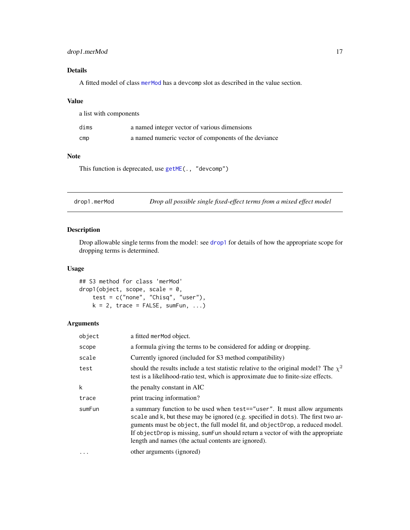# <span id="page-16-0"></span>drop1.merMod 17

# Details

A fitted model of class [merMod](#page-54-1) has a devcomp slot as described in the value section.

## Value

| a list with components |                                                      |  |
|------------------------|------------------------------------------------------|--|
| dims                   | a named integer vector of various dimensions         |  |
| $\mathsf{cmp}$         | a named numeric vector of components of the deviance |  |

# Note

This function is deprecated, use [getME\(](#page-24-1)., "devcomp")

| drop1.merMod | Drop all possible single fixed-effect terms from a mixed effect model |  |
|--------------|-----------------------------------------------------------------------|--|
|              |                                                                       |  |

# Description

Drop allowable single terms from the model: see [drop1](#page-0-0) for details of how the appropriate scope for dropping terms is determined.

# Usage

## S3 method for class 'merMod'  $drop1(object, scope, scale = 0,$ test = c("none", "Chisq", "user"),  $k = 2$ , trace = FALSE, sumFun, ...)

# Arguments

| object | a fitted merMod object.                                                                                                                                                                                                                                                                                                                                                                 |
|--------|-----------------------------------------------------------------------------------------------------------------------------------------------------------------------------------------------------------------------------------------------------------------------------------------------------------------------------------------------------------------------------------------|
| scope  | a formula giving the terms to be considered for adding or dropping.                                                                                                                                                                                                                                                                                                                     |
| scale  | Currently ignored (included for S3 method compatibility)                                                                                                                                                                                                                                                                                                                                |
| test   | should the results include a test statistic relative to the original model? The $\chi^2$<br>test is a likelihood-ratio test, which is approximate due to finite-size effects.                                                                                                                                                                                                           |
| k      | the penalty constant in AIC                                                                                                                                                                                                                                                                                                                                                             |
| trace  | print tracing information?                                                                                                                                                                                                                                                                                                                                                              |
| sumFun | a summary function to be used when test=="user". It must allow arguments<br>scale and k, but these may be ignored (e.g. specified in dots). The first two ar-<br>guments must be object, the full model fit, and objectDrop, a reduced model.<br>If objectDrop is missing, sumFun should return a vector of with the appropriate<br>length and names (the actual contents are ignored). |
|        | other arguments (ignored)                                                                                                                                                                                                                                                                                                                                                               |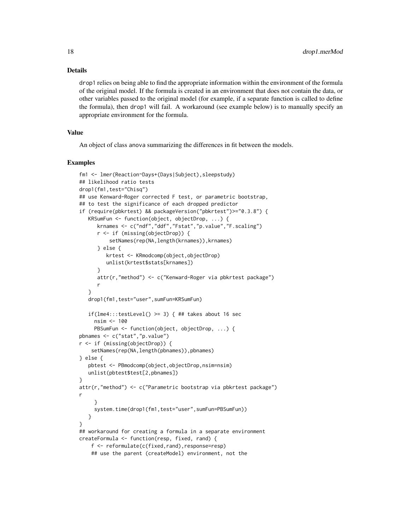## Details

drop1 relies on being able to find the appropriate information within the environment of the formula of the original model. If the formula is created in an environment that does not contain the data, or other variables passed to the original model (for example, if a separate function is called to define the formula), then drop1 will fail. A workaround (see example below) is to manually specify an appropriate environment for the formula.

# Value

An object of class anova summarizing the differences in fit between the models.

```
fm1 <- lmer(Reaction~Days+(Days|Subject),sleepstudy)
## likelihood ratio tests
drop1(fm1,test="Chisq")
## use Kenward-Roger corrected F test, or parametric bootstrap,
## to test the significance of each dropped predictor
if (require(pbkrtest) && packageVersion("pbkrtest")>="0.3.8") {
  KRSumFun <- function(object, objectDrop, ...) {
     krnames <- c("ndf","ddf","Fstat","p.value","F.scaling")
     r <- if (missing(objectDrop)) {
          setNames(rep(NA,length(krnames)), krnames)
      } else {
        krtest <- KRmodcomp(object,objectDrop)
         unlist(krtest$stats[krnames])
      }
     attr(r,"method") <- c("Kenward-Roger via pbkrtest package")
     r
   }
  drop1(fm1,test="user",sumFun=KRSumFun)
   if(lme4:::testLevel() >= 3) { ## takes about 16 sec
     nsim <- 100
     PBSumFun <- function(object, objectDrop, ...) {
pbnames <- c("stat","p.value")
r <- if (missing(objectDrop)) {
    setNames(rep(NA,length(pbnames)),pbnames)
} else {
  pbtest <- PBmodcomp(object,objectDrop,nsim=nsim)
  unlist(pbtest$test[2,pbnames])
}
attr(r,"method") <- c("Parametric bootstrap via pbkrtest package")
r
     }
     system.time(drop1(fm1,test="user",sumFun=PBSumFun))
   }
}
## workaround for creating a formula in a separate environment
createFormula <- function(resp, fixed, rand) {
    f <- reformulate(c(fixed,rand),response=resp)
    ## use the parent (createModel) environment, not the
```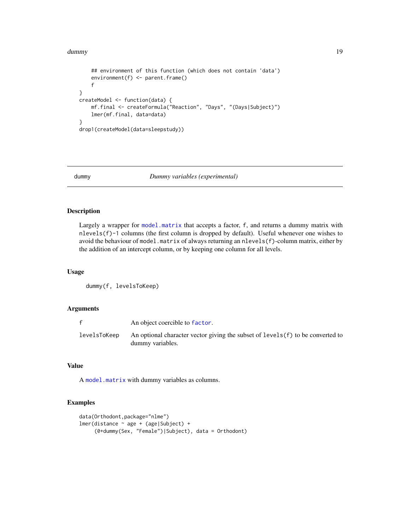#### <span id="page-18-0"></span>dummy the contract of the contract of the contract of the contract of the contract of the contract of the contract of the contract of the contract of the contract of the contract of the contract of the contract of the cont

```
## environment of this function (which does not contain 'data')
    environment(f) <- parent.frame()
    f
}
createModel <- function(data) {
   mf.final <- createFormula("Reaction", "Days", "(Days|Subject)")
   lmer(mf.final, data=data)
}
drop1(createModel(data=sleepstudy))
```
# <span id="page-18-1"></span>dummy *Dummy variables (experimental)*

# Description

Largely a wrapper for [model.matrix](#page-0-0) that accepts a factor, f, and returns a dummy matrix with nlevels(f)-1 columns (the first column is dropped by default). Useful whenever one wishes to avoid the behaviour of model.matrix of always returning an nlevels(f)-column matrix, either by the addition of an intercept column, or by keeping one column for all levels.

# Usage

dummy(f, levelsToKeep)

# Arguments

| f            | An object coercible to factor.                                                                       |
|--------------|------------------------------------------------------------------------------------------------------|
| levelsToKeep | An optional character vector giving the subset of $levels(f)$ to be converted to<br>dummy variables. |

# Value

A [model.matrix](#page-0-0) with dummy variables as columns.

```
data(Orthodont,package="nlme")
lmer(distance ~ age + (age|Subject) +
     (0+dummy(Sex, "Female")|Subject), data = Orthodont)
```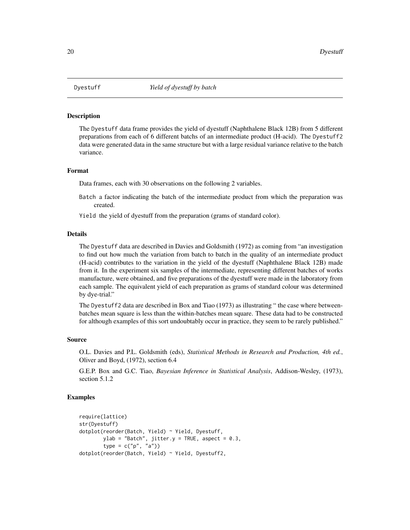<span id="page-19-0"></span>

#### Description

The Dyestuff data frame provides the yield of dyestuff (Naphthalene Black 12B) from 5 different preparations from each of 6 different batchs of an intermediate product (H-acid). The Dyestuff2 data were generated data in the same structure but with a large residual variance relative to the batch variance.

## Format

Data frames, each with 30 observations on the following 2 variables.

- Batch a factor indicating the batch of the intermediate product from which the preparation was created.
- Yield the yield of dyestuff from the preparation (grams of standard color).

#### Details

The Dyestuff data are described in Davies and Goldsmith (1972) as coming from "an investigation to find out how much the variation from batch to batch in the quality of an intermediate product (H-acid) contributes to the variation in the yield of the dyestuff (Naphthalene Black 12B) made from it. In the experiment six samples of the intermediate, representing different batches of works manufacture, were obtained, and five preparations of the dyestuff were made in the laboratory from each sample. The equivalent yield of each preparation as grams of standard colour was determined by dye-trial."

The Dyestuff2 data are described in Box and Tiao (1973) as illustrating " the case where betweenbatches mean square is less than the within-batches mean square. These data had to be constructed for although examples of this sort undoubtably occur in practice, they seem to be rarely published."

#### Source

O.L. Davies and P.L. Goldsmith (eds), *Statistical Methods in Research and Production, 4th ed.*, Oliver and Boyd, (1972), section 6.4

G.E.P. Box and G.C. Tiao, *Bayesian Inference in Statistical Analysis*, Addison-Wesley, (1973), section 5.1.2

```
require(lattice)
str(Dyestuff)
dotplot(reorder(Batch, Yield) ~ Yield, Dyestuff,
        ylab = "Batch", jitter.y = TRUE, aspect = 0.3,
        type = c("p", "a"))
dotplot(reorder(Batch, Yield) ~ Yield, Dyestuff2,
```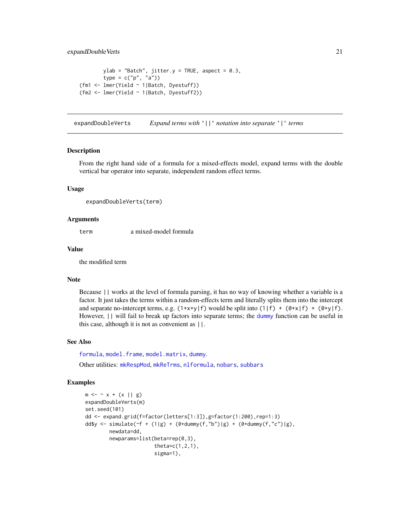```
ylab = "Batch", jitter.y = TRUE, aspect = 0.3,
       type = c("p", "a"))
(fm1 <- lmer(Yield ~ 1|Batch, Dyestuff))
(fm2 <- lmer(Yield ~ 1|Batch, Dyestuff2))
```
expandDoubleVerts *Expand terms with* '||' *notation into separate* '|' *terms*

## **Description**

From the right hand side of a formula for a mixed-effects model, expand terms with the double vertical bar operator into separate, independent random effect terms.

#### Usage

expandDoubleVerts(term)

## Arguments

term a mixed-model formula

#### Value

the modified term

## Note

Because || works at the level of formula parsing, it has no way of knowing whether a variable is a factor. It just takes the terms within a random-effects term and literally splits them into the intercept and separate no-intercept terms, e.g.  $(1+x+y|f)$  would be split into  $(1|f) + (0+x|f) + (0+y|f)$ . However, || will fail to break up factors into separate terms; the [dummy](#page-18-1) function can be useful in this case, although it is not as convenient as ||.

# See Also

[formula](#page-0-0), [model.frame](#page-0-0), [model.matrix](#page-0-0), [dummy](#page-18-1). Other utilities: [mkRespMod](#page-61-1), [mkReTrms](#page-61-2), [nlformula](#page-72-1), [nobars](#page-77-1), [subbars](#page-102-1)

```
m \le - \sim x + (x || g)expandDoubleVerts(m)
set.seed(101)
dd <- expand.grid(f=factor(letters[1:3]),g=factor(1:200),rep=1:3)
dd$y <- simulate((f + (1|g) + (0+d \text{ummy}(f, "b")|g) + (0+d \text{ummy}(f, "c")|g),
        newdata=dd,
         newparams=list(beta=rep(0,3),
                         theta=c(1,2,1),sigma=1),
```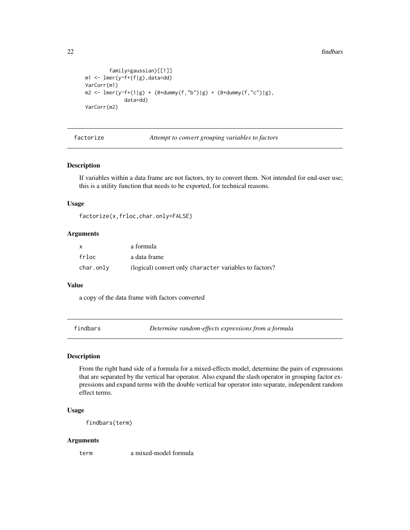22 findbars and the contract of the contract of the contract of the contract of the contract of the contract of the contract of the contract of the contract of the contract of the contract of the contract of the contract o

```
family=gaussian)[[1]]
m1 <- lmer(y~f+(f|g),data=dd)
VarCorr(m1)
m2 \le - \text{Imer}(y \le f + (1|g) + (0 + \text{dummy}(f, "b")|g) + (0 + \text{dummy}(f, "c")|g),data=dd)
VarCorr(m2)
```
factorize *Attempt to convert grouping variables to factors*

# Description

If variables within a data frame are not factors, try to convert them. Not intended for end-user use; this is a utility function that needs to be exported, for technical reasons.

## Usage

```
factorize(x,frloc,char.only=FALSE)
```
## Arguments

| X         | a formula                                              |
|-----------|--------------------------------------------------------|
| frloc     | a data frame                                           |
| char.only | (logical) convert only character variables to factors? |

## Value

a copy of the data frame with factors converted

findbars *Determine random-effects expressions from a formula*

## Description

From the right hand side of a formula for a mixed-effects model, determine the pairs of expressions that are separated by the vertical bar operator. Also expand the slash operator in grouping factor expressions and expand terms with the double vertical bar operator into separate, independent random effect terms.

## Usage

findbars(term)

#### Arguments

term a mixed-model formula

<span id="page-21-0"></span>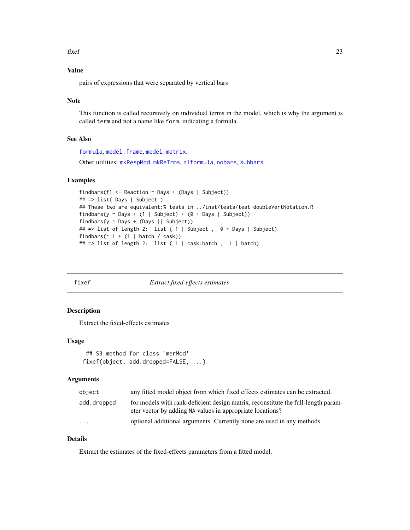<span id="page-22-0"></span>fixef 23

# Value

pairs of expressions that were separated by vertical bars

## Note

This function is called recursively on individual terms in the model, which is why the argument is called term and not a name like form, indicating a formula.

## See Also

[formula](#page-0-0), [model.frame](#page-0-0), [model.matrix](#page-0-0).

Other utilities: [mkRespMod](#page-61-1), [mkReTrms](#page-61-2), [nlformula](#page-72-1), [nobars](#page-77-1), [subbars](#page-102-1)

## Examples

```
findbars(f1 <- Reaction \sim Days + (Days | Subject))
## => list( Days | Subject )
## These two are equivalent:% tests in ../inst/tests/test-doubleVertNotation.R
findbars(y \sim Days + (1 | Subject) + (0 + Days | Subject))
findbars(y ~ Days + (Days || Subject))
## => list of length 2: list ( 1 | Subject , 0 + Days | Subject)
findbars(\sim 1 + (1 | batch / cask))
## => list of length 2: list ( 1 | cask:batch , 1 | batch)
```
<span id="page-22-1"></span>fixef *Extract fixed-effects estimates*

## Description

Extract the fixed-effects estimates

# Usage

```
## S3 method for class 'merMod'
fixef(object, add.dropped=FALSE, ...)
```
## Arguments

| object      | any fitted model object from which fixed effects estimates can be extracted.                                                                   |
|-------------|------------------------------------------------------------------------------------------------------------------------------------------------|
| add.dropped | for models with rank-deficient design matrix, reconstitute the full-length param-<br>eter vector by adding NA values in appropriate locations? |
| $\cdots$    | optional additional arguments. Currently none are used in any methods.                                                                         |

# Details

Extract the estimates of the fixed-effects parameters from a fitted model.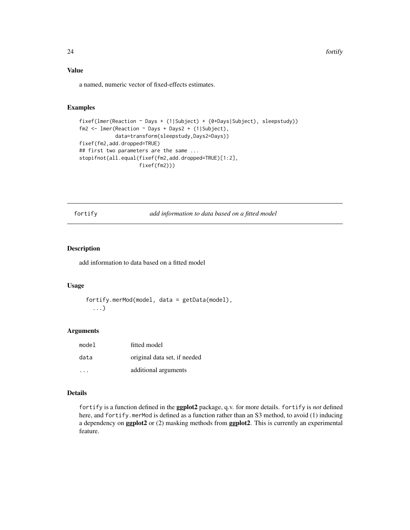24 fortify and the contract of the contract of the contract of the contract of the contract of the contract of the contract of the contract of the contract of the contract of the contract of the contract of the contract of

# Value

a named, numeric vector of fixed-effects estimates.

# Examples

```
fixef(lmer(Reaction ~ Days + (1|Subject) + (0+Days|Subject), sleepstudy))
fm2 <- lmer(Reaction ~ Days + Days2 + (1|Subject),
            data=transform(sleepstudy,Days2=Days))
fixef(fm2,add.dropped=TRUE)
## first two parameters are the same ...
stopifnot(all.equal(fixef(fm2,add.dropped=TRUE)[1:2],
                    fixef(fm2)))
```
fortify *add information to data based on a fitted model*

## Description

add information to data based on a fitted model

# Usage

```
fortify.merMod(model, data = getData(model),
 ...)
```
## Arguments

| model | fitted model                 |
|-------|------------------------------|
| data  | original data set, if needed |
|       | additional arguments         |

# Details

fortify is a function defined in the ggplot2 package, q.v. for more details. fortify is *not* defined here, and fortify.merMod is defined as a function rather than an S3 method, to avoid (1) inducing a dependency on ggplot2 or (2) masking methods from ggplot2. This is currently an experimental feature.

<span id="page-23-0"></span>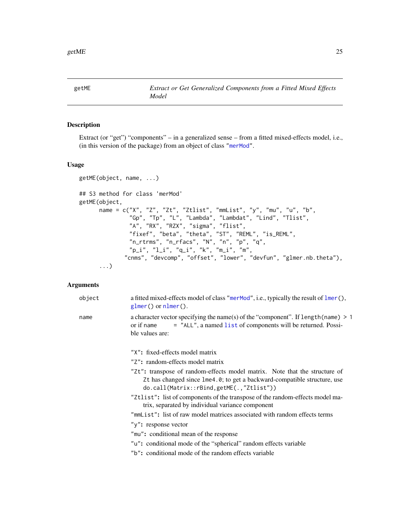<span id="page-24-1"></span><span id="page-24-0"></span>

# Description

Extract (or "get") "components" – in a generalized sense – from a fitted mixed-effects model, i.e., (in this version of the package) from an object of class ["merMod"](#page-54-1).

# Usage

```
getME(object, name, ...)
## S3 method for class 'merMod'
getME(object,
      name = c("X", "Z", "Zt", "Ztlist", "mmList", "y", "mu", "u", "b",
               "Gp", "Tp", "L", "Lambda", "Lambdat", "Lind", "Tlist",
               "A", "RX", "RZX", "sigma", "flist",
               "fixef", "beta", "theta", "ST", "REML", "is_REML",
               "n_rtrms", "n_rfacs", "N", "n", "p", "q",
               "p_i", "l_i", "q_i", "k", "m_i", "m",
             "cnms", "devcomp", "offset", "lower", "devfun", "glmer.nb.theta"),
      ...)
```
# Arguments

| object | a fitted mixed-effects model of class "merMod", i.e., typically the result of $lmer(),$<br>$glmer()$ or $nlmer()$ .                                                                                |
|--------|----------------------------------------------------------------------------------------------------------------------------------------------------------------------------------------------------|
| name   | a character vector specifying the name(s) of the "component". If $length(name) > 1$<br>= "ALL", a named list of components will be returned. Possi-<br>or if name<br>ble values are:               |
|        | "X": fixed-effects model matrix                                                                                                                                                                    |
|        | "Z": random-effects model matrix                                                                                                                                                                   |
|        | "Zt": transpose of random-effects model matrix. Note that the structure of<br>Zt has changed since lme4.0; to get a backward-compatible structure, use<br>do.call(Matrix::rBind,getME(.,"Ztlist")) |
|        | "Ztlist": list of components of the transpose of the random-effects model ma-<br>trix, separated by individual variance component                                                                  |
|        | "mmList": list of raw model matrices associated with random effects terms                                                                                                                          |
|        | "y": response vector                                                                                                                                                                               |
|        | "mu": conditional mean of the response                                                                                                                                                             |
|        | "u": conditional mode of the "spherical" random effects variable                                                                                                                                   |
|        | "b": conditional mode of the random effects variable                                                                                                                                               |
|        |                                                                                                                                                                                                    |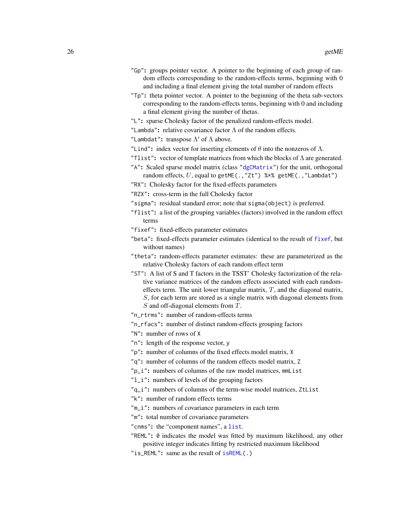- "Gp": groups pointer vector. A pointer to the beginning of each group of random effects corresponding to the random-effects terms, beginning with 0 and including a final element giving the total number of random effects
- "Tp": theta pointer vector. A pointer to the beginning of the theta sub-vectors corresponding to the random-effects terms, beginning with 0 and including a final element giving the number of thetas.
- "L": sparse Cholesky factor of the penalized random-effects model.
- "Lambda": relative covariance factor  $\Lambda$  of the random effects.
- "Lambdat": transpose  $\Lambda'$  of  $\Lambda$  above.
- "Lind": index vector for inserting elements of  $\theta$  into the nonzeros of  $\Lambda$ .
- "Tlist": vector of template matrices from which the blocks of  $\Lambda$  are generated.
- "A": Scaled sparse model matrix (class ["dgCMatrix"](#page-0-0)) for the unit, orthogonal random effects,  $U$ , equal to getME(., "Zt") %\*% getME(., "Lambdat")
- "RX": Cholesky factor for the fixed-effects parameters
- "RZX": cross-term in the full Cholesky factor
- "sigma": residual standard error; note that sigma(object) is preferred.
- "flist": a list of the grouping variables (factors) involved in the random effect terms
- "fixef": fixed-effects parameter estimates
- "beta": fixed-effects parameter estimates (identical to the result of [fixef](#page-22-1), but without names)
- "theta": random-effects parameter estimates: these are parameterized as the relative Cholesky factors of each random effect term
- "ST": A list of S and T factors in the TSST' Cholesky factorization of the relative variance matrices of the random effects associated with each randomeffects term. The unit lower triangular matrix,  $T$ , and the diagonal matrix, S, for each term are stored as a single matrix with diagonal elements from S and off-diagonal elements from T.
- "n\_rtrms": number of random-effects terms
- "n\_rfacs": number of distinct random-effects grouping factors
- "N": number of rows of X
- "n": length of the response vector, y
- "p": number of columns of the fixed effects model matrix, X
- "q": number of columns of the random effects model matrix, Z
- "p\_i": numbers of columns of the raw model matrices, mmList
- "l\_i": numbers of levels of the grouping factors
- "q\_i": numbers of columns of the term-wise model matrices, ZtList
- "k": number of random effects terms
- "m\_i": numbers of covariance parameters in each term
- "m": total number of covariance parameters
- "cnms": the "component names", a [list](#page-0-0).
- "REML": 0 indicates the model was fitted by maximum likelihood, any other positive integer indicates fitting by restricted maximum likelihood
- "is\_REML": same as the result of [isREML\(](#page-40-1).)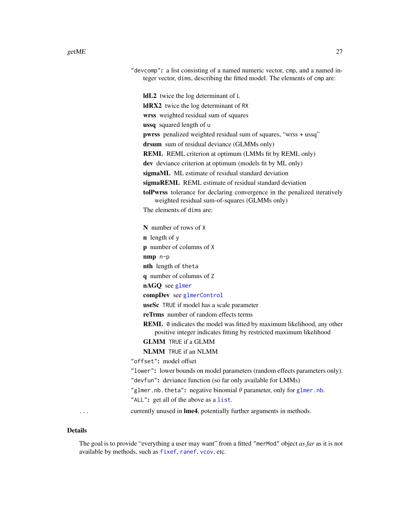| "devcomp": a list consisting of a named numeric vector, cmp, and a named in-<br>teger vector, dims, describing the fitted model. The elements of cmp are: |
|-----------------------------------------------------------------------------------------------------------------------------------------------------------|
| IdL2 twice the log determinant of L                                                                                                                       |
| IdRX2 twice the log determinant of RX                                                                                                                     |
| wrss weighted residual sum of squares                                                                                                                     |
| ussq squared length of u                                                                                                                                  |
| pwrss penalized weighted residual sum of squares, "wrss + ussq"                                                                                           |
| drsum sum of residual deviance (GLMMs only)                                                                                                               |
| <b>REML</b> REML criterion at optimum (LMMs fit by REML only)                                                                                             |
| dev deviance criterion at optimum (models fit by ML only)                                                                                                 |
| sigmaML ML estimate of residual standard deviation                                                                                                        |
| sigmaREML REML estimate of residual standard deviation                                                                                                    |
| tolPwrss tolerance for declaring convergence in the penalized iteratively<br>weighted residual sum-of-squares (GLMMs only)                                |
| The elements of dims are:                                                                                                                                 |
| N number of rows of X                                                                                                                                     |
| $\mathbf n$ length of y                                                                                                                                   |
| p number of columns of X                                                                                                                                  |
| $nmp$ $n-p$                                                                                                                                               |
| nth length of theta                                                                                                                                       |
| q number of columns of Z                                                                                                                                  |
| nAGQ see glmer                                                                                                                                            |
| compDev see glmerControl                                                                                                                                  |
| useSc TRUE if model has a scale parameter                                                                                                                 |
| <b>reTrms</b> number of random effects terms                                                                                                              |
| REML 0 indicates the model was fitted by maximum likelihood, any other<br>positive integer indicates fitting by restricted maximum likelihood             |
| <b>GLMM</b> TRUE if a GLMM                                                                                                                                |
| <b>NLMM</b> TRUE if an NLMM                                                                                                                               |
| "offset": model offset                                                                                                                                    |
| "lower": lower bounds on model parameters (random effects parameters only).                                                                               |
| "devfun": deviance function (so far only available for LMMs)                                                                                              |
| "glmer.nb.theta": negative binomial $\theta$ parameter, only for glmer.nb.                                                                                |
| "ALL": get all of the above as a list.                                                                                                                    |
| currently unused in Ime4, potentially further arguments in methods.                                                                                       |

# Details

The goal is to provide "everything a user may want" from a fitted "merMod" object *as far* as it is not available by methods, such as [fixef](#page-22-1), [ranef](#page-92-1), [vcov](#page-0-0), etc.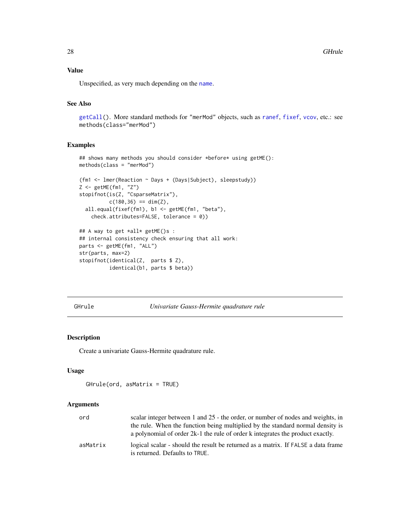<span id="page-27-0"></span>28 GHrule

# Value

Unspecified, as very much depending on the [name](#page-0-0).

# See Also

[getCall\(](#page-0-0)). More standard methods for "merMod" objects, such as [ranef](#page-92-1), [fixef](#page-22-1), [vcov](#page-0-0), etc.: see methods(class="merMod")

#### Examples

```
## shows many methods you should consider *before* using getME():
methods(class = "merMod")
```

```
(fm1 <- lmer(Reaction ~ Days + (Days|Subject), sleepstudy))
Z <- getME(fm1, "Z")
stopifnot(is(Z, "CsparseMatrix"),
          c(180, 36) == dim(Z),all.equal(fixef(fm1), b1 <- getME(fm1, "beta"),
    check.attributes=FALSE, tolerance = 0))
```

```
## A way to get *all* getME()s :
## internal consistency check ensuring that all work:
parts <- getME(fm1, "ALL")
str(parts, max=2)
stopifnot(identical(Z, parts $ Z),
          identical(b1, parts $ beta))
```
GHrule *Univariate Gauss-Hermite quadrature rule*

#### Description

Create a univariate Gauss-Hermite quadrature rule.

#### Usage

```
GHrule(ord, asMatrix = TRUE)
```
## Arguments

| ord      | scalar integer between 1 and 25 - the order, or number of nodes and weights, in                                                                                  |
|----------|------------------------------------------------------------------------------------------------------------------------------------------------------------------|
|          | the rule. When the function being multiplied by the standard normal density is<br>a polynomial of order 2k-1 the rule of order k integrates the product exactly. |
| asMatrix | logical scalar - should the result be returned as a matrix. If FALSE a data frame<br>is returned. Defaults to TRUE.                                              |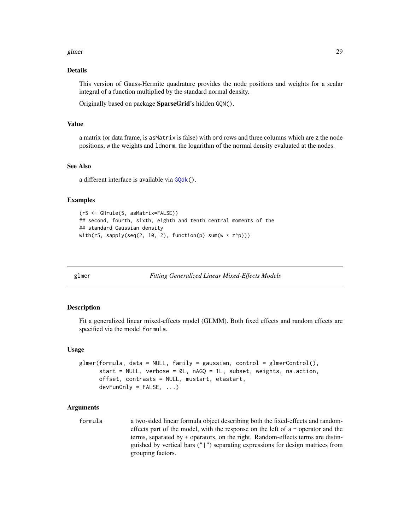#### <span id="page-28-0"></span>glmer 29

## Details

This version of Gauss-Hermite quadrature provides the node positions and weights for a scalar integral of a function multiplied by the standard normal density.

Originally based on package SparseGrid's hidden GQN().

## Value

a matrix (or data frame, is asMatrix is false) with ord rows and three columns which are z the node positions, w the weights and ldnorm, the logarithm of the normal density evaluated at the nodes.

#### See Also

a different interface is available via [GQdk\(](#page-36-1)).

#### Examples

```
(r5 <- GHrule(5, asMatrix=FALSE))
## second, fourth, sixth, eighth and tenth central moments of the
## standard Gaussian density
with(r5, sapply(seq(2, 10, 2), function(p) sum(w * z^p)))
```
<span id="page-28-1"></span>

glmer *Fitting Generalized Linear Mixed-Effects Models*

#### **Description**

Fit a generalized linear mixed-effects model (GLMM). Both fixed effects and random effects are specified via the model formula.

#### Usage

```
glmer(formula, data = NULL, family = gaussian, control = glmerControl(),start = NULL, verbose = 0L, nAGQ = 1L, subset, weights, na.action,
     offset, contrasts = NULL, mustart, etastart,
     devFunOnly = FALSE, ...)
```
# Arguments

formula a two-sided linear formula object describing both the fixed-effects and randomeffects part of the model, with the response on the left of a  $\sim$  operator and the terms, separated by + operators, on the right. Random-effects terms are distinguished by vertical bars ("|") separating expressions for design matrices from grouping factors.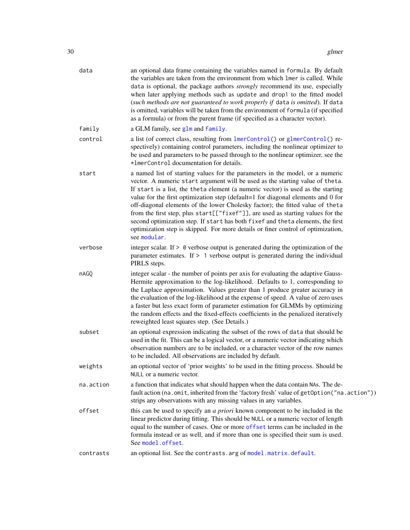| data      | an optional data frame containing the variables named in formula. By default<br>the variables are taken from the environment from which lmer is called. While<br>data is optional, the package authors <i>strongly</i> recommend its use, especially<br>when later applying methods such as update and drop1 to the fitted model<br>(such methods are not guaranteed to work properly if data is omitted). If data<br>is omitted, variables will be taken from the environment of formula (if specified<br>as a formula) or from the parent frame (if specified as a character vector).                                                                                                            |
|-----------|----------------------------------------------------------------------------------------------------------------------------------------------------------------------------------------------------------------------------------------------------------------------------------------------------------------------------------------------------------------------------------------------------------------------------------------------------------------------------------------------------------------------------------------------------------------------------------------------------------------------------------------------------------------------------------------------------|
| family    | a GLM family, see glm and family.                                                                                                                                                                                                                                                                                                                                                                                                                                                                                                                                                                                                                                                                  |
| control   | a list (of correct class, resulting from lmerControl() or glmerControl() re-<br>spectively) containing control parameters, including the nonlinear optimizer to<br>be used and parameters to be passed through to the nonlinear optimizer, see the<br>*ImerControl documentation for details.                                                                                                                                                                                                                                                                                                                                                                                                      |
| start     | a named list of starting values for the parameters in the model, or a numeric<br>vector. A numeric start argument will be used as the starting value of theta.<br>If start is a list, the theta element (a numeric vector) is used as the starting<br>value for the first optimization step (default=1 for diagonal elements and 0 for<br>off-diagonal elements of the lower Cholesky factor); the fitted value of theta<br>from the first step, plus start[["fixef"]], are used as starting values for the<br>second optimization step. If start has both fixef and theta elements, the first<br>optimization step is skipped. For more details or finer control of optimization,<br>see modular. |
| verbose   | integer scalar. If $> 0$ verbose output is generated during the optimization of the<br>parameter estimates. If $> 1$ verbose output is generated during the individual<br>PIRLS steps.                                                                                                                                                                                                                                                                                                                                                                                                                                                                                                             |
| nAGQ      | integer scalar - the number of points per axis for evaluating the adaptive Gauss-<br>Hermite approximation to the log-likelihood. Defaults to 1, corresponding to<br>the Laplace approximation. Values greater than 1 produce greater accuracy in<br>the evaluation of the log-likelihood at the expense of speed. A value of zero uses<br>a faster but less exact form of parameter estimation for GLMMs by optimizing<br>the random effects and the fixed-effects coefficients in the penalized iteratively<br>reweighted least squares step. (See Details.)                                                                                                                                     |
| subset    | an optional expression indicating the subset of the rows of data that should be<br>used in the fit. This can be a logical vector, or a numeric vector indicating which<br>observation numbers are to be included, or a character vector of the row names<br>to be included. All observations are included by default.                                                                                                                                                                                                                                                                                                                                                                              |
| weights   | an optional vector of 'prior weights' to be used in the fitting process. Should be<br>NULL or a numeric vector.                                                                                                                                                                                                                                                                                                                                                                                                                                                                                                                                                                                    |
| na.action | a function that indicates what should happen when the data contain NAs. The de-<br>fault action (na.omit, inherited from the 'factory fresh' value of getOption("na.action"))<br>strips any observations with any missing values in any variables.                                                                                                                                                                                                                                                                                                                                                                                                                                                 |
| offset    | this can be used to specify an <i>a priori</i> known component to be included in the<br>linear predictor during fitting. This should be NULL or a numeric vector of length<br>equal to the number of cases. One or more offset terms can be included in the<br>formula instead or as well, and if more than one is specified their sum is used.<br>See model.offset.                                                                                                                                                                                                                                                                                                                               |
| contrasts | an optional list. See the contrasts. arg of model. matrix. default.                                                                                                                                                                                                                                                                                                                                                                                                                                                                                                                                                                                                                                |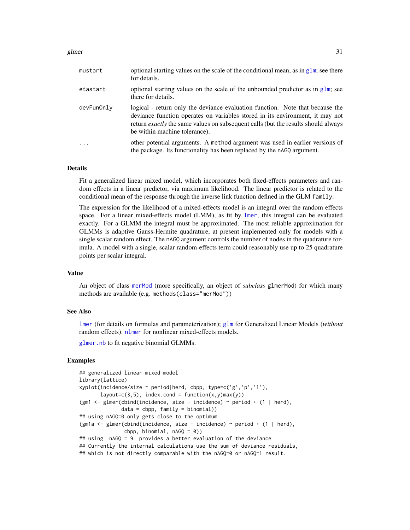#### glmer 31

| mustart    | optional starting values on the scale of the conditional mean, as in $g \ln x$ , see there<br>for details.                                                                                                                                                                                  |
|------------|---------------------------------------------------------------------------------------------------------------------------------------------------------------------------------------------------------------------------------------------------------------------------------------------|
| etastart   | optional starting values on the scale of the unbounded predictor as in $g1m$ ; see<br>there for details.                                                                                                                                                                                    |
| devFunOnly | logical - return only the deviance evaluation function. Note that because the<br>deviance function operates on variables stored in its environment, it may not<br>return <i>exactly</i> the same values on subsequent calls (but the results should always<br>be within machine tolerance). |
| $\ddots$ . | other potential arguments. A method argument was used in earlier versions of<br>the package. Its functionality has been replaced by the nAGQ argument.                                                                                                                                      |

#### Details

Fit a generalized linear mixed model, which incorporates both fixed-effects parameters and random effects in a linear predictor, via maximum likelihood. The linear predictor is related to the conditional mean of the response through the inverse link function defined in the GLM family.

The expression for the likelihood of a mixed-effects model is an integral over the random effects space. For a linear mixed-effects model (LMM), as fit by [lmer](#page-41-1), this integral can be evaluated exactly. For a GLMM the integral must be approximated. The most reliable approximation for GLMMs is adaptive Gauss-Hermite quadrature, at present implemented only for models with a single scalar random effect. The nAGQ argument controls the number of nodes in the quadrature formula. A model with a single, scalar random-effects term could reasonably use up to 25 quadrature points per scalar integral.

## Value

An object of class [merMod](#page-54-1) (more specifically, an object of *subclass* glmerMod) for which many methods are available (e.g. methods(class="merMod"))

#### See Also

[lmer](#page-41-1) (for details on formulas and parameterization); [glm](#page-0-0) for Generalized Linear Models (*without* random effects). [nlmer](#page-73-1) for nonlinear mixed-effects models.

[glmer.nb](#page-31-1) to fit negative binomial GLMMs.

```
## generalized linear mixed model
library(lattice)
xyplot(incidence/size ~ period|herd, cbpp, type=c('g','p','l'),
      layout=c(3,5), index.cond = function(x,y)max(y))
(gm1 \leq glmer(cbind(incidence, size - incidence) \sim period + (1 | herd),
              data = cbpp, family = binomial)## using nAGQ=0 only gets close to the optimum
(gm1a <- glmer(cbind(incidence, size - incidence) ~ period + (1 | herd),
               cbpp, binomial, nAGQ = 0)
## using nAGQ = 9 provides a better evaluation of the deviance
## Currently the internal calculations use the sum of deviance residuals,
## which is not directly comparable with the nAGQ=0 or nAGQ=1 result.
```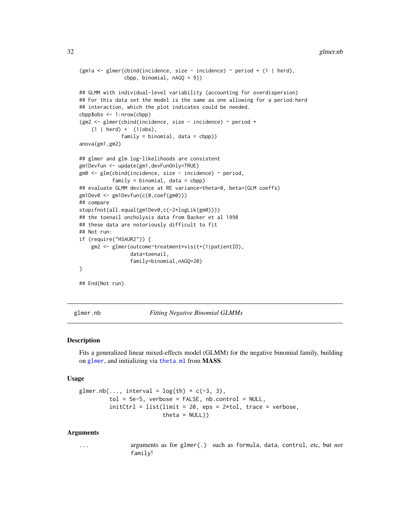#### <span id="page-31-0"></span>32 glmer.nb

```
(gm1a <- glmer(cbind(incidence, size - incidence) \sim period + (1 | herd),
               cbpp, binomial, nAGQ = 9))
## GLMM with individual-level variability (accounting for overdispersion)
## For this data set the model is the same as one allowing for a period:herd
## interaction, which the plot indicates could be needed.
cbpp$obs <- 1:nrow(cbpp)
(gm2 <- glmer(cbind(incidence, size - incidence) ~ period +
    (1 | herd) + (1 | obs),family = binomial, data = cbpp))
anova(gm1,gm2)
## glmer and glm log-likelihoods are consistent
gm1Devfun <- update(gm1,devFunOnly=TRUE)
gm0 <- glm(cbind(incidence, size - incidence) ~ period,
           family = binomial, data = cbpp)
## evaluate GLMM deviance at RE variance=theta=0, beta=(GLM coeffs)
gm1Dev0 <- gm1Devfun(c(0,coef(gm0)))
## compare
stopifnot(all.equal(gm1Dev0,c(-2*logLik(gm0))))
## the toenail oncholysis data from Backer et al 1998
## these data are notoriously difficult to fit
## Not run:
if (require("HSAUR2")) {
    gm2 <- glmer(outcome~treatment*visit+(1|patientID),
                 data=toenail,
                 family=binomial,nAGQ=20)
}
## End(Not run)
```
<span id="page-31-1"></span>

glmer.nb *Fitting Negative Binomial GLMMs*

#### <span id="page-31-2"></span>Description

Fits a generalized linear mixed-effects model (GLMM) for the negative binomial family, building on [glmer](#page-28-1), and initializing via [theta.ml](#page-0-0) from MASS.

#### Usage

```
glmer.nb(..., interval = log(th) + c(-3, 3),
         tol = 5e-5, verbose = FALSE, nb.control = NULL,
         initCtrl = list(limit = 20,eps = 2*tol, trace = verbose,theta = NULL))
```
#### Arguments

... arguments as for glmer(.) such as formula, data, control, etc, but *not* family!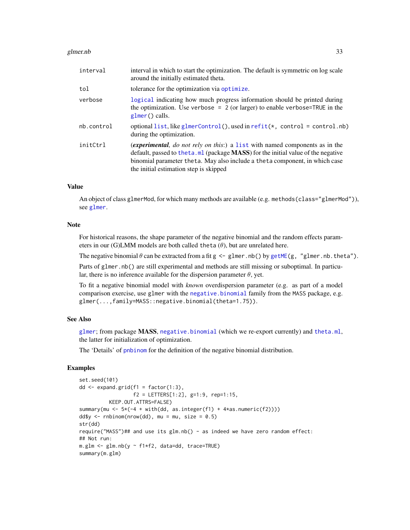#### glmer.nb 33

| interval   | interval in which to start the optimization. The default is symmetric on log scale<br>around the initially estimated theta.                                                                                                                                                                      |
|------------|--------------------------------------------------------------------------------------------------------------------------------------------------------------------------------------------------------------------------------------------------------------------------------------------------|
| tol        | tolerance for the optimization via optimize.                                                                                                                                                                                                                                                     |
| verbose    | logical indicating how much progress information should be printed during<br>the optimization. Use verbose = $2$ (or larger) to enable verbose=TRUE in the<br>$glmer()$ calls.                                                                                                                   |
| nb.control | optional list, like glmerControl(), used in $refit(*, control = control.nb)$<br>during the optimization.                                                                                                                                                                                         |
| initCtrl   | <i>(experimental, do not rely on this:)</i> a list with named components as in the<br>default, passed to the ta.ml (package MASS) for the initial value of the negative<br>binomial parameter theta. May also include a theta component, in which case<br>the initial estimation step is skipped |

## Value

An object of class glmerMod, for which many methods are available (e.g. methods (class="glmerMod")), see [glmer](#page-28-1).

# Note

For historical reasons, the shape parameter of the negative binomial and the random effects parameters in our (G)LMM models are both called theta  $(\theta)$ , but are unrelated here.

The negative binomial  $\theta$  can be extracted from a fit g  $\leq$  glmer.nb() by [getME\(](#page-24-1)g, "glmer.nb.theta").

Parts of glmer.nb() are still experimental and methods are still missing or suboptimal. In particular, there is no inference available for the dispersion parameter  $\theta$ , yet.

To fit a negative binomial model with *known* overdispersion parameter (e.g. as part of a model comparison exercise, use glmer with the [negative.binomial](#page-31-2) family from the MASS package, e.g. glmer(...,family=MASS::negative.binomial(theta=1.75)).

# See Also

[glmer](#page-28-1); from package MASS, [negative.binomial](#page-31-2) (which we re-export currently) and [theta.ml](#page-0-0), the latter for initialization of optimization.

The 'Details' of [pnbinom](#page-0-0) for the definition of the negative binomial distribution.

```
set.seed(101)
dd \leftarrow expand.grid(f1 = factor(1:3),
                  f2 = LETTERS[1:2], g=1:9, rep=1:15,KEEP.OUT.ATTRS=FALSE)
summary(mu <- 5*(-4 + with(dd, as.integer(f1) + 4*as.numeric(f2))))dd\{sy} < -rnhinom(nrow(dd), mu = mu, size = 0.5)
str(dd)
require("MASS")## and use its glm.nb() - as indeed we have zero random effect:
## Not run:
m.glm \leq glm.nb(y \approx f1*f2, data=dd, trace=TRUE)summary(m.glm)
```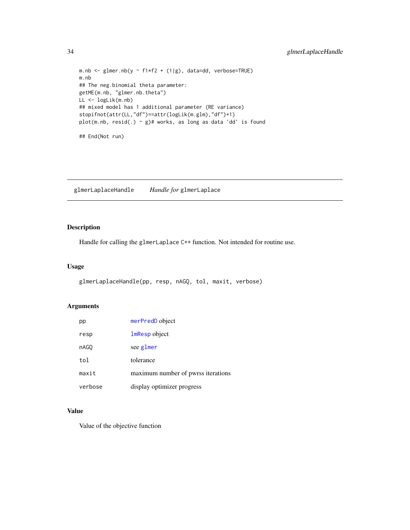```
m.nb <- glmer.nb(y \sim f1*f2 + (1|g), data=dd, verbose=TRUE)
m.nb
## The neg.binomial theta parameter:
getME(m.nb, "glmer.nb.theta")
LL <- logLik(m.nb)
## mixed model has 1 additional parameter (RE variance)
stopifnot(attr(LL,"df")==attr(logLik(m.glm),"df")+1)
plot(m.nb, resid(.) \sim g)# works, as long as data 'dd' is found
## End(Not run)
```
glmerLaplaceHandle *Handle for* glmerLaplace

# Description

Handle for calling the glmerLaplace C++ function. Not intended for routine use.

#### Usage

```
glmerLaplaceHandle(pp, resp, nAGQ, tol, maxit, verbose)
```
# Arguments

| pp      | merPredD object                    |
|---------|------------------------------------|
| resp    | 1mResp object                      |
| nAGO    | see glmer                          |
| tol     | tolerance                          |
| maxit   | maximum number of pwrss iterations |
| verbose | display optimizer progress         |

# Value

Value of the objective function

<span id="page-33-0"></span>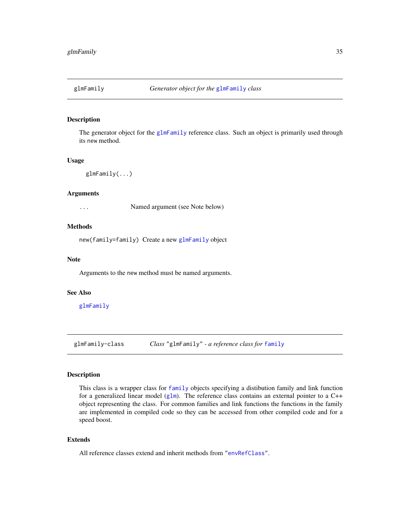<span id="page-34-2"></span><span id="page-34-0"></span>

## Description

The generator object for the [glmFamily](#page-34-1) reference class. Such an object is primarily used through its new method.

## Usage

glmFamily(...)

#### Arguments

... Named argument (see Note below)

# Methods

new(family=family) Create a new [glmFamily](#page-34-1) object

# Note

Arguments to the new method must be named arguments.

#### See Also

[glmFamily](#page-34-1)

<span id="page-34-1"></span>glmFamily-class *Class* "glmFamily" *- a reference class for* [family](#page-0-0)

# Description

This class is a wrapper class for [family](#page-0-0) objects specifying a distibution family and link function for a generalized linear model ([glm](#page-0-0)). The reference class contains an external pointer to a  $C++$ object representing the class. For common families and link functions the functions in the family are implemented in compiled code so they can be accessed from other compiled code and for a speed boost.

## Extends

All reference classes extend and inherit methods from ["envRefClass"](#page-0-0).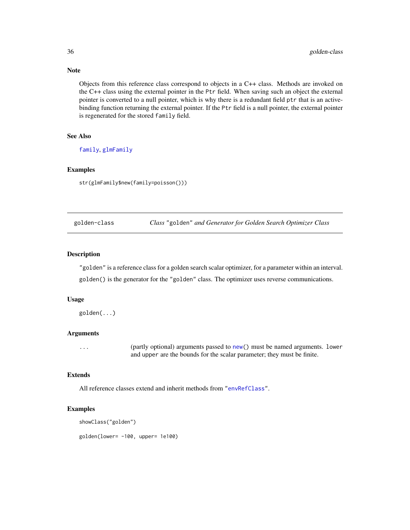Objects from this reference class correspond to objects in a C++ class. Methods are invoked on the C++ class using the external pointer in the Ptr field. When saving such an object the external pointer is converted to a null pointer, which is why there is a redundant field ptr that is an activebinding function returning the external pointer. If the Ptr field is a null pointer, the external pointer is regenerated for the stored family field.

# See Also

[family](#page-0-0), [glmFamily](#page-34-2)

# Examples

str(glmFamily\$new(family=poisson()))

golden-class *Class* "golden" *and Generator for Golden Search Optimizer Class*

# Description

"golden" is a reference class for a golden search scalar optimizer, for a parameter within an interval. golden() is the generator for the "golden" class. The optimizer uses reverse communications.

## Usage

golden(...)

## Arguments

... (partly optional) arguments passed to [new\(](#page-0-0)) must be named arguments. lower and upper are the bounds for the scalar parameter; they must be finite.

## Extends

All reference classes extend and inherit methods from ["envRefClass"](#page-0-0).

# Examples

```
showClass("golden")
```
golden(lower= -100, upper= 1e100)

<span id="page-35-0"></span>

# Note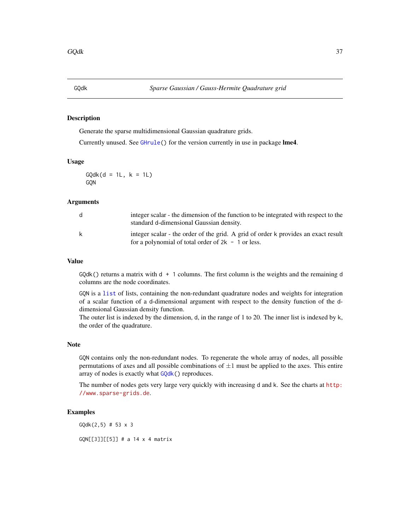### <span id="page-36-0"></span>Description

Generate the sparse multidimensional Gaussian quadrature grids.

Currently unused. See [GHrule\(](#page-27-0)) for the version currently in use in package lme4.

## Usage

 $GQdk(d = 1L, k = 1L)$ GQN

#### Arguments

| d | integer scalar - the dimension of the function to be integrated with respect to the<br>standard d-dimensional Gaussian density.            |
|---|--------------------------------------------------------------------------------------------------------------------------------------------|
| k | integer scalar - the order of the grid. A grid of order k provides an exact result<br>for a polynomial of total order of $2k - 1$ or less. |

## Value

 $GQdk()$  returns a matrix with  $d + 1$  columns. The first column is the weights and the remaining d columns are the node coordinates.

GQN is a [list](#page-0-0) of lists, containing the non-redundant quadrature nodes and weights for integration of a scalar function of a d-dimensional argument with respect to the density function of the ddimensional Gaussian density function.

The outer list is indexed by the dimension, d, in the range of 1 to 20. The inner list is indexed by k, the order of the quadrature.

### Note

GQN contains only the non-redundant nodes. To regenerate the whole array of nodes, all possible permutations of axes and all possible combinations of  $\pm 1$  must be applied to the axes. This entire array of nodes is exactly what [GQdk\(](#page-36-0)) reproduces.

The number of nodes gets very large very quickly with increasing d and k. See the charts at [http:](http://www.sparse-grids.de) [//www.sparse-grids.de](http://www.sparse-grids.de).

# Examples

GQdk(2,5) # 53 x 3

GQN[[3]][[5]] # a 14 x 4 matrix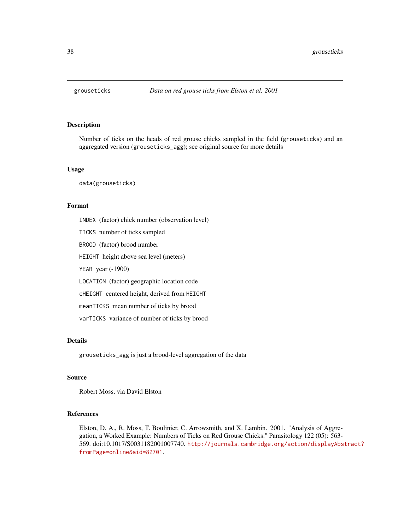# Description

Number of ticks on the heads of red grouse chicks sampled in the field (grouseticks) and an aggregated version (grouseticks\_agg); see original source for more details

#### Usage

data(grouseticks)

### Format

INDEX (factor) chick number (observation level) TICKS number of ticks sampled BROOD (factor) brood number HEIGHT height above sea level (meters) YEAR year (-1900) LOCATION (factor) geographic location code cHEIGHT centered height, derived from HEIGHT meanTICKS mean number of ticks by brood varTICKS variance of number of ticks by brood

### Details

grouseticks\_agg is just a brood-level aggregation of the data

#### Source

Robert Moss, via David Elston

## References

Elston, D. A., R. Moss, T. Boulinier, C. Arrowsmith, and X. Lambin. 2001. "Analysis of Aggregation, a Worked Example: Numbers of Ticks on Red Grouse Chicks." Parasitology 122 (05): 563- 569. doi:10.1017/S0031182001007740. [http://journals.cambridge.org/action/displayAbs](http://journals.cambridge.org/action/displayAbstract?fromPage=online&aid=82701)tract? [fromPage=online&aid=82701](http://journals.cambridge.org/action/displayAbstract?fromPage=online&aid=82701).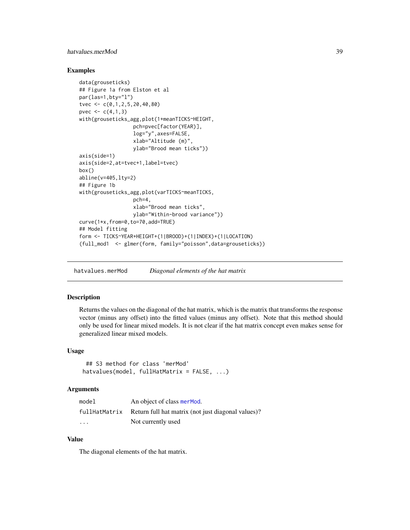# hatvalues.merMod 39

### Examples

```
data(grouseticks)
## Figure 1a from Elston et al
par(las=1,bty="l")
tvec <- c(0,1,2,5,20,40,80)
pvec \leq c(4,1,3)with(grouseticks_agg,plot(1+meanTICKS~HEIGHT,
                  pch=pvec[factor(YEAR)],
                  log="y",axes=FALSE,
                  xlab="Altitude (m)",
                  ylab="Brood mean ticks"))
axis(side=1)
axis(side=2,at=tvec+1,label=tvec)
box()
abline(v=405,lty=2)
## Figure 1b
with(grouseticks_agg,plot(varTICKS~meanTICKS,
                  pch=4,
                  xlab="Brood mean ticks",
                  ylab="Within-brood variance"))
curve(1*x,from=0,to=70,add=TRUE)
## Model fitting
form <- TICKS~YEAR+HEIGHT+(1|BROOD)+(1|INDEX)+(1|LOCATION)
(full_mod1 <- glmer(form, family="poisson",data=grouseticks))
```
hatvalues.merMod *Diagonal elements of the hat matrix*

### Description

Returns the values on the diagonal of the hat matrix, which is the matrix that transforms the response vector (minus any offset) into the fitted values (minus any offset). Note that this method should only be used for linear mixed models. It is not clear if the hat matrix concept even makes sense for generalized linear mixed models.

### Usage

```
## S3 method for class 'merMod'
hatvalues(model, fullHatMatrix = FALSE, ...)
```
### Arguments

| model                   | An object of class mer Mod.                        |
|-------------------------|----------------------------------------------------|
| fullHatMatrix           | Return full hat matrix (not just diagonal values)? |
| $\cdot$ $\cdot$ $\cdot$ | Not currently used                                 |

# Value

The diagonal elements of the hat matrix.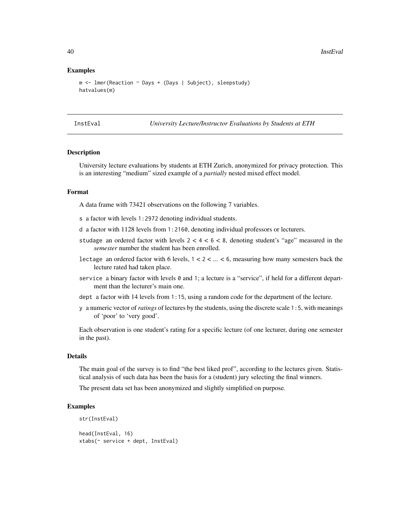#### Examples

```
m <- lmer(Reaction ~ Days + (Days | Subject), sleepstudy)
hatvalues(m)
```
InstEval *University Lecture/Instructor Evaluations by Students at ETH*

#### **Description**

University lecture evaluations by students at ETH Zurich, anonymized for privacy protection. This is an interesting "medium" sized example of a *partially* nested mixed effect model.

# Format

A data frame with 73421 observations on the following 7 variables.

- s a factor with levels 1:2972 denoting individual students.
- d a factor with 1128 levels from 1:2160, denoting individual professors or lecturers.
- studage an ordered factor with levels  $2 < 4 < 6 < 8$ , denoting student's "age" measured in the *semester* number the student has been enrolled.
- lectage an ordered factor with 6 levels, 1 < 2 < ... < 6, measuring how many semesters back the lecture rated had taken place.
- service a binary factor with levels 0 and 1; a lecture is a "service", if held for a different department than the lecturer's main one.
- dept a factor with 14 levels from 1:15, using a random code for the department of the lecture.
- y a numeric vector of*ratings* of lectures by the students, using the discrete scale 1:5, with meanings of 'poor' to 'very good'.

Each observation is one student's rating for a specific lecture (of one lecturer, during one semester in the past).

#### Details

The main goal of the survey is to find "the best liked prof", according to the lectures given. Statistical analysis of such data has been the basis for a (student) jury selecting the final winners.

The present data set has been anonymized and slightly simplified on purpose.

#### Examples

```
str(InstEval)
```

```
head(InstEval, 16)
xtabs(~ service + dept, InstEval)
```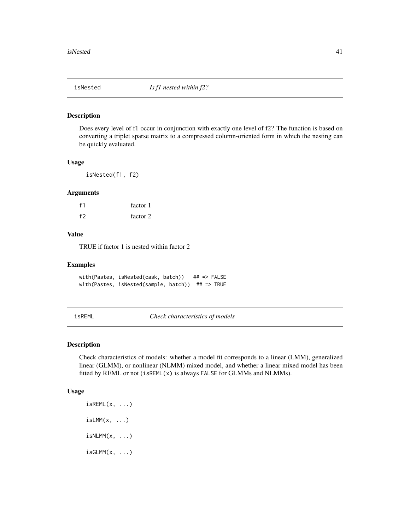#### Description

Does every level of f1 occur in conjunction with exactly one level of f2? The function is based on converting a triplet sparse matrix to a compressed column-oriented form in which the nesting can be quickly evaluated.

#### Usage

isNested(f1, f2)

#### Arguments

| f <sub>1</sub> | factor 1 |
|----------------|----------|
| f2             | factor 2 |

# Value

TRUE if factor 1 is nested within factor 2

## Examples

with(Pastes, isNested(cask, batch)) ## => FALSE with(Pastes, isNested(sample, batch)) ## => TRUE

<span id="page-40-0"></span>isREML *Check characteristics of models*

#### <span id="page-40-1"></span>Description

Check characteristics of models: whether a model fit corresponds to a linear (LMM), generalized linear (GLMM), or nonlinear (NLMM) mixed model, and whether a linear mixed model has been fitted by REML or not (isREML(x) is always FALSE for GLMMs and NLMMs).

### Usage

 $i$ sREML $(x, \ldots)$  $isLMM(x, \ldots)$  $i$ sNLMM $(x, \ldots)$  $isGLMM(x, \ldots)$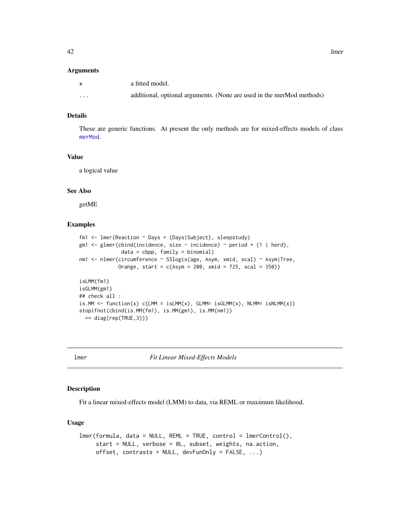|         | a fitted model.                                                       |
|---------|-----------------------------------------------------------------------|
| $\cdot$ | additional, optional arguments. (None are used in the merMod methods) |

# Details

These are generic functions. At present the only methods are for mixed-effects models of class [merMod](#page-54-1).

### Value

a logical value

# See Also

getME

# Examples

```
fm1 <- lmer(Reaction ~ Days + (Days|Subject), sleepstudy)
gm1 <- glmer(cbind(incidence, size - incidence) ~ period + (1 | herd),
              data = cbpp, family = binomial)
nm1 <- nlmer(circumference ~ SSlogis(age, Asym, xmid, scal) ~ Asym|Tree,
             Orange, start = c(Asym = 200, xmid = 725, scal = 350)isLMM(fm1)
isGLMM(gm1)
## check all :
is.MM <- function(x) c(LMM = isLMM(x), GLMM = isGLMM(x), NLMM = isNLMM(x))stopifnot(cbind(is.MM(fm1), is.MM(gm1), is.MM(nm1))
  == diag(rep(TRUE,3)))
```
<span id="page-41-0"></span>

lmer *Fit Linear Mixed-Effects Models*

### Description

Fit a linear mixed-effects model (LMM) to data, via REML or maximum likelihood.

#### Usage

```
lmer(formula, data = NULL, REML = TRUE, control = lmerControl(),start = NULL, verbose = 0L, subset, weights, na.action,
     offset, contrasts = NULL, devFunOnly = FALSE, ...)
```
42 lmer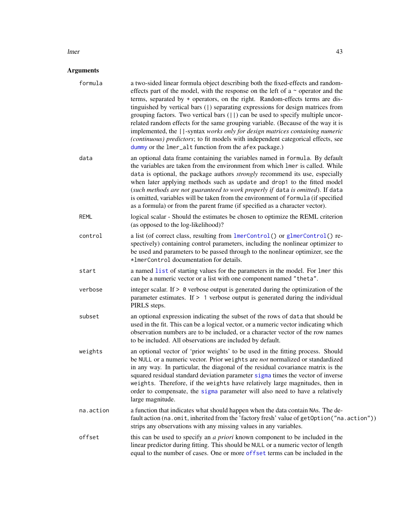#### lmer and the set of the set of the set of the set of the set of the set of the set of the set of the set of the set of the set of the set of the set of the set of the set of the set of the set of the set of the set of the

| formula     | a two-sided linear formula object describing both the fixed-effects and random-<br>effects part of the model, with the response on the left of a $\sim$ operator and the<br>terms, separated by + operators, on the right. Random-effects terms are dis-<br>tinguished by vertical bars (1) separating expressions for design matrices from<br>grouping factors. Two vertical bars $(  \rangle)$ can be used to specify multiple uncor-<br>related random effects for the same grouping variable. (Because of the way it is<br>implemented, the   -syntax works only for design matrices containing numeric<br>(continuous) predictors; to fit models with independent categorical effects, see<br>dummy or the 1mer_alt function from the afex package.) |
|-------------|-----------------------------------------------------------------------------------------------------------------------------------------------------------------------------------------------------------------------------------------------------------------------------------------------------------------------------------------------------------------------------------------------------------------------------------------------------------------------------------------------------------------------------------------------------------------------------------------------------------------------------------------------------------------------------------------------------------------------------------------------------------|
| data        | an optional data frame containing the variables named in formula. By default<br>the variables are taken from the environment from which lmer is called. While<br>data is optional, the package authors <i>strongly</i> recommend its use, especially<br>when later applying methods such as update and drop1 to the fitted model<br>(such methods are not guaranteed to work properly if data is omitted). If data<br>is omitted, variables will be taken from the environment of formula (if specified<br>as a formula) or from the parent frame (if specified as a character vector).                                                                                                                                                                   |
| <b>REML</b> | logical scalar - Should the estimates be chosen to optimize the REML criterion<br>(as opposed to the log-likelihood)?                                                                                                                                                                                                                                                                                                                                                                                                                                                                                                                                                                                                                                     |
| control     | a list (of correct class, resulting from lmerControl() or glmerControl() re-<br>spectively) containing control parameters, including the nonlinear optimizer to<br>be used and parameters to be passed through to the nonlinear optimizer, see the<br>*1merControl documentation for details.                                                                                                                                                                                                                                                                                                                                                                                                                                                             |
| start       | a named list of starting values for the parameters in the model. For lmer this<br>can be a numeric vector or a list with one component named "theta".                                                                                                                                                                                                                                                                                                                                                                                                                                                                                                                                                                                                     |
| verbose     | integer scalar. If $> 0$ verbose output is generated during the optimization of the<br>parameter estimates. If $> 1$ verbose output is generated during the individual<br>PIRLS steps.                                                                                                                                                                                                                                                                                                                                                                                                                                                                                                                                                                    |
| subset      | an optional expression indicating the subset of the rows of data that should be<br>used in the fit. This can be a logical vector, or a numeric vector indicating which<br>observation numbers are to be included, or a character vector of the row names<br>to be included. All observations are included by default.                                                                                                                                                                                                                                                                                                                                                                                                                                     |
| weights     | an optional vector of 'prior weights' to be used in the fitting process. Should<br>be NULL or a numeric vector. Prior weights are not normalized or standardized<br>in any way. In particular, the diagonal of the residual covariance matrix is the<br>squared residual standard deviation parameter sigma times the vector of inverse<br>weights. Therefore, if the weights have relatively large magnitudes, then in<br>order to compensate, the sigma parameter will also need to have a relatively<br>large magnitude.                                                                                                                                                                                                                               |
| na.action   | a function that indicates what should happen when the data contain NAs. The de-<br>fault action (na.omit, inherited from the 'factory fresh' value of getOption ("na.action"))<br>strips any observations with any missing values in any variables.                                                                                                                                                                                                                                                                                                                                                                                                                                                                                                       |
| offset      | this can be used to specify an <i>a priori</i> known component to be included in the<br>linear predictor during fitting. This should be NULL or a numeric vector of length<br>equal to the number of cases. One or more offset terms can be included in the                                                                                                                                                                                                                                                                                                                                                                                                                                                                                               |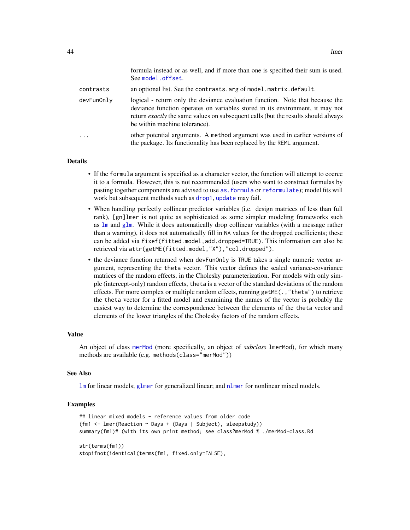|            | formula instead or as well, and if more than one is specified their sum is used.<br>See model.offset.                                                                                                                                                                                       |
|------------|---------------------------------------------------------------------------------------------------------------------------------------------------------------------------------------------------------------------------------------------------------------------------------------------|
| contrasts  | an optional list. See the contrasts. arg of model. matrix. default.                                                                                                                                                                                                                         |
| devFunOnly | logical - return only the deviance evaluation function. Note that because the<br>deviance function operates on variables stored in its environment, it may not<br>return <i>exactly</i> the same values on subsequent calls (but the results should always<br>be within machine tolerance). |
| .          | other potential arguments. A method argument was used in earlier versions of<br>the package. Its functionality has been replaced by the REML argument.                                                                                                                                      |

### **Details**

- If the formula argument is specified as a character vector, the function will attempt to coerce it to a formula. However, this is not recommended (users who want to construct formulas by pasting together components are advised to use [as.formula](#page-0-0) or [reformulate](#page-0-0)); model fits will work but subsequent methods such as [drop1](#page-0-0), [update](#page-0-0) may fail.
- When handling perfectly collinear predictor variables (i.e. design matrices of less than full rank), [gn]lmer is not quite as sophisticated as some simpler modeling frameworks such as [lm](#page-0-0) and [glm](#page-0-0). While it does automatically drop collinear variables (with a message rather than a warning), it does not automatically fill in NA values for the dropped coefficients; these can be added via fixef(fitted.model,add.dropped=TRUE). This information can also be retrieved via attr(getME(fitted.model,"X"),"col.dropped").
- the deviance function returned when devFunOnly is TRUE takes a single numeric vector argument, representing the theta vector. This vector defines the scaled variance-covariance matrices of the random effects, in the Cholesky parameterization. For models with only simple (intercept-only) random effects, theta is a vector of the standard deviations of the random effects. For more complex or multiple random effects, running getME $($ ., "theta") to retrieve the theta vector for a fitted model and examining the names of the vector is probably the easiest way to determine the correspondence between the elements of the theta vector and elements of the lower triangles of the Cholesky factors of the random effects.

#### Value

An object of class [merMod](#page-54-1) (more specifically, an object of *subclass* lmerMod), for which many methods are available (e.g. methods(class="merMod"))

#### See Also

[lm](#page-0-0) for linear models; [glmer](#page-28-0) for generalized linear; and [nlmer](#page-73-0) for nonlinear mixed models.

#### Examples

```
## linear mixed models - reference values from older code
(fm1 <- lmer(Reaction ~ Days + (Days | Subject), sleepstudy))
summary(fm1)# (with its own print method; see class?merMod % ./merMod-class.Rd
str(terms(fm1))
stopifnot(identical(terms(fm1, fixed.only=FALSE),
```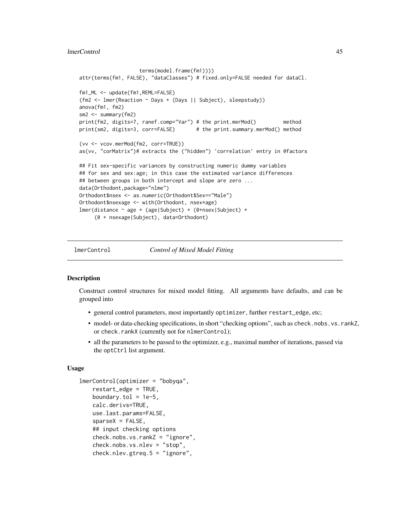#### lmerControl 45

```
terms(model.frame(fm1))))
attr(terms(fm1, FALSE), "dataClasses") # fixed.only=FALSE needed for dataCl.
fm1_ML <- update(fm1,REML=FALSE)
(fm2 <- lmer(Reaction ~ Days + (Days || Subject), sleepstudy))
anova(fm1, fm2)
sm2 <- summary(fm2)
print(fm2, digits=7, ranef.comp="Var") # the print.merMod() method
print(sm2, digits=3, corr=FALSE) # the print.summary.merMod() method
(vv <- vcov.merMod(fm2, corr=TRUE))
as(vv, "corMatrix")# extracts the ("hidden") 'correlation' entry in @factors
## Fit sex-specific variances by constructing numeric dummy variables
## for sex and sex:age; in this case the estimated variance differences
## between groups in both intercept and slope are zero ...
data(Orthodont,package="nlme")
Orthodont$nsex <- as.numeric(Orthodont$Sex=="Male")
Orthodont$nsexage <- with(Orthodont, nsex*age)
lmer(distance ~ age + (age|Subject) + (0+nsex|Subject) +
     (0 + nsexage|Subject), data=Orthodont)
```
<span id="page-44-0"></span>

lmerControl *Control of Mixed Model Fitting*

### <span id="page-44-1"></span>Description

Construct control structures for mixed model fitting. All arguments have defaults, and can be grouped into

- general control parameters, most importantly optimizer, further restart\_edge, etc;
- model- or data-checking specifications, in short "checking options", such as check.nobs.vs.rankZ, or check.rankX (currently not for nlmerControl);
- all the parameters to be passed to the optimizer, e.g., maximal number of iterations, passed via the optCtrl list argument.

### Usage

```
lmerControl(optimizer = "bobyqa",
   restart_edge = TRUE,
   boundary.tol = 1e-5,
   calc.derivs=TRUE,
   use.last.params=FALSE,
   sparseX = FALSE,
    ## input checking options
   check.nobs.vs.rankZ = "ignore",
    check.nobs.vs.nlev = "stop",
   check.nlev.gtreq.5 = "ignore",
```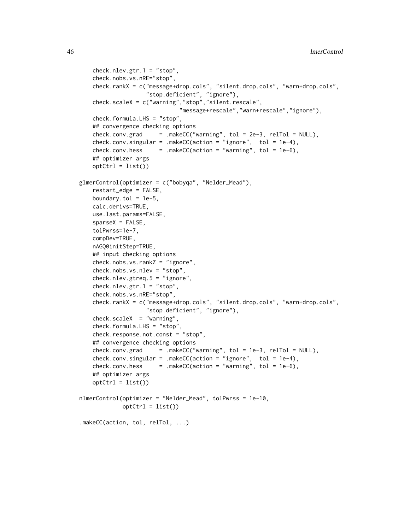```
check.nlev.getr.1 = "stop",check.nobs.vs.nRE="stop",
    check.rankX = c("message+drop.cols", "silent.drop.cols", "warn+drop.cols",
                    "stop.deficient", "ignore"),
    check.scaleX = c("warning","stop","silent.rescale",
                             "message+rescale","warn+rescale","ignore"),
   check.formula.LHS = "stop",
    ## convergence checking options
   check.comv.grad = .makeCC("warning", tol = 2e-3, relTol = NULL),check.conv.singular = .makeCC(action = "ignore", tol = 1e-4),
   check.comv.hess = .makeC(action = "warning", tol = 1e-6),## optimizer args
   optCtrl = list()glmerControl(optimizer = c("bobyqa", "Nelder_Mead"),
    restart_edge = FALSE,
   boundary.tol = 1e-5,
   calc.derivs=TRUE,
   use.last.params=FALSE,
   sparseX = FALSE,
   tolPwrss=1e-7,
   compDev=TRUE,
   nAGQ0initStep=TRUE,
   ## input checking options
   check.nobs.vs.rankZ = "ignore",
   check.nobs.vs.nlev = "stop",
   check.nlev.gtreq.5 = "ignore",
   check.nlev.getr.1 = "stop",check.nobs.vs.nRE="stop",
   check.rankX = c("message+drop.cols", "silent.drop.cols", "warn+drop.cols",
                   "stop.deficient", "ignore"),
   check.scaleX = "warning",
   check.formula.LHS = "stop",
   check.response.not.const = "stop",
    ## convergence checking options
   check.comv.grad = makeCC("warmning", tol = 1e-3, relTol = NULL),check.conv.singular = .makeCC(action = "ignore", tol = 1e-4),
   check.comv.hess = makeCC(action = "warning", tol = 1e-6),## optimizer args
   optCtrl = list()nlmerControl(optimizer = "Nelder_Mead", tolPwrss = 1e-10,
            optCtrl = list().makeCC(action, tol, relTol, ...)
```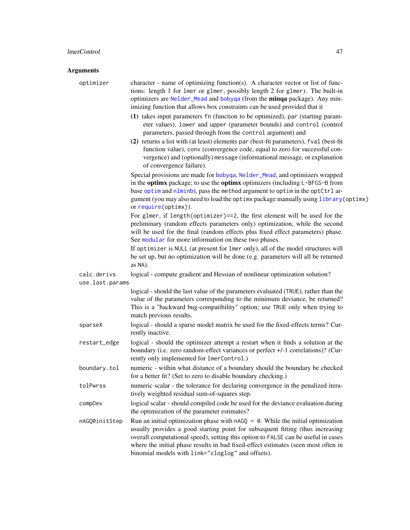| optimizer                      | character - name of optimizing function(s). A character vector or list of func-<br>tions: length 1 for 1mer or g1mer, possibly length 2 for g1mer). The built-in<br>optimizers are Nelder_Mead and bobyqa (from the minqa package). Any min-<br>imizing function that allows box constraints can be used provided that it<br>(1) takes input parameters fn (function to be optimized), par (starting param-<br>eter values), lower and upper (parameter bounds) and control (control |
|--------------------------------|--------------------------------------------------------------------------------------------------------------------------------------------------------------------------------------------------------------------------------------------------------------------------------------------------------------------------------------------------------------------------------------------------------------------------------------------------------------------------------------|
|                                | parameters, passed through from the control argument) and<br>(2) returns a list with (at least) elements par (best-fit parameters), fval (best-fit<br>function value), conv (convergence code, equal to zero for successful con-<br>vergence) and (optionally) message (informational message, or explanation<br>of convergence failure).                                                                                                                                            |
|                                | Special provisions are made for bobyqa, Nelder_Mead, and optimizers wrapped<br>in the optimx package; to use the optimx optimizers (including L-BFGS-B from<br>base optim and nlminb), pass the method argument to optim in the optCtrl ar-<br>gument (you may also need to load the optimx package manually using library (optimx)<br>or require(optimx)).                                                                                                                          |
|                                | For glmer, if length(optimizer)==2, the first element will be used for the<br>preliminary (random effects parameters only) optimization, while the second<br>will be used for the final (random effects plus fixed effect parameters) phase.<br>See modular for more information on these two phases.                                                                                                                                                                                |
|                                | If optimizer is NULL (at present for lmer only), all of the model structures will<br>be set up, but no optimization will be done (e.g. parameters will all be returned<br>as NA).                                                                                                                                                                                                                                                                                                    |
| calc.derivs<br>use.last.params | logical - compute gradient and Hessian of nonlinear optimization solution?                                                                                                                                                                                                                                                                                                                                                                                                           |
|                                | logical - should the last value of the parameters evaluated (TRUE), rather than the<br>value of the parameters corresponding to the minimum deviance, be returned?<br>This is a "backward bug-compatibility" option; use TRUE only when trying to<br>match previous results.                                                                                                                                                                                                         |
| sparseX                        | logical - should a sparse model matrix be used for the fixed-effects terms? Cur-<br>rently inactive.                                                                                                                                                                                                                                                                                                                                                                                 |
| restart_edge                   | logical - should the optimizer attempt a restart when it finds a solution at the<br>boundary (i.e. zero random-effect variances or perfect +/-1 correlations)? (Cur-<br>rently only implemented for lmerControl.)                                                                                                                                                                                                                                                                    |
| boundary.tol                   | numeric - within what distance of a boundary should the boundary be checked<br>for a better fit? (Set to zero to disable boundary checking.)                                                                                                                                                                                                                                                                                                                                         |
| tolPwrss                       | numeric scalar - the tolerance for declaring convergence in the penalized itera-<br>tively weighted residual sum-of-squares step.                                                                                                                                                                                                                                                                                                                                                    |
| compDev                        | logical scalar - should compiled code be used for the deviance evaluation during<br>the optimization of the parameter estimates?                                                                                                                                                                                                                                                                                                                                                     |
| nAGQ0initStep                  | Run an initial optimization phase with $nAGQ = 0$ . While the initial optimization<br>usually provides a good starting point for subsequent fitting (thus increasing<br>overall computational speed), setting this option to FALSE can be useful in cases<br>where the initial phase results in bad fixed-effect estimates (seen most often in<br>binomial models with link="cloglog" and offsets).                                                                                  |
|                                |                                                                                                                                                                                                                                                                                                                                                                                                                                                                                      |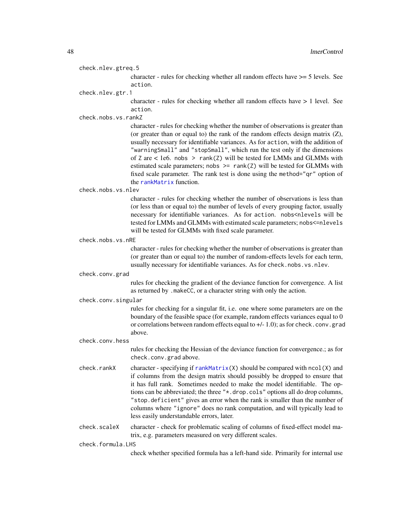check.nlev.gtreq.5

character - rules for checking whether all random effects have >= 5 levels. See action.

check.nlev.gtr.1

character - rules for checking whether all random effects have > 1 level. See action.

check.nobs.vs.rankZ

character - rules for checking whether the number of observations is greater than (or greater than or equal to) the rank of the random effects design matrix  $(Z)$ , usually necessary for identifiable variances. As for action, with the addition of "warningSmall" and "stopSmall", which run the test only if the dimensions of Z are  $<$  1e6. nobs  $>$  rank(Z) will be tested for LMMs and GLMMs with estimated scale parameters; nobs  $\ge$  rank(Z) will be tested for GLMMs with fixed scale parameter. The rank test is done using the method="qr" option of the [rankMatrix](#page-0-0) function.

check.nobs.vs.nlev

character - rules for checking whether the number of observations is less than (or less than or equal to) the number of levels of every grouping factor, usually necessary for identifiable variances. As for action. nobs<nlevels will be tested for LMMs and GLMMs with estimated scale parameters; nobs<=nlevels will be tested for GLMMs with fixed scale parameter.

check.nobs.vs.nRE

character - rules for checking whether the number of observations is greater than (or greater than or equal to) the number of random-effects levels for each term, usually necessary for identifiable variances. As for check.nobs.vs.nlev.

check.conv.grad

rules for checking the gradient of the deviance function for convergence. A list as returned by .makeCC, or a character string with only the action.

check.conv.singular

rules for checking for a singular fit, i.e. one where some parameters are on the boundary of the feasible space (for example, random effects variances equal to 0 or correlations between random effects equal to +/- 1.0); as for check.conv.grad above.

check.conv.hess

rules for checking the Hessian of the deviance function for convergence.; as for check.conv.grad above.

- check.rankX character specifying if [rankMatrix\(](#page-0-0)X) should be compared with ncol(X) and if columns from the design matrix should possibly be dropped to ensure that it has full rank. Sometimes needed to make the model identifiable. The options can be abbreviated; the three "\*.drop.cols" options all do drop columns, "stop.deficient" gives an error when the rank is smaller than the number of columns where "ignore" does no rank computation, and will typically lead to less easily understandable errors, later.
- check.scaleX character check for problematic scaling of columns of fixed-effect model matrix, e.g. parameters measured on very different scales.

check.formula.LHS

check whether specified formula has a left-hand side. Primarily for internal use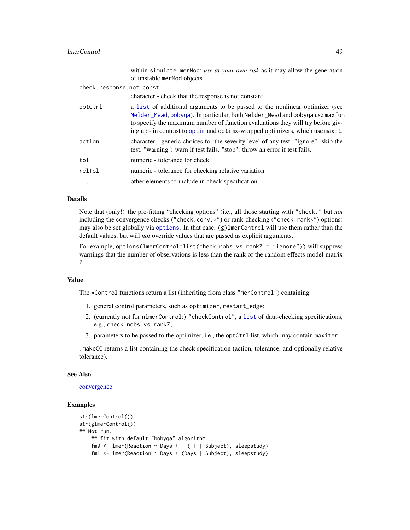#### lmerControl 49

|                          | within simulate.merMod; use at your own risk as it may allow the generation<br>of unstable merMod objects                                                                                                                                                                                                                        |
|--------------------------|----------------------------------------------------------------------------------------------------------------------------------------------------------------------------------------------------------------------------------------------------------------------------------------------------------------------------------|
| check.response.not.const |                                                                                                                                                                                                                                                                                                                                  |
|                          | character - check that the response is not constant.                                                                                                                                                                                                                                                                             |
| optCtrl                  | a list of additional arguments to be passed to the nonlinear optimizer (see<br>Nelder_Mead, bobyqa). In particular, both Nelder_Mead and bobyqa use maxfun<br>to specify the maximum number of function evaluations they will try before giv-<br>ing up - in contrast to optime and optimin-wrapped optimizers, which use maxit. |
| action                   | character - generic choices for the severity level of any test. "ignore": skip the<br>test. "warning": warn if test fails. "stop": throw an error if test fails.                                                                                                                                                                 |
| tol                      | numeric - tolerance for check                                                                                                                                                                                                                                                                                                    |
| relTol                   | numeric - tolerance for checking relative variation                                                                                                                                                                                                                                                                              |
| $\ddotsc$                | other elements to include in check specification                                                                                                                                                                                                                                                                                 |

### Details

Note that (only!) the pre-fitting "checking options" (i.e., all those starting with "check." but *not* including the convergence checks ("check.conv.\*") or rank-checking ("check.rank\*") options) may also be set globally via [options](#page-0-0). In that case, (g)lmerControl will use them rather than the default values, but will *not* override values that are passed as explicit arguments.

For example, options(lmerControl=list(check.nobs.vs.rankZ = "ignore")) will suppress warnings that the number of observations is less than the rank of the random effects model matrix Z.

### Value

The \*Control functions return a list (inheriting from class "merControl") containing

- 1. general control parameters, such as optimizer, restart\_edge;
- 2. (currently not for nlmerControl:) "checkControl", a [list](#page-0-0) of data-checking specifications, e.g., check.nobs.vs.rankZ;
- 3. parameters to be passed to the optimizer, i.e., the optCtrl list, which may contain maxiter.

.makeCC returns a list containing the check specification (action, tolerance, and optionally relative tolerance).

### See Also

### [convergence](#page-13-0)

#### Examples

```
str(lmerControl())
str(glmerControl())
## Not run:
   ## fit with default "bobyqa" algorithm ...
    fm0 <- lmer(Reaction ~ Days + ( 1 | Subject), sleepstudy)
    fm1 <- lmer(Reaction ~ Days + (Days | Subject), sleepstudy)
```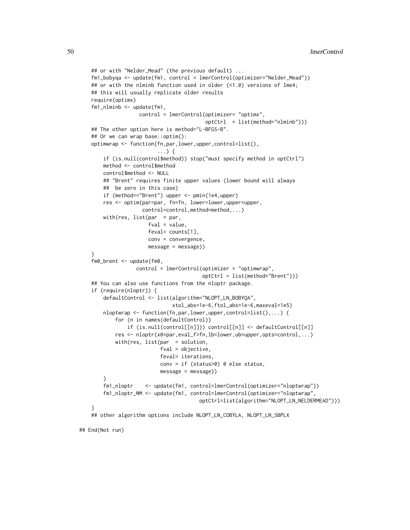```
## or with "Nelder_Mead" (the previous default) ...
fm1_bobyqa <- update(fm1, control = lmerControl(optimizer="Nelder_Mead"))
## or with the nlminb function used in older (<1.0) versions of lme4;
## this will usually replicate older results
require(optimx)
fm1_nlminb <- update(fm1,
                control = lmerControl(optimizer= "optimx",
                                      optCtrl = list(method="nlminb")))
## The other option here is method="L-BFGS-B".
## Or we can wrap base::optim():
optimwrap <- function(fn,par,lower,upper,control=list(),
                      ...) {
    if (is.null(control$method)) stop("must specify method in optCtrl")
   method <- control$method
    control$method <- NULL
    ## "Brent" requires finite upper values (lower bound will always
   ## be zero in this case)
   if (method=="Brent") upper <- pmin(1e4,upper)
   res <- optim(par=par, fn=fn, lower=lower,upper=upper,
                 control=control,method=method,...)
   with(res, list(par = par,fval = value,
                   feval= counts[1],
                   conv = convergence,
                   message = message))
}
fm0_brent <- update(fm0,
               control = lmerControl(optimizer = "optimwrap",
                                     optCtrl = list(method="Brent")))
## You can also use functions from the nloptr package.
if (require(nloptr)) {
   defaultControl <- list(algorithm="NLOPT_LN_BOBYQA",
                           xtol_abs=1e-6,ftol_abs=1e-6,maxeval=1e5)
   nloptwrap <- function(fn,par,lower,upper,control=list(),...) {
       for (n in names(defaultControl))
            if (is.null(control[[n]])) control[[n]] <- defaultControl[[n]]
       res <- nloptr(x0=par,eval_f=fn,lb=lower,ub=upper,opts=control,...)
       with(res, list(par = solution,
                       fval = objective,
                       feval= iterations,
                       conv = if (status>0) 0 else status,
                       message = message))
    }
    fm1_nloptr <- update(fm1, control=lmerControl(optimizer="nloptwrap"))
   fm1_nloptr_NM <- update(fm1, control=lmerControl(optimizer="nloptwrap",
                                    optCtrl=list(algorithm="NLOPT_LN_NELDERMEAD")))
}
## other algorithm options include NLOPT_LN_COBYLA, NLOPT_LN_SBPLX
```
## End(Not run)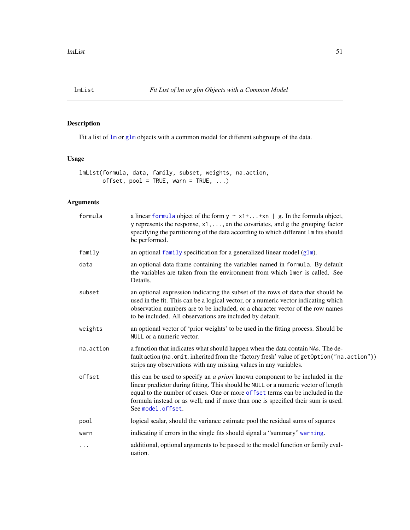<span id="page-50-0"></span>

# Description

Fit a list of [lm](#page-0-0) or [glm](#page-0-0) objects with a common model for different subgroups of the data.

# Usage

```
lmList(formula, data, family, subset, weights, na.action,
      offset, pool = TRUE, warn = TRUE, ...)
```

| formula   | a linear formula object of the form $y \sim x1 +  + xn \mid g$ . In the formula object,<br>y represents the response, $x1, \ldots, xn$ the covariates, and g the grouping factor<br>specifying the partitioning of the data according to which different 1m fits should<br>be performed.                                                                             |
|-----------|----------------------------------------------------------------------------------------------------------------------------------------------------------------------------------------------------------------------------------------------------------------------------------------------------------------------------------------------------------------------|
| family    | an optional family specification for a generalized linear model $(glm)$ .                                                                                                                                                                                                                                                                                            |
| data      | an optional data frame containing the variables named in formula. By default<br>the variables are taken from the environment from which lmer is called. See<br>Details.                                                                                                                                                                                              |
| subset    | an optional expression indicating the subset of the rows of data that should be<br>used in the fit. This can be a logical vector, or a numeric vector indicating which<br>observation numbers are to be included, or a character vector of the row names<br>to be included. All observations are included by default.                                                |
| weights   | an optional vector of 'prior weights' to be used in the fitting process. Should be<br>NULL or a numeric vector.                                                                                                                                                                                                                                                      |
| na.action | a function that indicates what should happen when the data contain NAs. The de-<br>fault action (na.omit, inherited from the 'factory fresh' value of getOption ("na.action"))<br>strips any observations with any missing values in any variables.                                                                                                                  |
| offset    | this can be used to specify an <i>a priori</i> known component to be included in the<br>linear predictor during fitting. This should be NULL or a numeric vector of length<br>equal to the number of cases. One or more offset terms can be included in the<br>formula instead or as well, and if more than one is specified their sum is used.<br>See model.offset. |
| pool      | logical scalar, should the variance estimate pool the residual sums of squares                                                                                                                                                                                                                                                                                       |
| warn      | indicating if errors in the single fits should signal a "summary" warning.                                                                                                                                                                                                                                                                                           |
| $\cdots$  | additional, optional arguments to be passed to the model function or family eval-<br>uation.                                                                                                                                                                                                                                                                         |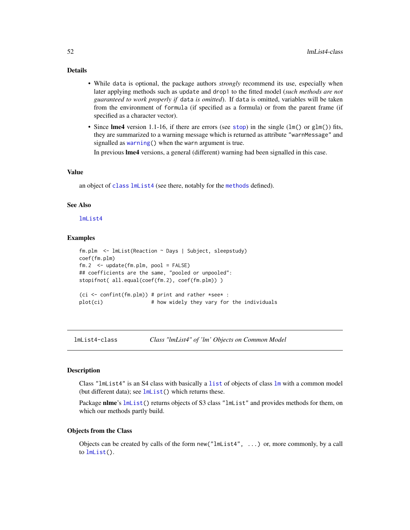# Details

- While data is optional, the package authors *strongly* recommend its use, especially when later applying methods such as update and drop1 to the fitted model (*such methods are not guaranteed to work properly if* data *is omitted*). If data is omitted, variables will be taken from the environment of formula (if specified as a formula) or from the parent frame (if specified as a character vector).
- Since lme4 version 1.1-16, if there are errors (see [stop](#page-0-0)) in the single ( $lm()$  or  $glm()$ ) fits, they are summarized to a warning message which is returned as attribute "warnMessage" and signalled as [warning\(](#page-0-0)) when the warn argument is true.

In previous lme4 versions, a general (different) warning had been signalled in this case.

#### Value

an object of [class](#page-0-0) [lmList4](#page-51-0) (see there, notably for the [methods](#page-0-0) defined).

#### See Also

[lmList4](#page-51-0)

#### Examples

```
fm.plm <- lmList(Reaction ~ Days | Subject, sleepstudy)
coef(fm.plm)
fm.2 <- update(fm.plm, pool = FALSE)
## coefficients are the same, "pooled or unpooled":
stopifnot( all.equal(coef(fm.2), coef(fm.plm)) )
(ci \le confint(fm.plm)) # print and rather *see* :
plot(ci) # how widely they vary for the individuals
```
<span id="page-51-0"></span>lmList4-class *Class "lmList4" of 'lm' Objects on Common Model*

### Description

Class "lmList4" is an S4 class with basically a [list](#page-0-0) of objects of class [lm](#page-0-0) with a common model (but different data); see  $lmList()$  $lmList()$  which returns these.

Package nlme's [lmList\(](#page-50-0)) returns objects of S3 class "lmList" and provides methods for them, on which our methods partly build.

### Objects from the Class

Objects can be created by calls of the form new("lmList4", ...) or, more commonly, by a call to [lmList\(](#page-50-0)).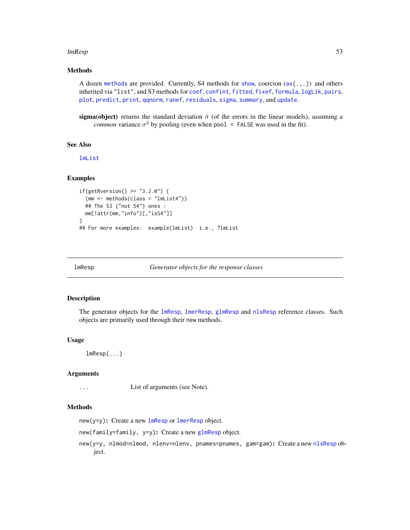#### $lmResp$  53

# Methods

A dozen [methods](#page-0-0) are provided. Currently, S4 methods for [show](#page-0-0), coercion  $(as (.,.))$  and others inherited via "list", and S3 methods for [coef](#page-0-0), [confint](#page-0-0), [fitted](#page-0-0), [fixef](#page-22-0), [formula](#page-0-0), [logLik](#page-0-0), [pairs](#page-0-0), [plot](#page-0-0), [predict](#page-0-0), [print](#page-0-0), [qqnorm](#page-0-0), [ranef](#page-92-0), [residuals](#page-0-0), [sigma](#page-98-0), [summary](#page-0-0), and [update](#page-0-0).

sigma(object) returns the standard deviation  $\hat{\sigma}$  (of the errors in the linear models), assuming a *common* variance  $\sigma^2$  by pooling (even when pool = FALSE was used in the fit).

#### See Also

[lmList](#page-50-0)

#### Examples

```
if(getRversion() >= "3.2.0") {
  (mm <- methods(class = "lmList4"))
 ## The S3 ("not S4") ones :
 mm[!attr(mm,"info")[,"isS4"]]
}
## For more examples: example(lmList) i.e., ?lmList
```
lmResp *Generator objects for the response classes*

#### <span id="page-52-0"></span>Description

The generator objects for the [lmResp](#page-53-0), [lmerResp](#page-53-1), [glmResp](#page-53-1) and [nlsResp](#page-53-1) reference classes. Such objects are primarily used through their new methods.

#### Usage

lmResp(...)

### Arguments

... List of arguments (see Note).

#### Methods

 $new(y=y)$ : Create a new  $lm$ Resp or  $lm$ erResp object.

new(family=family, y=y): Create a new [glmResp](#page-53-1) object.

new(y=y, nlmod=nlmod, nlenv=nlenv, pnames=pnames, gam=gam): Create a new [nlsResp](#page-53-1) object.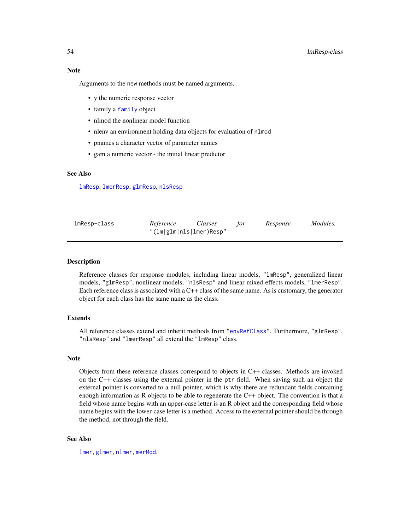# Note

Arguments to the new methods must be named arguments.

- y the numeric response vector
- family a [family](#page-0-0) object
- nlmod the nonlinear model function
- nlenv an environment holding data objects for evaluation of nlmod
- pnames a character vector of parameter names
- gam a numeric vector the initial linear predictor

# See Also

[lmResp](#page-53-0), [lmerResp](#page-53-1), [glmResp](#page-53-1), [nlsResp](#page-53-1)

<span id="page-53-0"></span>

| lmResp-class | Reference               | Classes | tor | Response | Modules, |
|--------------|-------------------------|---------|-----|----------|----------|
|              | "(lm glm nls lmer)Resp" |         |     |          |          |

### <span id="page-53-1"></span>**Description**

Reference classes for response modules, including linear models, "lmResp", generalized linear models, "glmResp", nonlinear models, "nlsResp" and linear mixed-effects models, "lmerResp". Each reference class is associated with a C++ class of the same name. As is customary, the generator object for each class has the same name as the class.

#### Extends

All reference classes extend and inherit methods from ["envRefClass"](#page-0-0). Furthermore, "glmResp", "nlsResp" and "lmerResp" all extend the "lmResp" class.

#### Note

Objects from these reference classes correspond to objects in C++ classes. Methods are invoked on the C++ classes using the external pointer in the ptr field. When saving such an object the external pointer is converted to a null pointer, which is why there are redundant fields containing enough information as R objects to be able to regenerate the C++ object. The convention is that a field whose name begins with an upper-case letter is an R object and the corresponding field whose name begins with the lower-case letter is a method. Access to the external pointer should be through the method, not through the field.

## See Also

[lmer](#page-41-0), [glmer](#page-28-0), [nlmer](#page-73-0), [merMod](#page-54-1).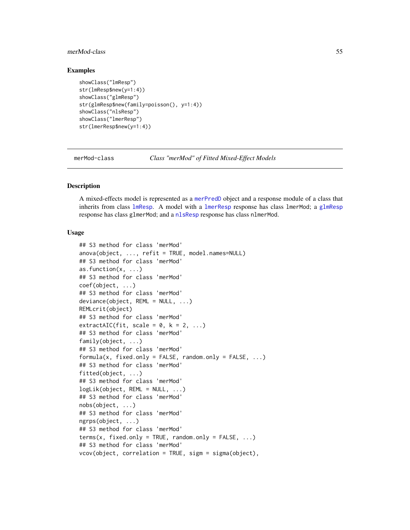### merMod-class 55

#### Examples

```
showClass("lmResp")
str(lmResp$new(y=1:4))
showClass("glmResp")
str(glmResp$new(family=poisson(), y=1:4))
showClass("nlsResp")
showClass("lmerResp")
str(lmerResp$new(y=1:4))
```
<span id="page-54-1"></span>merMod-class *Class "merMod" of Fitted Mixed-Effect Models*

### <span id="page-54-0"></span>Description

A mixed-effects model is represented as a [merPredD](#page-59-0) object and a response module of a class that inherits from class [lmResp](#page-53-0). A model with a [lmerResp](#page-53-1) response has class lmerMod; a [glmResp](#page-53-1) response has class glmerMod; and a [nlsResp](#page-53-1) response has class nlmerMod.

### Usage

```
## S3 method for class 'merMod'
anova(object, ..., refit = TRUE, model.names=NULL)
## S3 method for class 'merMod'
as.function(x, ...)
## S3 method for class 'merMod'
coef(object, ...)
## S3 method for class 'merMod'
deviance(object, REML = NULL, ...)
REMLcrit(object)
## S3 method for class 'merMod'
extractAIC(fit, scale = 0, k = 2, ...)
## S3 method for class 'merMod'
family(object, ...)
## S3 method for class 'merMod'
formula(x, fixed-only = FALSE, random-only = FALSE, ...)## S3 method for class 'merMod'
fitted(object, ...)
## S3 method for class 'merMod'
logLik(object, REML = NULL, ...)
## S3 method for class 'merMod'
nobs(object, ...)
## S3 method for class 'merMod'
ngrps(object, ...)
## S3 method for class 'merMod'
terms(x, fixed-only = TRUE, random-only = FALSE, ...)## S3 method for class 'merMod'
vcov(object, correlation = TRUE, sigm = sigma(object),
```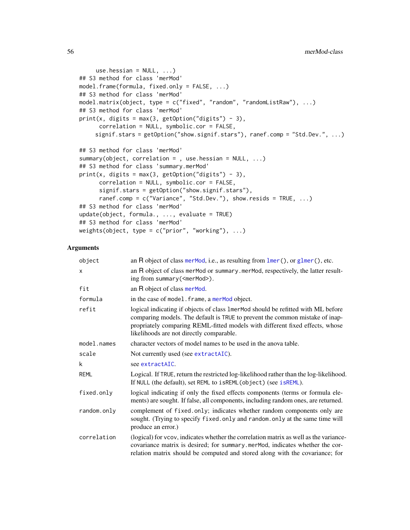```
use.hessian = NULL, ...)## S3 method for class 'merMod'
model.frame(formula, fixed.only = FALSE, ...)
## S3 method for class 'merMod'
model.matrix(object, type = c("fixed", "random", "randomListRaw"), ...)
## S3 method for class 'merMod'
print(x, digits = max(3, getOption("digits") - 3),correlation = NULL, symbolic.cor = FALSE,
     signif.stars = getOption("show.signif.stars"), ranef.comp = "Std.Dev.", ...)
## S3 method for class 'merMod'
summary(object, correlation = , use.hessian = NULL, ...)
## S3 method for class 'summary.merMod'
print(x, digits = max(3, getOption("digits") - 3),
      correlation = NULL, symbolic.cor = FALSE,
      signif.stars = getOption("show.signif.stars"),
      ranef.comp = c("Variance", "Std.Dev."), show.resids = TRUE, ...)
## S3 method for class 'merMod'
update(object, formula., ..., evaluate = TRUE)## S3 method for class 'merMod'
weights(object, type = c("prior", "working"), ...)
```

| object      | an $R$ object of class merMod, i.e., as resulting from $lmer()$ , or $glmer()$ , etc.                                                                                                                                                                                                         |
|-------------|-----------------------------------------------------------------------------------------------------------------------------------------------------------------------------------------------------------------------------------------------------------------------------------------------|
| x           | an R object of class merMod or summary.merMod, respectively, the latter result-<br>ing from summary ( <mermod>).</mermod>                                                                                                                                                                     |
| fit         | an R object of class merMod.                                                                                                                                                                                                                                                                  |
| formula     | in the case of model. frame, a merMod object.                                                                                                                                                                                                                                                 |
| refit       | logical indicating if objects of class 1 merMod should be refitted with ML before<br>comparing models. The default is TRUE to prevent the common mistake of inap-<br>propriately comparing REML-fitted models with different fixed effects, whose<br>likelihoods are not directly comparable. |
| model.names | character vectors of model names to be used in the anova table.                                                                                                                                                                                                                               |
| scale       | Not currently used (see extractAIC).                                                                                                                                                                                                                                                          |
| k           | see extractAIC.                                                                                                                                                                                                                                                                               |
| <b>REML</b> | Logical. If TRUE, return the restricted log-likelihood rather than the log-likelihood.<br>If NULL (the default), set REML to isREML (object) (see isREML).                                                                                                                                    |
| fixed.only  | logical indicating if only the fixed effects components (terms or formula ele-<br>ments) are sought. If false, all components, including random ones, are returned.                                                                                                                           |
| random.only | complement of fixed.only; indicates whether random components only are<br>sought. (Trying to specify fixed. only and random. only at the same time will<br>produce an error.)                                                                                                                 |
| correlation | (logical) for vcov, indicates whether the correlation matrix as well as the variance-<br>covariance matrix is desired; for summary mermod, indicates whether the cor-<br>relation matrix should be computed and stored along with the covariance; for                                         |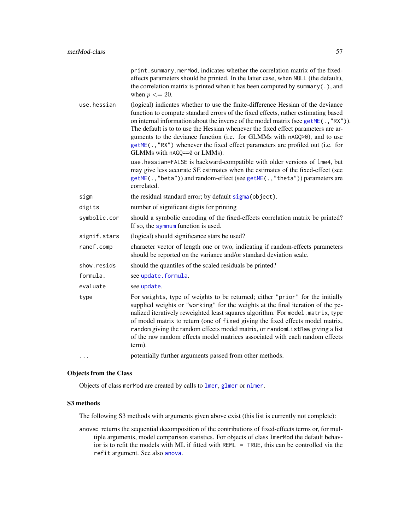|              | print.summary.merMod, indicates whether the correlation matrix of the fixed-<br>effects parameters should be printed. In the latter case, when NULL (the default),<br>the correlation matrix is printed when it has been computed by summary $(.)$ , and<br>when $p \leq 20$ .                                                                                                                                                                                                                                                                   |
|--------------|--------------------------------------------------------------------------------------------------------------------------------------------------------------------------------------------------------------------------------------------------------------------------------------------------------------------------------------------------------------------------------------------------------------------------------------------------------------------------------------------------------------------------------------------------|
| use.hessian  | (logical) indicates whether to use the finite-difference Hessian of the deviance<br>function to compute standard errors of the fixed effects, rather estimating based<br>on internal information about the inverse of the model matrix (see getME(., "RX")).<br>The default is to to use the Hessian whenever the fixed effect parameters are ar-<br>guments to the deviance function (i.e. for GLMMs with nAGQ>0), and to use<br>getME(., "RX") whenever the fixed effect parameters are profiled out (i.e. for<br>GLMMs with nAGQ==0 or LMMs). |
|              | use.hessian=FALSE is backward-compatible with older versions of lme4, but<br>may give less accurate SE estimates when the estimates of the fixed-effect (see<br>getME(.,"beta")) and random-effect (see getME(.,"theta")) parameters are<br>correlated.                                                                                                                                                                                                                                                                                          |
| sigm         | the residual standard error; by default sigma (object).                                                                                                                                                                                                                                                                                                                                                                                                                                                                                          |
| digits       | number of significant digits for printing                                                                                                                                                                                                                                                                                                                                                                                                                                                                                                        |
| symbolic.cor | should a symbolic encoding of the fixed-effects correlation matrix be printed?<br>If so, the symnum function is used.                                                                                                                                                                                                                                                                                                                                                                                                                            |
| signif.stars | (logical) should significance stars be used?                                                                                                                                                                                                                                                                                                                                                                                                                                                                                                     |
| ranef.comp   | character vector of length one or two, indicating if random-effects parameters<br>should be reported on the variance and/or standard deviation scale.                                                                                                                                                                                                                                                                                                                                                                                            |
| show.resids  | should the quantiles of the scaled residuals be printed?                                                                                                                                                                                                                                                                                                                                                                                                                                                                                         |
| formula.     | see update.formula.                                                                                                                                                                                                                                                                                                                                                                                                                                                                                                                              |
| evaluate     | see update.                                                                                                                                                                                                                                                                                                                                                                                                                                                                                                                                      |
| type         | For weights, type of weights to be returned; either "prior" for the initially<br>supplied weights or "working" for the weights at the final iteration of the pe-<br>nalized iteratively reweighted least squares algorithm. For model .matrix, type<br>of model matrix to return (one of fixed giving the fixed effects model matrix,<br>random giving the random effects model matrix, or randomListRaw giving a list<br>of the raw random effects model matrices associated with each random effects<br>term).                                 |
|              | potentially further arguments passed from other methods.                                                                                                                                                                                                                                                                                                                                                                                                                                                                                         |

### Objects from the Class

Objects of class merMod are created by calls to [lmer](#page-41-0), [glmer](#page-28-0) or [nlmer](#page-73-0).

### S3 methods

The following S3 methods with arguments given above exist (this list is currently not complete):

anova: returns the sequential decomposition of the contributions of fixed-effects terms or, for multiple arguments, model comparison statistics. For objects of class lmerMod the default behavior is to refit the models with ML if fitted with REML = TRUE, this can be controlled via the refit argument. See also [anova](#page-0-0).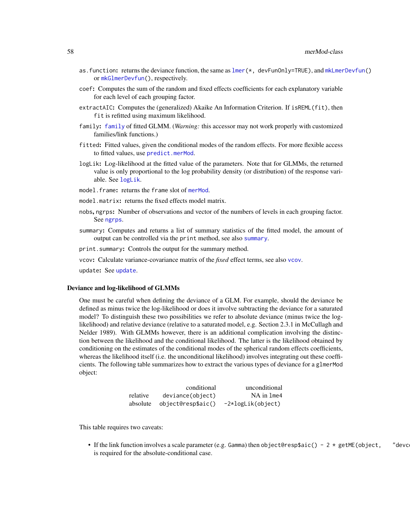- as.function: returns the deviance function, the same as  $lmer(*, devFunOnly=TRUE)$  $lmer(*, devFunOnly=TRUE)$ , and  $mkLmerDevfun()$  $mkLmerDevfun()$ or [mkGlmerDevfun\(](#page-64-1)), respectively.
- coef: Computes the sum of the random and fixed effects coefficients for each explanatory variable for each level of each grouping factor.
- extractAIC: Computes the (generalized) Akaike An Information Criterion. If isREML(fit), then fit is refitted using maximum likelihood.
- family: [family](#page-0-0) of fitted GLMM. (*Warning:* this accessor may not work properly with customized families/link functions.)
- fitted: Fitted values, given the conditional modes of the random effects. For more flexible access to fitted values, use [predict.merMod](#page-83-0).
- logLik: Log-likelihood at the fitted value of the parameters. Note that for GLMMs, the returned value is only proportional to the log probability density (or distribution) of the response variable. See [logLik](#page-0-0).
- model.frame: returns the frame slot of [merMod](#page-54-1).
- model.matrix: returns the fixed effects model matrix.
- nobs, ngrps: Number of observations and vector of the numbers of levels in each grouping factor. See [ngrps](#page-71-0).
- summary: Computes and returns a list of summary statistics of the fitted model, the amount of output can be controlled via the print method, see also [summary](#page-0-0).

print.summary: Controls the output for the summary method.

vcov: Calculate variance-covariance matrix of the *fixed* effect terms, see also [vcov](#page-0-0).

update: See [update](#page-0-0).

#### Deviance and log-likelihood of GLMMs

One must be careful when defining the deviance of a GLM. For example, should the deviance be defined as minus twice the log-likelihood or does it involve subtracting the deviance for a saturated model? To distinguish these two possibilities we refer to absolute deviance (minus twice the loglikelihood) and relative deviance (relative to a saturated model, e.g. Section 2.3.1 in McCullagh and Nelder 1989). With GLMMs however, there is an additional complication involving the distinction between the likelihood and the conditional likelihood. The latter is the likelihood obtained by conditioning on the estimates of the conditional modes of the spherical random effects coefficients, whereas the likelihood itself (i.e. the unconditional likelihood) involves integrating out these coefficients. The following table summarizes how to extract the various types of deviance for a glmerMod object:

|          | conditional             | unconditional     |
|----------|-------------------------|-------------------|
| relative | deviance(object)        | NA in 1me4        |
| absolute | $object@resp$ saic $()$ | -2*logLik(object) |

This table requires two caveats:

• If the link function involves a scale parameter (e.g. Gamma) then object@resp\$aic() - 2  $*$  getME(object, "devc is required for the absolute-conditional case.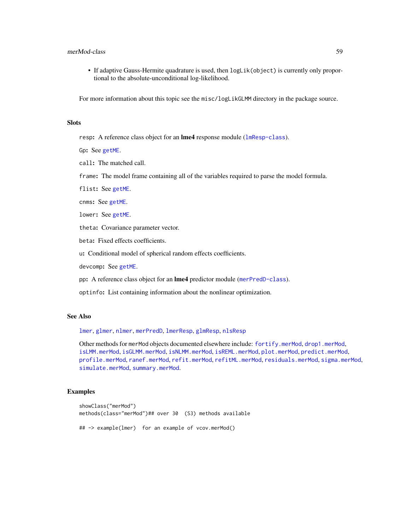### merMod-class 59

• If adaptive Gauss-Hermite quadrature is used, then logLik(object) is currently only proportional to the absolute-unconditional log-likelihood.

For more information about this topic see the misc/logLikGLMM directory in the package source.

## **Slots**

resp: A reference class object for an **lme4** response module ([lmResp-class](#page-53-0)).

Gp: See [getME](#page-24-0).

call: The matched call.

frame: The model frame containing all of the variables required to parse the model formula.

flist: See [getME](#page-24-0).

cnms: See [getME](#page-24-0).

lower: See [getME](#page-24-0).

theta: Covariance parameter vector.

beta: Fixed effects coefficients.

u: Conditional model of spherical random effects coefficients.

devcomp: See [getME](#page-24-0).

pp: A reference class object for an lme4 predictor module ([merPredD-class](#page-59-0)).

optinfo: List containing information about the nonlinear optimization.

# See Also

[lmer](#page-41-0), [glmer](#page-28-0), [nlmer](#page-73-0), [merPredD](#page-59-0), [lmerResp](#page-53-1), [glmResp](#page-53-1), [nlsResp](#page-53-1)

Other methods for merMod objects documented elsewhere include: [fortify.merMod](#page-23-0), [drop1.merMod](#page-16-0), [isLMM.merMod](#page-40-1), [isGLMM.merMod](#page-40-1), [isNLMM.merMod](#page-40-1), [isREML.merMod](#page-40-1), [plot.merMod](#page-80-0), [predict.merMod](#page-83-0), [profile.merMod](#page-84-0), [ranef.merMod](#page-92-1), [refit.merMod](#page-94-0), [refitML.merMod](#page-95-0), [residuals.merMod](#page-97-0), [sigma.merMod](#page-98-1), [simulate.merMod](#page-99-0), [summary.merMod](#page-54-0).

#### Examples

```
showClass("merMod")
methods(class="merMod")## over 30 (S3) methods available
## -> example(lmer) for an example of vcov.merMod()
```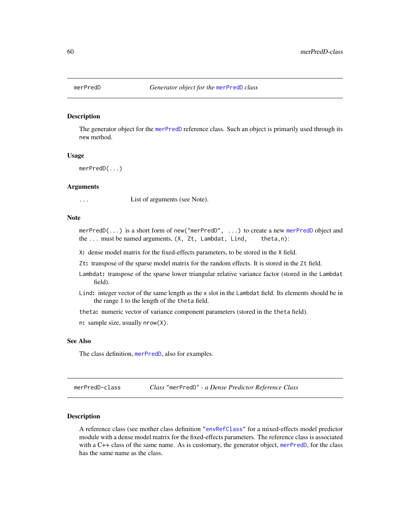<span id="page-59-1"></span>

#### Description

The generator object for the [merPredD](#page-59-0) reference class. Such an object is primarily used through its new method.

#### Usage

merPredD(...)

### Arguments

... List of arguments (see Note).

### Note

[merPredD](#page-59-0)(...) is a short form of new("merPredD", ...) to create a new merPredD object and the ... must be named arguments, (X, Zt, Lambdat, Lind, theta,n):

X: dense model matrix for the fixed-effects parameters, to be stored in the X field.

Zt: transpose of the sparse model matrix for the random effects. It is stored in the Zt field.

- Lambdat: transpose of the sparse lower triangular relative variance factor (stored in the Lambdat field).
- Lind: integer vector of the same length as the x slot in the Lambdat field. Its elements should be in the range 1 to the length of the theta field.

theta: numeric vector of variance component parameters (stored in the theta field).

n: sample size, usually nrow(X).

### See Also

The class definition, [merPredD](#page-59-0), also for examples.

<span id="page-59-0"></span>merPredD-class *Class* "merPredD" *- a Dense Predictor Reference Class*

#### Description

A reference class (see mother class definition ["envRefClass"](#page-0-0) for a mixed-effects model predictor module with a dense model matrix for the fixed-effects parameters. The reference class is associated with a C++ class of the same name. As is customary, the generator object, [merPredD](#page-59-1), for the class has the same name as the class.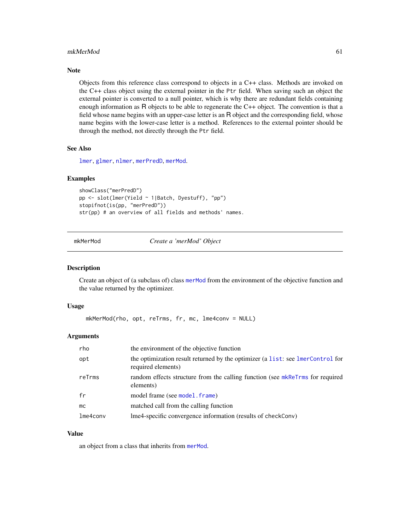#### mkMerMod 61

### Note

Objects from this reference class correspond to objects in a C++ class. Methods are invoked on the C++ class object using the external pointer in the Ptr field. When saving such an object the external pointer is converted to a null pointer, which is why there are redundant fields containing enough information as R objects to be able to regenerate the C++ object. The convention is that a field whose name begins with an upper-case letter is an R object and the corresponding field, whose name begins with the lower-case letter is a method. References to the external pointer should be through the method, not directly through the Ptr field.

#### See Also

[lmer](#page-41-0), [glmer](#page-28-0), [nlmer](#page-73-0), [merPredD](#page-59-1), [merMod](#page-54-1).

#### Examples

```
showClass("merPredD")
pp <- slot(lmer(Yield ~ 1|Batch, Dyestuff), "pp")
stopifnot(is(pp, "merPredD"))
str(pp) # an overview of all fields and methods' names.
```
#### <span id="page-60-0"></span>mkMerMod *Create a 'merMod' Object*

#### Description

Create an object of (a subclass of) class [merMod](#page-54-1) from the environment of the objective function and the value returned by the optimizer.

#### Usage

```
mkMerMod(rho, opt, reTrms, fr, mc, lme4conv = NULL)
```
#### Arguments

| rho      | the environment of the objective function                                                            |
|----------|------------------------------------------------------------------------------------------------------|
| opt      | the optimization result returned by the optimizer (a list: see lmerControl for<br>required elements) |
| reTrms   | random effects structure from the calling function (see mkReTrms for required<br>elements)           |
| fr       | model frame (see model . frame)                                                                      |
| mc       | matched call from the calling function                                                               |
| lme4conv | lme4-specific convergence information (results of checkConv)                                         |

#### Value

an object from a class that inherits from [merMod](#page-54-1).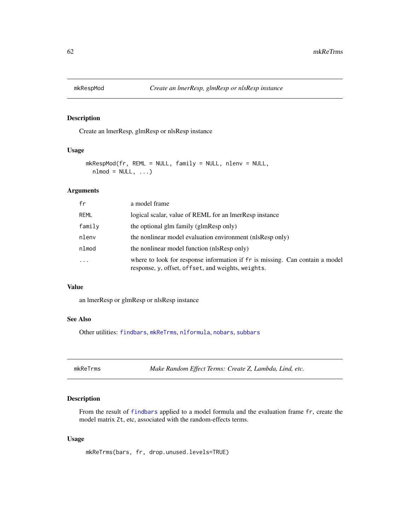<span id="page-61-1"></span>

# Description

Create an lmerResp, glmResp or nlsResp instance

### Usage

```
mkRespMod(fr, REML = NULL, family = NULL, nlenv = NULL,
  nlmod = NULL, ...
```
#### Arguments

| fr       | a model frame                                                                                                                      |
|----------|------------------------------------------------------------------------------------------------------------------------------------|
| REML     | logical scalar, value of REML for an ImerResp instance                                                                             |
| family   | the optional glm family (glmResp only)                                                                                             |
| nlenv    | the nonlinear model evaluation environment (nlsResp only)                                                                          |
| nlmod    | the nonlinear model function (nlsResp only)                                                                                        |
| $\cdots$ | where to look for response information if fr is missing. Can contain a model<br>response, y, offset, offset, and weights, weights. |

# Value

an lmerResp or glmResp or nlsResp instance

#### See Also

Other utilities: [findbars](#page-21-0), [mkReTrms](#page-61-0), [nlformula](#page-72-0), [nobars](#page-77-0), [subbars](#page-102-0)

<span id="page-61-0"></span>mkReTrms *Make Random Effect Terms: Create Z, Lambda, Lind, etc.*

### Description

From the result of [findbars](#page-21-0) applied to a model formula and the evaluation frame fr, create the model matrix Zt, etc, associated with the random-effects terms.

## Usage

mkReTrms(bars, fr, drop.unused.levels=TRUE)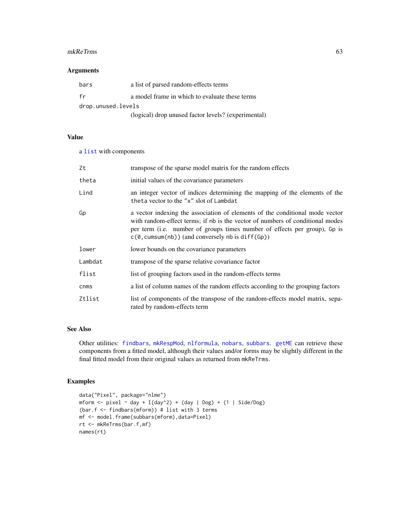#### mkReTrms 63

### Arguments

| bars               | a list of parsed random-effects terms               |  |
|--------------------|-----------------------------------------------------|--|
| fr                 | a model frame in which to evaluate these terms      |  |
| drop.unused.levels |                                                     |  |
|                    | (logical) drop unused factor levels? (experimental) |  |

## Value

a [list](#page-0-0) with components

| Zt      | transpose of the sparse model matrix for the random effects                                                                                                                                                                                                                                                  |
|---------|--------------------------------------------------------------------------------------------------------------------------------------------------------------------------------------------------------------------------------------------------------------------------------------------------------------|
| theta   | initial values of the covariance parameters                                                                                                                                                                                                                                                                  |
| Lind    | an integer vector of indices determining the mapping of the elements of the<br>theta vector to the "x" slot of Lambdat                                                                                                                                                                                       |
| Gp      | a vector indexing the association of elements of the conditional mode vector<br>with random-effect terms; if nb is the vector of numbers of conditional modes<br>per term (i.e. number of groups times number of effects per group), Gp is<br>$c(\theta, \text{cumsum}(nb))$ (and conversely nb is diff(Gp)) |
| lower   | lower bounds on the covariance parameters                                                                                                                                                                                                                                                                    |
| Lambdat | transpose of the sparse relative covariance factor                                                                                                                                                                                                                                                           |
| flist   | list of grouping factors used in the random-effects terms                                                                                                                                                                                                                                                    |
| cnms    | a list of column names of the random effects according to the grouping factors                                                                                                                                                                                                                               |
| Ztlist  | list of components of the transpose of the random-effects model matrix, sepa-<br>rated by random-effects term                                                                                                                                                                                                |

# See Also

Other utilities: [findbars](#page-21-0), [mkRespMod](#page-61-1), [nlformula](#page-72-0), [nobars](#page-77-0), [subbars](#page-102-0). [getME](#page-24-0) can retrieve these components from a fitted model, although their values and/or forms may be slightly different in the final fitted model from their original values as returned from mkReTrms.

# Examples

```
data("Pixel", package="nlme")
mform \le pixel \sim day + I(day^2) + (day | Dog) + (1 | Side/Dog)
(bar.f <- findbars(mform)) # list with 3 terms
mf <- model.frame(subbars(mform),data=Pixel)
rt <- mkReTrms(bar.f,mf)
names(rt)
```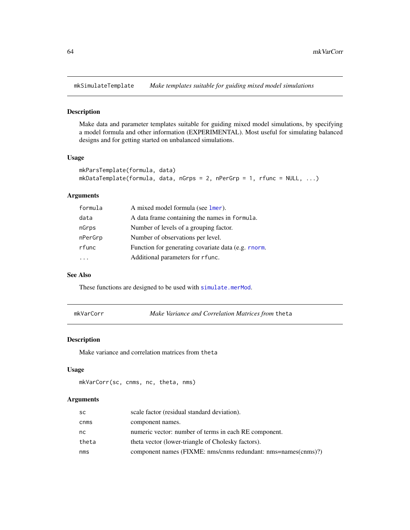mkSimulateTemplate *Make templates suitable for guiding mixed model simulations*

### Description

Make data and parameter templates suitable for guiding mixed model simulations, by specifying a model formula and other information (EXPERIMENTAL). Most useful for simulating balanced designs and for getting started on unbalanced simulations.

### Usage

```
mkParsTemplate(formula, data)
mkDataTemplate(formula, data, nGrps = 2, nPerGrp = 1, rfunc = NULL, ...)
```
# Arguments

| formula | A mixed model formula (see lmer).                   |
|---------|-----------------------------------------------------|
| data    | A data frame containing the names in formula.       |
| nGrps   | Number of levels of a grouping factor.              |
| nPerGrp | Number of observations per level.                   |
| rfunc   | Function for generating covariate data (e.g. rnorm. |
|         | Additional parameters for r func.                   |

### See Also

These functions are designed to be used with [simulate.merMod](#page-99-0).

mkVarCorr *Make Variance and Correlation Matrices from* theta

## Description

Make variance and correlation matrices from theta

### Usage

```
mkVarCorr(sc, cnms, nc, theta, nms)
```

| <b>SC</b> | scale factor (residual standard deviation).                   |
|-----------|---------------------------------------------------------------|
| cnms      | component names.                                              |
| nc        | numeric vector: number of terms in each RE component.         |
| theta     | theta vector (lower-triangle of Cholesky factors).            |
| nms       | component names (FIXME: nms/cnms redundant: nms=names(cnms)?) |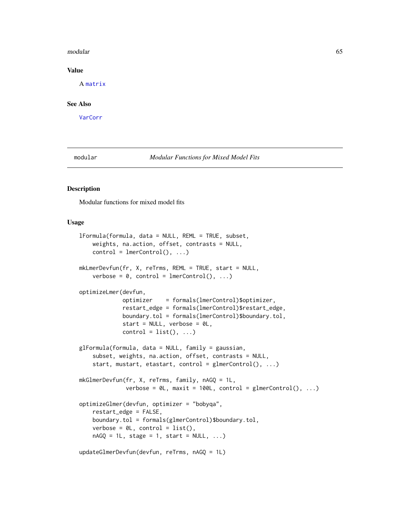#### modular 65

### Value

A [matrix](#page-0-0)

### See Also

[VarCorr](#page-103-0)

<span id="page-64-0"></span>modular *Modular Functions for Mixed Model Fits*

### <span id="page-64-1"></span>Description

Modular functions for mixed model fits

### Usage

```
lFormula(formula, data = NULL, REML = TRUE, subset,
    weights, na.action, offset, contrasts = NULL,
    control = lmerControl(), ...)mkLmerDevfun(fr, X, reTrms, REML = TRUE, start = NULL,
    verbose = 0, control = lmerControl(), ...)
optimizeLmer(devfun,
             optimizer = formals(lmerControl)$optimizer,
             restart_edge = formals(lmerControl)$restart_edge,
             boundary.tol = formals(lmerControl)$boundary.tol,
             start = NULL, verbose = 0L,
             control = list(), ...)glFormula(formula, data = NULL, family = gaussian,
    subset, weights, na.action, offset, contrasts = NULL,
    start, mustart, etastart, control = glmerControl(), ...)
mkGlmerDevfun(fr, X, reTrms, family, nAGQ = 1L,
              verbose = \emptyset L, maxit = 100L, control = glmerControl(), ...)
optimizeGlmer(devfun, optimizer = "bobyqa",
    restart_edge = FALSE,
    boundary.tol = formals(glmerControl)$boundary.tol,
    verbose = \emptyset L, control = list(),
    nAGQ = 1L, stage = 1, start = NULL, ...)
updateGlmerDevfun(devfun, reTrms, nAGQ = 1L)
```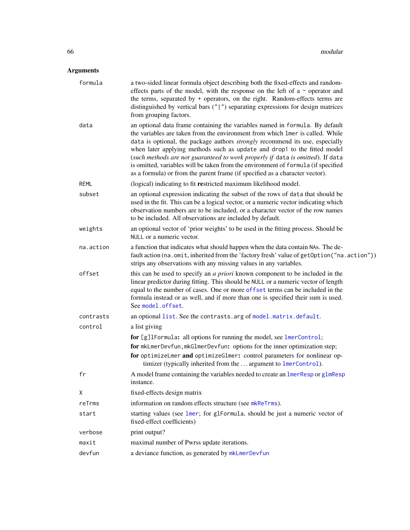| formula     | a two-sided linear formula object describing both the fixed-effects and random-<br>effects parts of the model, with the response on the left of a $\sim$ operator and<br>the terms, separated by + operators, on the right. Random-effects terms are<br>distinguished by vertical bars $("  ")$ separating expressions for design matrices<br>from grouping factors.                                                                                                                                                                                                                    |
|-------------|-----------------------------------------------------------------------------------------------------------------------------------------------------------------------------------------------------------------------------------------------------------------------------------------------------------------------------------------------------------------------------------------------------------------------------------------------------------------------------------------------------------------------------------------------------------------------------------------|
| data        | an optional data frame containing the variables named in formula. By default<br>the variables are taken from the environment from which lmer is called. While<br>data is optional, the package authors <i>strongly</i> recommend its use, especially<br>when later applying methods such as update and drop1 to the fitted model<br>(such methods are not guaranteed to work properly if data is omitted). If data<br>is omitted, variables will be taken from the environment of formula (if specified<br>as a formula) or from the parent frame (if specified as a character vector). |
| <b>REML</b> | (logical) indicating to fit restricted maximum likelihood model.                                                                                                                                                                                                                                                                                                                                                                                                                                                                                                                        |
| subset      | an optional expression indicating the subset of the rows of data that should be<br>used in the fit. This can be a logical vector, or a numeric vector indicating which<br>observation numbers are to be included, or a character vector of the row names<br>to be included. All observations are included by default.                                                                                                                                                                                                                                                                   |
| weights     | an optional vector of 'prior weights' to be used in the fitting process. Should be<br>NULL or a numeric vector.                                                                                                                                                                                                                                                                                                                                                                                                                                                                         |
| na.action   | a function that indicates what should happen when the data contain NAs. The de-<br>fault action (na.omit, inherited from the 'factory fresh' value of getOption ("na.action"))<br>strips any observations with any missing values in any variables.                                                                                                                                                                                                                                                                                                                                     |
| offset      | this can be used to specify an <i>a priori</i> known component to be included in the<br>linear predictor during fitting. This should be NULL or a numeric vector of length<br>equal to the number of cases. One or more offset terms can be included in the<br>formula instead or as well, and if more than one is specified their sum is used.<br>See model.offset.                                                                                                                                                                                                                    |
| contrasts   | an optional list. See the contrasts. arg of model. matrix. default.                                                                                                                                                                                                                                                                                                                                                                                                                                                                                                                     |
| control     | a list giving                                                                                                                                                                                                                                                                                                                                                                                                                                                                                                                                                                           |
|             | for [g]1Formula: all options for running the model, see lmerControl;                                                                                                                                                                                                                                                                                                                                                                                                                                                                                                                    |
|             | for mkLmerDevfun, mkGlmerDevfun: options for the inner optimization step;                                                                                                                                                                                                                                                                                                                                                                                                                                                                                                               |
|             | for optimizeLmer and optimizeGlmer: control parameters for nonlinear op-<br>timizer (typically inherited from the  argument to lmerControl).                                                                                                                                                                                                                                                                                                                                                                                                                                            |
| fr          | A model frame containing the variables needed to create an lmerResp or glmResp<br>instance.                                                                                                                                                                                                                                                                                                                                                                                                                                                                                             |
| Χ           | fixed-effects design matrix                                                                                                                                                                                                                                                                                                                                                                                                                                                                                                                                                             |
| reTrms      | information on random effects structure (see mkReTrms).                                                                                                                                                                                                                                                                                                                                                                                                                                                                                                                                 |
| start       | starting values (see lmer; for glFormula, should be just a numeric vector of<br>fixed-effect coefficients)                                                                                                                                                                                                                                                                                                                                                                                                                                                                              |
| verbose     | print output?                                                                                                                                                                                                                                                                                                                                                                                                                                                                                                                                                                           |
| maxit       | maximal number of Pwrss update iterations.                                                                                                                                                                                                                                                                                                                                                                                                                                                                                                                                              |
| devfun      | a deviance function, as generated by mkLmerDevfun                                                                                                                                                                                                                                                                                                                                                                                                                                                                                                                                       |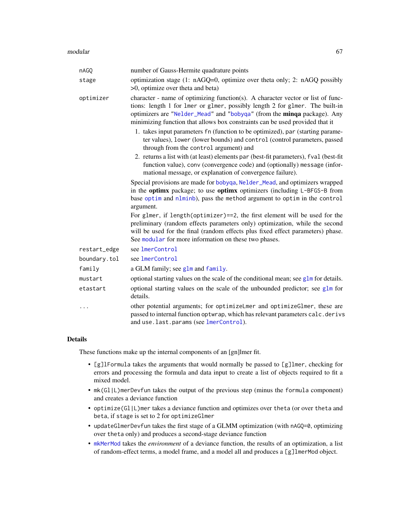| nAGQ         | number of Gauss-Hermite quadrature points                                                                                                                                                                                                                                                                                  |
|--------------|----------------------------------------------------------------------------------------------------------------------------------------------------------------------------------------------------------------------------------------------------------------------------------------------------------------------------|
| stage        | optimization stage (1: nAGQ=0, optimize over theta only; 2: nAGQ possibly<br>$>0$ , optimize over theta and beta)                                                                                                                                                                                                          |
| optimizer    | character - name of optimizing function(s). A character vector or list of func-<br>tions: length 1 for 1mer or g1mer, possibly length 2 for g1mer. The built-in<br>optimizers are "Nelder_Mead" and "bobyqa" (from the minqa package). Any<br>minimizing function that allows box constraints can be used provided that it |
|              | 1. takes input parameters fn (function to be optimized), par (starting parame-<br>ter values), lower (lower bounds) and control (control parameters, passed<br>through from the control argument) and                                                                                                                      |
|              | 2. returns a list with (at least) elements par (best-fit parameters), fval (best-fit<br>function value), conv (convergence code) and (optionally) message (infor-<br>mational message, or explanation of convergence failure).                                                                                             |
|              | Special provisions are made for bobyqa, Nelder_Mead, and optimizers wrapped<br>in the optimx package; to use optimx optimizers (including L-BFGS-B from<br>base optim and nlminb), pass the method argument to optim in the control<br>argument.                                                                           |
|              | For glmer, if length(optimizer)==2, the first element will be used for the<br>preliminary (random effects parameters only) optimization, while the second<br>will be used for the final (random effects plus fixed effect parameters) phase.<br>See modular for more information on these two phases.                      |
| restart_edge | see lmerControl                                                                                                                                                                                                                                                                                                            |
| boundary.tol | see lmerControl                                                                                                                                                                                                                                                                                                            |
| family       | a GLM family; see glm and family.                                                                                                                                                                                                                                                                                          |
| mustart      | optional starting values on the scale of the conditional mean; see $g1m$ for details.                                                                                                                                                                                                                                      |
| etastart     | optional starting values on the scale of the unbounded predictor; see glm for<br>details.                                                                                                                                                                                                                                  |
| $\cdots$     | other potential arguments; for optimizeLmer and optimizeGlmer, these are<br>passed to internal function optwrap, which has relevant parameters calc.derivs<br>and use.last.params (see lmerControl).                                                                                                                       |

## Details

These functions make up the internal components of an [gn]lmer fit.

- [g]lFormula takes the arguments that would normally be passed to [g]lmer, checking for errors and processing the formula and data input to create a list of objects required to fit a mixed model.
- mk(Gl|L)merDevfun takes the output of the previous step (minus the formula component) and creates a deviance function
- optimize(Gl|L)mer takes a deviance function and optimizes over theta (or over theta and beta, if stage is set to 2 for optimizeGlmer
- updateGlmerDevfun takes the first stage of a GLMM optimization (with nAGQ=0, optimizing over theta only) and produces a second-stage deviance function
- [mkMerMod](#page-60-0) takes the *environment* of a deviance function, the results of an optimization, a list of random-effect terms, a model frame, and a model all and produces a [g]lmerMod object.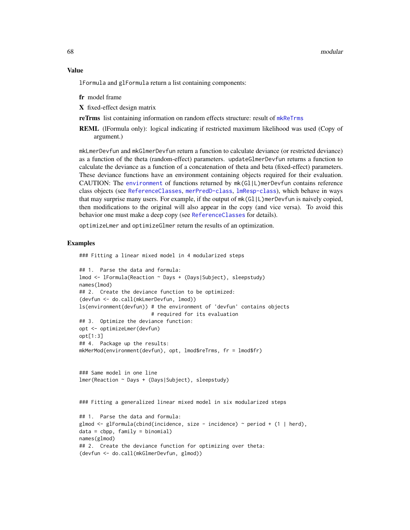#### Value

lFormula and glFormula return a list containing components:

fr model frame

X fixed-effect design matrix

reTrms list containing information on random effects structure: result of [mkReTrms](#page-61-0)

REML (lFormula only): logical indicating if restricted maximum likelihood was used (Copy of argument.)

mkLmerDevfun and mkGlmerDevfun return a function to calculate deviance (or restricted deviance) as a function of the theta (random-effect) parameters. updateGlmerDevfun returns a function to calculate the deviance as a function of a concatenation of theta and beta (fixed-effect) parameters. These deviance functions have an environment containing objects required for their evaluation. CAUTION: The [environment](#page-0-0) of functions returned by mk(Gl|L)merDevfun contains reference class objects (see [ReferenceClasses](#page-0-0), [merPredD-class](#page-59-0), [lmResp-class](#page-53-0)), which behave in ways that may surprise many users. For example, if the output of mk(Gl|L)merDevfun is naively copied, then modifications to the original will also appear in the copy (and vice versa). To avoid this behavior one must make a deep copy (see [ReferenceClasses](#page-0-0) for details).

optimizeLmer and optimizeGlmer return the results of an optimization.

#### Examples

### Fitting a linear mixed model in 4 modularized steps

```
## 1. Parse the data and formula:
lmod <- lFormula(Reaction ~ Days + (Days|Subject), sleepstudy)
names(lmod)
## 2. Create the deviance function to be optimized:
(devfun <- do.call(mkLmerDevfun, lmod))
ls(environment(devfun)) # the environment of 'devfun' contains objects
                        # required for its evaluation
## 3. Optimize the deviance function:
opt <- optimizeLmer(devfun)
opt[1:3]
## 4. Package up the results:
mkMerMod(environment(devfun), opt, lmod$reTrms, fr = lmod$fr)
### Same model in one line
lmer(Reaction ~ Days + (Days|Subject), sleepstudy)
```
### Fitting a generalized linear mixed model in six modularized steps

```
## 1. Parse the data and formula:
glmod \leq glFormula(cbind(incidence, size - incidence) \sim period + (1 | herd),
data = cbpp, family = binomial)
names(glmod)
## 2. Create the deviance function for optimizing over theta:
(devfun <- do.call(mkGlmerDevfun, glmod))
```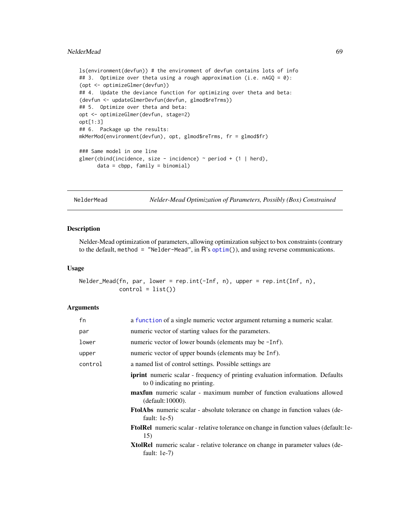#### NelderMead 69

```
ls(environment(devfun)) # the environment of devfun contains lots of info
## 3. Optimize over theta using a rough approximation (i.e. nAGQ = 0):
(opt <- optimizeGlmer(devfun))
## 4. Update the deviance function for optimizing over theta and beta:
(devfun <- updateGlmerDevfun(devfun, glmod$reTrms))
## 5. Optimize over theta and beta:
opt <- optimizeGlmer(devfun, stage=2)
opt[1:3]
## 6. Package up the results:
mkMerMod(environment(devfun), opt, glmod$reTrms, fr = glmod$fr)
### Same model in one line
glmer(cbind(incidence, size - incidence) \sim period + (1 | herd),
      data = cbpp, family = binomial)
```
NelderMead *Nelder-Mead Optimization of Parameters, Possibly (Box) Constrained*

### <span id="page-68-0"></span>Description

Nelder-Mead optimization of parameters, allowing optimization subject to box constraints (contrary to the default, method = "Nelder-Mead", in  $R$ 's [optim\(](#page-0-0))), and using reverse communications.

#### Usage

```
Nelder_Mead(fn, par, lower = rep.int(-Inf, n), upper = rep.int(Inf, n),
           control = list()
```

| fn                                                                 | a function of a single numeric vector argument returning a numeric scalar.                                            |  |
|--------------------------------------------------------------------|-----------------------------------------------------------------------------------------------------------------------|--|
| par                                                                | numeric vector of starting values for the parameters.                                                                 |  |
| lower                                                              | numeric vector of lower bounds (elements may be -Inf).                                                                |  |
| upper                                                              | numeric vector of upper bounds (elements may be Inf).                                                                 |  |
| control<br>a named list of control settings. Possible settings are |                                                                                                                       |  |
|                                                                    | <b>iprint</b> numeric scalar - frequency of printing evaluation information. Defaults<br>to 0 indicating no printing. |  |
|                                                                    | maxfun numeric scalar - maximum number of function evaluations allowed<br>(detault:10000).                            |  |
|                                                                    | <b>FtolAbs</b> numeric scalar - absolute tolerance on change in function values (de-<br>fault: $1e-5$ )               |  |
|                                                                    | <b>FtolRel</b> numeric scalar - relative tolerance on change in function values (default: le-<br>15)                  |  |
|                                                                    | <b>XtolRel</b> numeric scalar - relative tolerance on change in parameter values (de-<br>fault: $1e-7$ )              |  |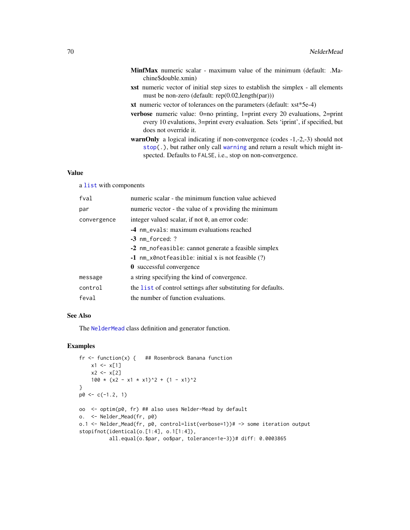- MinfMax numeric scalar maximum value of the minimum (default: .Machine\$double.xmin)
- xst numeric vector of initial step sizes to establish the simplex all elements must be non-zero (default: rep(0.02,length(par)))
- xt numeric vector of tolerances on the parameters (default: xst\*5e-4)
- verbose numeric value: 0=no printing, 1=print every 20 evaluations, 2=print every 10 evalutions, 3=print every evaluation. Sets 'iprint', if specified, but does not override it.
- warnOnly a logical indicating if non-convergence (codes -1,-2,-3) should not [stop\(](#page-0-0).), but rather only call [warning](#page-0-0) and return a result which might inspected. Defaults to FALSE, i.e., stop on non-convergence.

## Value

a [list](#page-0-0) with components

| fval        | numeric scalar - the minimum function value achieved          |  |
|-------------|---------------------------------------------------------------|--|
| par         | numeric vector - the value of x providing the minimum         |  |
| convergence | integer valued scalar, if not 0, an error code:               |  |
|             | -4 nm_evals: maximum evaluations reached                      |  |
|             | $-3$ nm forced: $?$                                           |  |
|             | -2 nm_nofeasible: cannot generate a feasible simplex          |  |
|             | $-1$ nm_x0notfeasible: initial x is not feasible $(?)$        |  |
|             | 0 successful convergence                                      |  |
| message     | a string specifying the kind of convergence.                  |  |
| control     | the list of control settings after substituting for defaults. |  |
| feval       | the number of function evaluations.                           |  |

## See Also

The [NelderMead](#page-70-0) class definition and generator function.

### Examples

```
fr <- function(x) { ## Rosenbrock Banana function
   x1 \leq x[1]x2 < - x[2]100 \times (x2 - x1 \times x1)^2 + (1 - x1)^2}
p0 \leq -c(-1.2, 1)oo <- optim(p0, fr) ## also uses Nelder-Mead by default
o. <- Nelder_Mead(fr, p0)
o.1 <- Nelder_Mead(fr, p0, control=list(verbose=1))# -> some iteration output
stopifnot(identical(o.[1:4], o.1[1:4]),
          all.equal(o.$par, oo$par, tolerance=1e-3))# diff: 0.0003865
```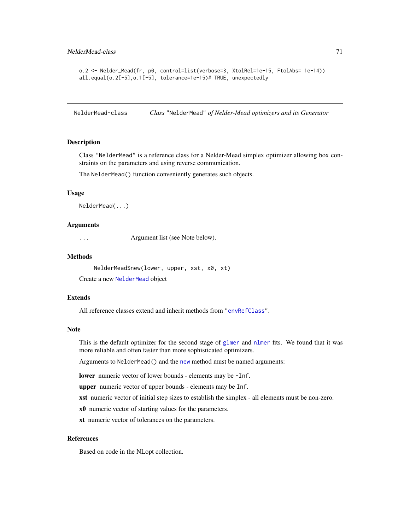```
o.2 <- Nelder_Mead(fr, p0, control=list(verbose=3, XtolRel=1e-15, FtolAbs= 1e-14))
all.equal(o.2[-5],o.1[-5], tolerance=1e-15)# TRUE, unexpectedly
```
<span id="page-70-0"></span>NelderMead-class *Class* "NelderMead" *of Nelder-Mead optimizers and its Generator*

#### Description

Class "NelderMead" is a reference class for a Nelder-Mead simplex optimizer allowing box constraints on the parameters and using reverse communication.

The NelderMead() function conveniently generates such objects.

#### Usage

NelderMead(...)

### Arguments

... **Argument list (see Note below).** 

#### Methods

```
NelderMead$new(lower, upper, xst, x0, xt)
```
Create a new [NelderMead](#page-70-0) object

## Extends

All reference classes extend and inherit methods from ["envRefClass"](#page-0-0).

### Note

This is the default optimizer for the second stage of [glmer](#page-28-0) and [nlmer](#page-73-0) fits. We found that it was more reliable and often faster than more sophisticated optimizers.

Arguments to NelderMead() and the [new](#page-0-0) method must be named arguments:

lower numeric vector of lower bounds - elements may be -Inf.

upper numeric vector of upper bounds - elements may be Inf.

xst numeric vector of initial step sizes to establish the simplex - all elements must be non-zero.

x0 numeric vector of starting values for the parameters.

xt numeric vector of tolerances on the parameters.

## References

Based on code in the NLopt collection.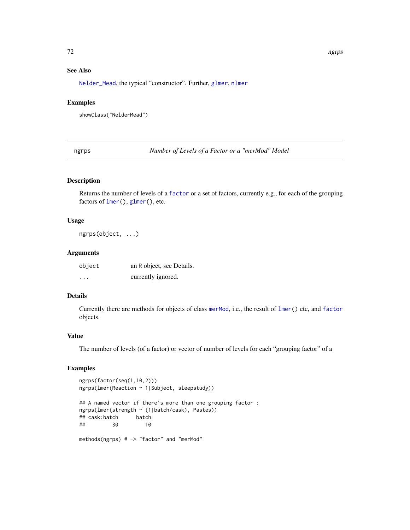# See Also

[Nelder\\_Mead](#page-68-0), the typical "constructor". Further, [glmer](#page-28-0), [nlmer](#page-73-0)

### Examples

showClass("NelderMead")

<span id="page-71-0"></span>ngrps *Number of Levels of a Factor or a "merMod" Model*

# Description

Returns the number of levels of a [factor](#page-0-0) or a set of factors, currently e.g., for each of the grouping factors of [lmer\(](#page-41-0)), [glmer\(](#page-28-0)), etc.

# Usage

ngrps(object, ...)

### Arguments

| object   | an R object, see Details. |
|----------|---------------------------|
| $\cdots$ | currently ignored.        |

### Details

Currently there are methods for objects of class [merMod](#page-54-1), i.e., the result of [lmer\(](#page-41-0)) etc, and [factor](#page-0-0) objects.

### Value

The number of levels (of a factor) or vector of number of levels for each "grouping factor" of a

# Examples

```
ngrps(factor(seq(1,10,2)))
ngrps(lmer(Reaction ~ 1|Subject, sleepstudy))
```

```
## A named vector if there's more than one grouping factor :
ngrps(lmer(strength ~ (1|batch/cask), Pastes))
## cask:batch
## 30 10
```
methods(ngrps) # -> "factor" and "merMod"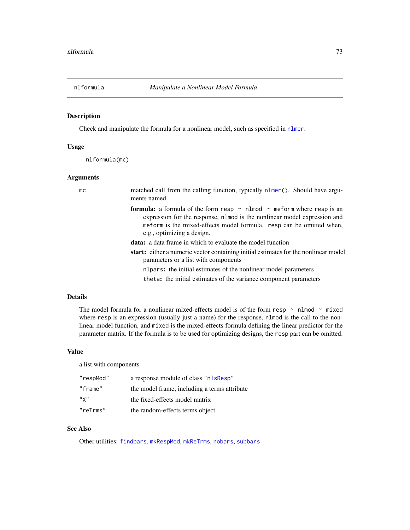<span id="page-72-0"></span>

# Description

Check and manipulate the formula for a nonlinear model, such as specified in [nlmer](#page-73-0).

# Usage

nlformula(mc)

## Arguments

| mc | matched call from the calling function, typically nlmer(). Should have argu-<br>ments named                                                                                                                                                                              |
|----|--------------------------------------------------------------------------------------------------------------------------------------------------------------------------------------------------------------------------------------------------------------------------|
|    | <b>formula:</b> a formula of the form resp $\sim$ nlmod $\sim$ meform where resp is an<br>expression for the response, n1mod is the nonlinear model expression and<br>meform is the mixed-effects model formula. resp can be omitted when,<br>e.g., optimizing a design. |
|    | <b>data:</b> a data frame in which to evaluate the model function                                                                                                                                                                                                        |
|    | start: either a numeric vector containing initial estimates for the nonlinear model<br>parameters or a list with components                                                                                                                                              |
|    | nlpars: the initial estimates of the nonlinear model parameters                                                                                                                                                                                                          |
|    | theta: the initial estimates of the variance component parameters                                                                                                                                                                                                        |
|    |                                                                                                                                                                                                                                                                          |

# Details

The model formula for a nonlinear mixed-effects model is of the form resp  $\sim$  nlmod  $\sim$  mixed where resp is an expression (usually just a name) for the response, nlmod is the call to the nonlinear model function, and mixed is the mixed-effects formula defining the linear predictor for the parameter matrix. If the formula is to be used for optimizing designs, the resp part can be omitted.

#### Value

a list with components

| "respMod" | a response module of class "nlsResp"         |
|-----------|----------------------------------------------|
| "frame"   | the model frame, including a terms attribute |
| $"$ Y $"$ | the fixed-effects model matrix               |
| "reTrms"  | the random-effects terms object              |

# See Also

Other utilities: [findbars](#page-21-0), [mkRespMod](#page-61-0), [mkReTrms](#page-61-1), [nobars](#page-77-0), [subbars](#page-102-0)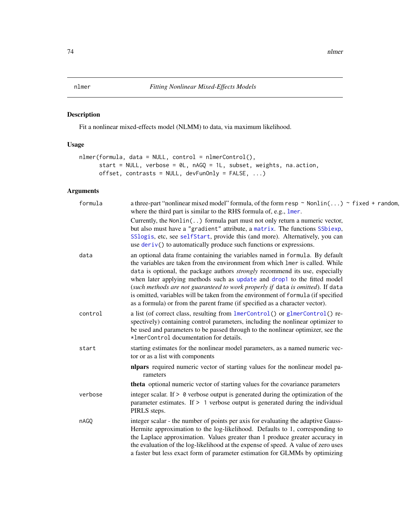<span id="page-73-0"></span>

# Description

Fit a nonlinear mixed-effects model (NLMM) to data, via maximum likelihood.

# Usage

```
nlmer(formula, data = NULL, control = nlmerControl(),
      start = NULL, verbose = 0L, nAGQ = 1L, subset, weights, na.action,
     offset, contrasts = NULL, devFunOnly = FALSE, ...)
```

| formula | a three-part "nonlinear mixed model" formula, of the form resp $\sim$ Nonlin() $\sim$ fixed + random,<br>where the third part is similar to the RHS formula of, e.g., lmer.                                                                                                                                                                                                                                                                                                                                                                                                             |
|---------|-----------------------------------------------------------------------------------------------------------------------------------------------------------------------------------------------------------------------------------------------------------------------------------------------------------------------------------------------------------------------------------------------------------------------------------------------------------------------------------------------------------------------------------------------------------------------------------------|
|         | Currently, the Nonlin() formula part must not only return a numeric vector,<br>but also must have a "gradient" attribute, a matrix. The functions SSbiexp,<br>SSlogis, etc, see selfStart, provide this (and more). Alternatively, you can<br>use $deriv()$ to automatically produce such functions or expressions.                                                                                                                                                                                                                                                                     |
| data    | an optional data frame containing the variables named in formula. By default<br>the variables are taken from the environment from which lmer is called. While<br>data is optional, the package authors <i>strongly</i> recommend its use, especially<br>when later applying methods such as update and drop1 to the fitted model<br>(such methods are not guaranteed to work properly if data is omitted). If data<br>is omitted, variables will be taken from the environment of formula (if specified<br>as a formula) or from the parent frame (if specified as a character vector). |
| control | a list (of correct class, resulting from lmerControl() or glmerControl() re-<br>spectively) containing control parameters, including the nonlinear optimizer to<br>be used and parameters to be passed through to the nonlinear optimizer, see the<br>*ImerControl documentation for details.                                                                                                                                                                                                                                                                                           |
| start   | starting estimates for the nonlinear model parameters, as a named numeric vec-<br>tor or as a list with components                                                                                                                                                                                                                                                                                                                                                                                                                                                                      |
|         | nlpars required numeric vector of starting values for the nonlinear model pa-<br>rameters                                                                                                                                                                                                                                                                                                                                                                                                                                                                                               |
|         | <b>theta</b> optional numeric vector of starting values for the covariance parameters                                                                                                                                                                                                                                                                                                                                                                                                                                                                                                   |
| verbose | integer scalar. If $> 0$ verbose output is generated during the optimization of the<br>parameter estimates. If $> 1$ verbose output is generated during the individual<br>PIRLS steps.                                                                                                                                                                                                                                                                                                                                                                                                  |
| nAGQ    | integer scalar - the number of points per axis for evaluating the adaptive Gauss-<br>Hermite approximation to the log-likelihood. Defaults to 1, corresponding to<br>the Laplace approximation. Values greater than 1 produce greater accuracy in<br>the evaluation of the log-likelihood at the expense of speed. A value of zero uses<br>a faster but less exact form of parameter estimation for GLMMs by optimizing                                                                                                                                                                 |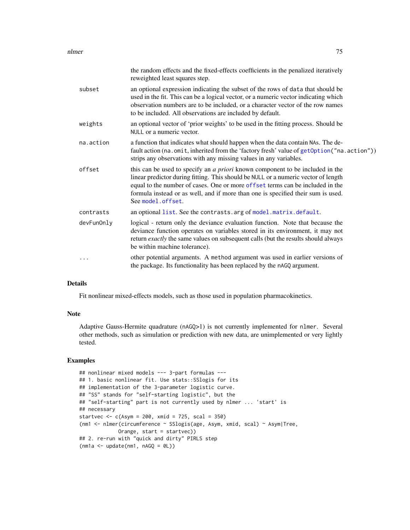#### nlmer 75

|            | the random effects and the fixed-effects coefficients in the penalized iteratively<br>reweighted least squares step.                                                                                                                                                                                                                                                 |
|------------|----------------------------------------------------------------------------------------------------------------------------------------------------------------------------------------------------------------------------------------------------------------------------------------------------------------------------------------------------------------------|
| subset     | an optional expression indicating the subset of the rows of data that should be<br>used in the fit. This can be a logical vector, or a numeric vector indicating which<br>observation numbers are to be included, or a character vector of the row names<br>to be included. All observations are included by default.                                                |
| weights    | an optional vector of 'prior weights' to be used in the fitting process. Should be<br>NULL or a numeric vector.                                                                                                                                                                                                                                                      |
| na.action  | a function that indicates what should happen when the data contain NAs. The de-<br>fault action (na.omit, inherited from the 'factory fresh' value of getOption ("na.action"))<br>strips any observations with any missing values in any variables.                                                                                                                  |
| offset     | this can be used to specify an <i>a priori</i> known component to be included in the<br>linear predictor during fitting. This should be NULL or a numeric vector of length<br>equal to the number of cases. One or more offset terms can be included in the<br>formula instead or as well, and if more than one is specified their sum is used.<br>See model.offset. |
| contrasts  | an optional list. See the contrasts. arg of model. matrix. default.                                                                                                                                                                                                                                                                                                  |
| devFunOnly | logical - return only the deviance evaluation function. Note that because the<br>deviance function operates on variables stored in its environment, it may not<br>return exactly the same values on subsequent calls (but the results should always<br>be within machine tolerance).                                                                                 |
| .          | other potential arguments. A method argument was used in earlier versions of<br>the package. Its functionality has been replaced by the nAGQ argument.                                                                                                                                                                                                               |

# Details

Fit nonlinear mixed-effects models, such as those used in population pharmacokinetics.

# Note

Adaptive Gauss-Hermite quadrature (nAGQ>1) is not currently implemented for nlmer. Several other methods, such as simulation or prediction with new data, are unimplemented or very lightly tested.

```
## nonlinear mixed models --- 3-part formulas ---
## 1. basic nonlinear fit. Use stats::SSlogis for its
## implementation of the 3-parameter logistic curve.
## "SS" stands for "self-starting logistic", but the
## "self-starting" part is not currently used by nlmer ... 'start' is
## necessary
startvec <-c(Asym = 200, xmid = 725, scal = 350)(nm1 <- nlmer(circumference ~ SSlogis(age, Asym, xmid, scal) ~ Asym|Tree,
            Orange, start = startvec))
## 2. re-run with "quick and dirty" PIRLS step
(mn1a \leq update(mn1, nAGQ = 0L))
```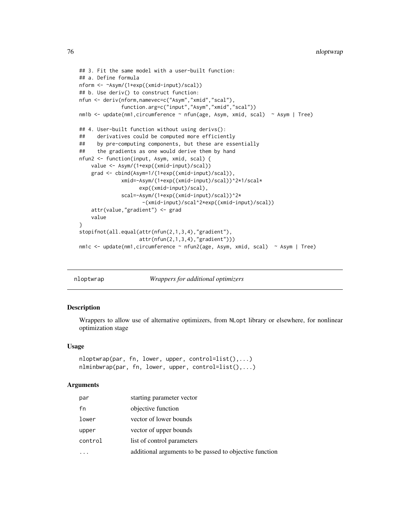```
## 3. Fit the same model with a user-built function:
## a. Define formula
nform <- ~Asym/(1+exp((xmid-input)/scal))
## b. Use deriv() to construct function:
nfun <- deriv(nform,namevec=c("Asym","xmid","scal"),
              function.arg=c("input","Asym","xmid","scal"))
nm1b <- update(nm1,circumference ~ nfun(age, Asym, xmid, scal) ~ Asym | Tree)
## 4. User-built function without using derivs():
## derivatives could be computed more efficiently
## by pre-computing components, but these are essentially
## the gradients as one would derive them by hand
nfun2 <- function(input, Asym, xmid, scal) {
    value <- Asym/(1+exp((xmid-input)/scal))
    grad <- cbind(Asym=1/(1+exp((xmid-input)/scal)),
              xmid=-Asym/(1+exp((xmid-input)/scal))^2*1/scal*
                    exp((xmid-input)/scal),
              scal=-Asym/(1+exp((xmid-input)/scal))^2*
                     -(xmid-input)/scal^2*exp((xmid-input)/scal))
    attr(value,"gradient") <- grad
    value
}
stopifnot(all.equal(attr(nfun(2,1,3,4),"gradient"),
                    attr(nfun(2,1,3,4),"gradient")))
nm1c <- update(nm1,circumference ~ nfun2(age, Asym, xmid, scal) ~ Asym | Tree)
```
nloptwrap *Wrappers for additional optimizers*

## **Description**

Wrappers to allow use of alternative optimizers, from NLopt library or elsewhere, for nonlinear optimization stage

#### Usage

```
nloptwrap(par, fn, lower, upper, control=list(),...)
nlminbwrap(par, fn, lower, upper, control=list(),...)
```

| par     | starting parameter vector                               |
|---------|---------------------------------------------------------|
| fn      | objective function                                      |
| lower   | vector of lower bounds                                  |
| upper   | vector of upper bounds                                  |
| control | list of control parameters                              |
|         | additional arguments to be passed to objective function |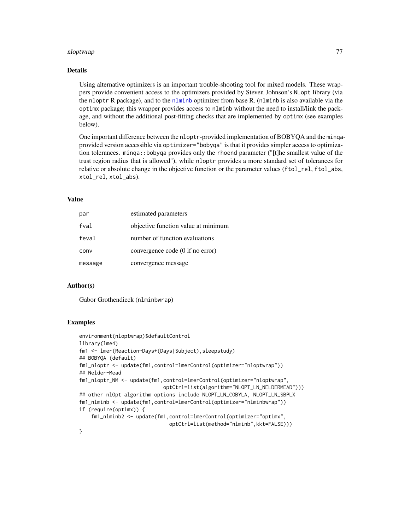#### nloptwrap 77

# Details

Using alternative optimizers is an important trouble-shooting tool for mixed models. These wrappers provide convenient access to the optimizers provided by Steven Johnson's NLopt library (via the nloptr R package), and to the [nlminb](#page-0-0) optimizer from base R. (nlminb is also available via the optimx package; this wrapper provides access to nlminb without the need to install/link the package, and without the additional post-fitting checks that are implemented by optimx (see examples below).

One important difference between the nloptr-provided implementation of BOBYQA and the minqaprovided version accessible via optimizer="bobyqa" is that it provides simpler access to optimization tolerances. minqa::bobyqa provides only the rhoend parameter ("[t]he smallest value of the trust region radius that is allowed"), while nloptr provides a more standard set of tolerances for relative or absolute change in the objective function or the parameter values (ftol\_rel, ftol\_abs, xtol\_rel, xtol\_abs).

## Value

| par     | estimated parameters                |
|---------|-------------------------------------|
| fval    | objective function value at minimum |
| feval   | number of function evaluations      |
| conv    | convergence code (0 if no error)    |
| message | convergence message                 |

## Author(s)

Gabor Grothendieck (nlminbwrap)

```
environment(nloptwrap)$defaultControl
library(lme4)
fm1 <- lmer(Reaction~Days+(Days|Subject),sleepstudy)
## BOBYQA (default)
fm1_nloptr <- update(fm1,control=lmerControl(optimizer="nloptwrap"))
## Nelder-Mead
fm1_nloptr_NM <- update(fm1,control=lmerControl(optimizer="nloptwrap",
                            optCtrl=list(algorithm="NLOPT_LN_NELDERMEAD")))
## other nlOpt algorithm options include NLOPT_LN_COBYLA, NLOPT_LN_SBPLX
fm1_nlminb <- update(fm1,control=lmerControl(optimizer="nlminbwrap"))
if (require(optimx)) {
    fm1_nlminb2 <- update(fm1,control=lmerControl(optimizer="optimx",
                              optCtrl=list(method="nlminb",kkt=FALSE)))
}
```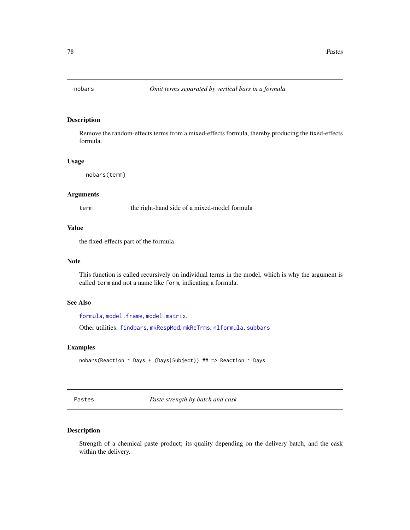<span id="page-77-0"></span>

## Description

Remove the random-effects terms from a mixed-effects formula, thereby producing the fixed-effects formula.

# Usage

```
nobars(term)
```
# Arguments

term the right-hand side of a mixed-model formula

# Value

the fixed-effects part of the formula

# Note

This function is called recursively on individual terms in the model, which is why the argument is called term and not a name like form, indicating a formula.

# See Also

[formula](#page-0-0), [model.frame](#page-0-0), [model.matrix](#page-0-0).

Other utilities: [findbars](#page-21-0), [mkRespMod](#page-61-0), [mkReTrms](#page-61-1), [nlformula](#page-72-0), [subbars](#page-102-0)

# Examples

nobars(Reaction ~ Days + (Days|Subject)) ## => Reaction ~ Days

Pastes *Paste strength by batch and cask*

# Description

Strength of a chemical paste product; its quality depending on the delivery batch, and the cask within the delivery.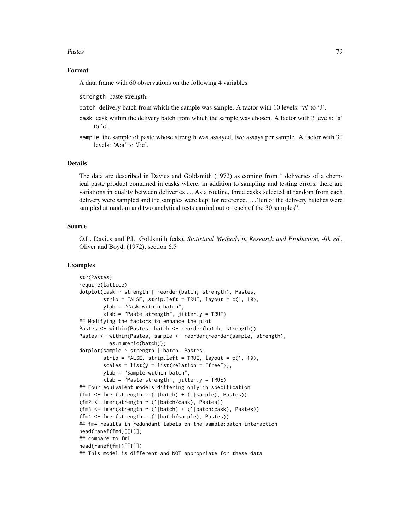#### Pastes 79

# Format

A data frame with 60 observations on the following 4 variables.

strength paste strength.

- batch delivery batch from which the sample was sample. A factor with 10 levels: 'A' to 'J'.
- cask cask within the delivery batch from which the sample was chosen. A factor with 3 levels: 'a' to 'c'.
- sample the sample of paste whose strength was assayed, two assays per sample. A factor with 30 levels: 'A:a' to 'J:c'.

#### Details

The data are described in Davies and Goldsmith (1972) as coming from " deliveries of a chemical paste product contained in casks where, in addition to sampling and testing errors, there are variations in quality between deliveries . . . As a routine, three casks selected at random from each delivery were sampled and the samples were kept for reference. . . . Ten of the delivery batches were sampled at random and two analytical tests carried out on each of the 30 samples".

#### Source

O.L. Davies and P.L. Goldsmith (eds), *Statistical Methods in Research and Production, 4th ed.*, Oliver and Boyd, (1972), section 6.5

```
str(Pastes)
require(lattice)
dotplot(cask ~ strength | reorder(batch, strength), Pastes,
       strip = FALSE, strip.left = TRUE, layout = c(1, 10),
       ylab = "Cask within batch",
       xlab = "Paste strength", jitter.y = TRUE)
## Modifying the factors to enhance the plot
Pastes <- within(Pastes, batch <- reorder(batch, strength))
Pastes <- within(Pastes, sample <- reorder(reorder(sample, strength),
          as.numeric(batch)))
dotplot(sample ~ strength | batch, Pastes,
       strip = FALSE, strip.left = TRUE, layout = c(1, 10),
       scales = list(y = list(relation = "free")),
       ylab = "Sample within batch",
       xlab = "Paste strength", jitter.y = TRUE)
## Four equivalent models differing only in specification
(fm1 <- lmer(strength ~ (1|batch) + (1|sample), Pastes))
(fm2 <- lmer(strength ~ (1|batch/cask), Pastes))
(fm3 <- lmer(strength ~ (1|batch) + (1|batch:cask), Pastes))
(fm4 <- lmer(strength ~ (1|batch/sample), Pastes))
## fm4 results in redundant labels on the sample:batch interaction
head(ranef(fm4)[[1]])
## compare to fm1
head(ranef(fm1)[[1]])
## This model is different and NOT appropriate for these data
```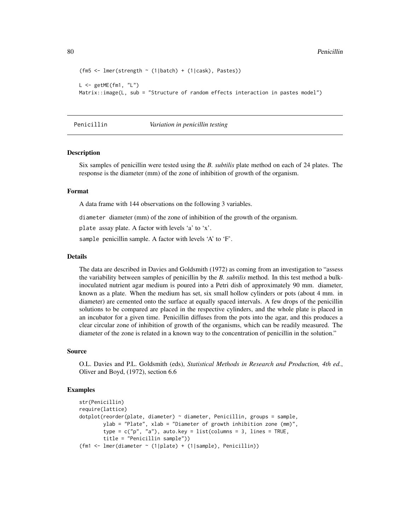```
(fm5 \leftarrow lmer(strength \sim (1|batch) + (1|cask), Pastes))
L <- getME(fm1, "L")
Matrix::image(L, sub = "Structure of random effects interaction in pastes model")
```
Penicillin *Variation in penicillin testing*

# Description

Six samples of penicillin were tested using the *B. subtilis* plate method on each of 24 plates. The response is the diameter (mm) of the zone of inhibition of growth of the organism.

# Format

A data frame with 144 observations on the following 3 variables.

diameter diameter (mm) of the zone of inhibition of the growth of the organism.

plate assay plate. A factor with levels 'a' to 'x'.

sample penicillin sample. A factor with levels 'A' to 'F'.

# Details

The data are described in Davies and Goldsmith (1972) as coming from an investigation to "assess the variability between samples of penicillin by the *B. subtilis* method. In this test method a bulkinoculated nutrient agar medium is poured into a Petri dish of approximately 90 mm. diameter, known as a plate. When the medium has set, six small hollow cylinders or pots (about 4 mm. in diameter) are cemented onto the surface at equally spaced intervals. A few drops of the penicillin solutions to be compared are placed in the respective cylinders, and the whole plate is placed in an incubator for a given time. Penicillin diffuses from the pots into the agar, and this produces a clear circular zone of inhibition of growth of the organisms, which can be readily measured. The diameter of the zone is related in a known way to the concentration of penicillin in the solution."

#### Source

O.L. Davies and P.L. Goldsmith (eds), *Statistical Methods in Research and Production, 4th ed.*, Oliver and Boyd, (1972), section 6.6

```
str(Penicillin)
require(lattice)
dotplot(reorder(plate, diameter) ~ diameter, Penicillin, groups = sample,
       ylab = "Plate", xlab = "Diameter of growth inhibition zone (mm)",
        type = c("p", "a"), auto.key = list(columns = 3, lines = TRUE,
        title = "Penicillin sample"))
(fm1 <- lmer(diameter ~ (1|plate) + (1|sample), Penicillin))
```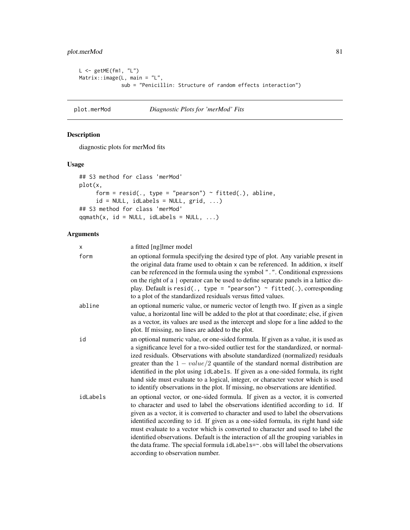# plot.merMod 81

```
L <- getME(fm1, "L")
Matrix::image(L, main = "L",
             sub = "Penicillin: Structure of random effects interaction")
```
plot.merMod *Diagnostic Plots for 'merMod' Fits*

# Description

diagnostic plots for merMod fits

## Usage

```
## S3 method for class 'merMod'
plot(x,
     form = resid(., type = "pearson") \sim fitted(.), abline,
     id = NULL, idLabels = NULL, grid, ...)
## S3 method for class 'merMod'
qqmath(t, id = NULL, idLabels = NULL, ...)
```

| x        | a fitted [ng]lmer model                                                                                                                                                                                                                                                                                                                                                                                                                                                                                                                                                                                                                       |
|----------|-----------------------------------------------------------------------------------------------------------------------------------------------------------------------------------------------------------------------------------------------------------------------------------------------------------------------------------------------------------------------------------------------------------------------------------------------------------------------------------------------------------------------------------------------------------------------------------------------------------------------------------------------|
| form     | an optional formula specifying the desired type of plot. Any variable present in<br>the original data frame used to obtain x can be referenced. In addition, x itself<br>can be referenced in the formula using the symbol ".". Conditional expressions<br>on the right of a   operator can be used to define separate panels in a lattice dis-<br>play. Default is resid(., type = "pearson") $\sim$ fitted(.), corresponding<br>to a plot of the standardized residuals versus fitted values.                                                                                                                                               |
| abline   | an optional numeric value, or numeric vector of length two. If given as a single<br>value, a horizontal line will be added to the plot at that coordinate; else, if given<br>as a vector, its values are used as the intercept and slope for a line added to the<br>plot. If missing, no lines are added to the plot.                                                                                                                                                                                                                                                                                                                         |
| id       | an optional numeric value, or one-sided formula. If given as a value, it is used as<br>a significance level for a two-sided outlier test for the standardized, or normal-<br>ized residuals. Observations with absolute standardized (normalized) residuals<br>greater than the $1 - value/2$ quantile of the standard normal distribution are<br>identified in the plot using idLabels. If given as a one-sided formula, its right<br>hand side must evaluate to a logical, integer, or character vector which is used<br>to identify observations in the plot. If missing, no observations are identified.                                  |
| idLabels | an optional vector, or one-sided formula. If given as a vector, it is converted<br>to character and used to label the observations identified according to id. If<br>given as a vector, it is converted to character and used to label the observations<br>identified according to id. If given as a one-sided formula, its right hand side<br>must evaluate to a vector which is converted to character and used to label the<br>identified observations. Default is the interaction of all the grouping variables in<br>the data frame. The special formula idLabels=~. obs will label the observations<br>according to observation number. |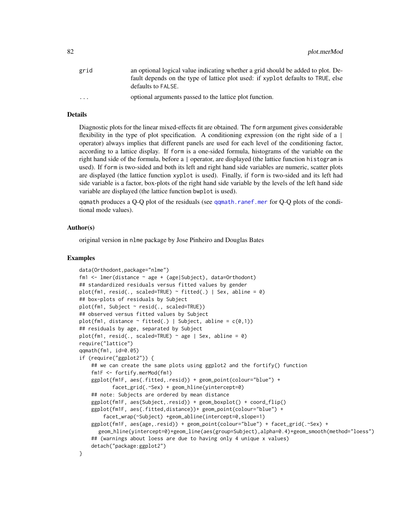| grid                    | an optional logical value indicating whether a grid should be added to plot. De-                       |
|-------------------------|--------------------------------------------------------------------------------------------------------|
|                         | fault depends on the type of lattice plot used: if xyplot defaults to TRUE, else<br>defaults to FALSE. |
|                         |                                                                                                        |
| $\cdot$ $\cdot$ $\cdot$ | optional arguments passed to the lattice plot function.                                                |

# Details

Diagnostic plots for the linear mixed-effects fit are obtained. The form argument gives considerable flexibility in the type of plot specification. A conditioning expression (on the right side of a  $|$ operator) always implies that different panels are used for each level of the conditioning factor, according to a lattice display. If form is a one-sided formula, histograms of the variable on the right hand side of the formula, before a | operator, are displayed (the lattice function histogram is used). If form is two-sided and both its left and right hand side variables are numeric, scatter plots are displayed (the lattice function xyplot is used). Finally, if form is two-sided and its left had side variable is a factor, box-plots of the right hand side variable by the levels of the left hand side variable are displayed (the lattice function bwplot is used).

qqmath produces a Q-Q plot of the residuals (see [qqmath.ranef.mer](#page-92-0) for Q-Q plots of the conditional mode values).

## Author(s)

original version in nlme package by Jose Pinheiro and Douglas Bates

```
data(Orthodont,package="nlme")
fm1 <- lmer(distance ~ age + (age|Subject), data=Orthodont)
## standardized residuals versus fitted values by gender
plot(fm1, resid(., scaled=TRUE) ~ fitted(.) | Sex, abline = 0)
## box-plots of residuals by Subject
plot(fm1, Subject ~ resid(., scaled=TRUE))
## observed versus fitted values by Subject
plot(fm1, distance \sim fitted(.) | Subject, abline = c(0,1))
## residuals by age, separated by Subject
plot(fm1, resid(., scaled=TRUE) \sim age | Sex, abline = 0)
require("lattice")
qqmath(fm1, id=0.05)
if (require("ggplot2")) {
    ## we can create the same plots using ggplot2 and the fortify() function
    fm1F <- fortify.merMod(fm1)
    ggplot(fm1F, aes(.fitted,.resid)) + geom_point(colour="blue") +
           facet_grid(.~Sex) + geom_hline(yintercept=0)
    ## note: Subjects are ordered by mean distance
    ggplot(fm1F, aes(Subject,.resid)) + geom_boxplot() + coord_flip()
    ggplot(fm1F, aes(.fitted,distance))+ geom_point(colour="blue") +
        facet_wrap(~Subject) +geom_abline(intercept=0,slope=1)
    ggplot(fm1F, aes(age,.resid)) + geom_point(colour="blue") + facet_grid(.~Sex) +
      geom_hline(yintercept=0)+geom_line(aes(group=Subject),alpha=0.4)+geom_smooth(method="loess")
    ## (warnings about loess are due to having only 4 unique x values)
    detach("package:ggplot2")
}
```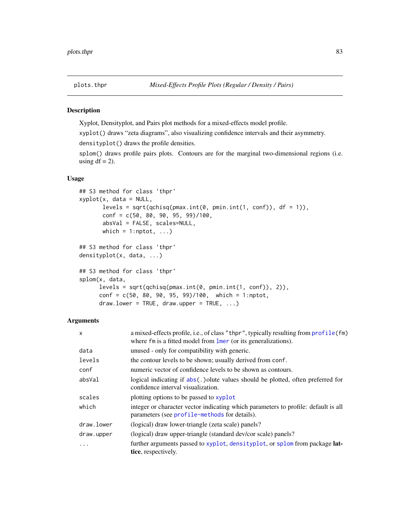# <span id="page-82-0"></span>Description

Xyplot, Densityplot, and Pairs plot methods for a mixed-effects model profile.

xyplot() draws "zeta diagrams", also visualizing confidence intervals and their asymmetry.

densityplot() draws the profile densities.

splom() draws profile pairs plots. Contours are for the marginal two-dimensional regions (i.e. using  $df = 2$ ).

# Usage

```
## S3 method for class 'thpr'
xyplot(x, data = NULL,levels = sqrt(qchisq(pmax.int(0, pmin.int(1, conf)), df = 1)),
       conf = c(50, 80, 90, 95, 99)/100,absVal = FALSE, scales=NULL,
      which = 1:nptot, \ldots)
## S3 method for class 'thpr'
densityplot(x, data, ...)
## S3 method for class 'thpr'
splom(x, data,
     levels = sqrt(qchisq(pmax.int(0, pmin.int(1, conf)), 2)),
     conf = c(50, 80, 90, 95, 99)/100, which = 1:nptot,
     draw.lower = TRUE, draw.upper = TRUE, ...)
```

| $\mathsf{x}$ | a mixed-effects profile, i.e., of class "thpr", typically resulting from profile(fm)<br>where fm is a fitted model from lmer (or its generalizations). |
|--------------|--------------------------------------------------------------------------------------------------------------------------------------------------------|
| data         | unused - only for compatibility with generic.                                                                                                          |
| levels       | the contour levels to be shown; usually derived from conf.                                                                                             |
| conf         | numeric vector of confidence levels to be shown as contours.                                                                                           |
| absVal       | logical indicating if abs(.) olute values should be plotted, often preferred for<br>confidence interval visualization.                                 |
| scales       | plotting options to be passed to xyplot                                                                                                                |
| which        | integer or character vector indicating which parameters to profile: default is all<br>parameters (see profile-methods for details).                    |
| draw.lower   | (logical) draw lower-triangle (zeta scale) panels?                                                                                                     |
| draw.upper   | (logical) draw upper-triangle (standard dev/cor scale) panels?                                                                                         |
| $\ddots$ .   | further arguments passed to xyplot, densityplot, or splom from package lat-<br>tice, respectively.                                                     |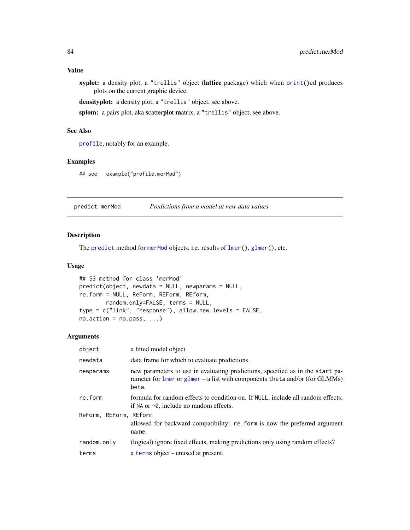# Value

xyplot: a density plot, a "trellis" object (lattice package) which when [print\(](#page-0-0))ed produces plots on the current graphic device.

densityplot: a density plot, a "trellis" object, see above.

splom: a pairs plot, aka scatterplot matrix, a "trellis" object, see above.

# See Also

[profile](#page-84-0), notably for an example.

# Examples

## see example("profile.merMod")

predict.merMod *Predictions from a model at new data values*

# Description

The [predict](#page-0-0) method for [merMod](#page-54-0) objects, i.e. results of [lmer\(](#page-41-0)), [glmer\(](#page-28-0)), etc.

# Usage

```
## S3 method for class 'merMod'
predict(object, newdata = NULL, newparams = NULL,
re.form = NULL, ReForm, REForm, REform,
        random.only=FALSE, terms = NULL,
type = c("link", "response"), allow.new.levels = FALSE,
na. action = na. pass, ...
```

| object                 | a fitted model object                                                                                                                                                        |
|------------------------|------------------------------------------------------------------------------------------------------------------------------------------------------------------------------|
| newdata                | data frame for which to evaluate predictions.                                                                                                                                |
| newparams              | new parameters to use in evaluating predictions, specified as in the start pa-<br>rameter for $l$ mer or $g$ lmer – a list with components theta and/or (for GLMMs)<br>beta. |
| re.form                | formula for random effects to condition on. If NULL, include all random effects;<br>if NA or $\sim$ 0, include no random effects.                                            |
| ReForm, REForm, REform | allowed for backward compatibility: re. form is now the preferred argument<br>name.                                                                                          |
| random.only            | (logical) ignore fixed effects, making predictions only using random effects?                                                                                                |
| terms                  | a terms object - unused at present.                                                                                                                                          |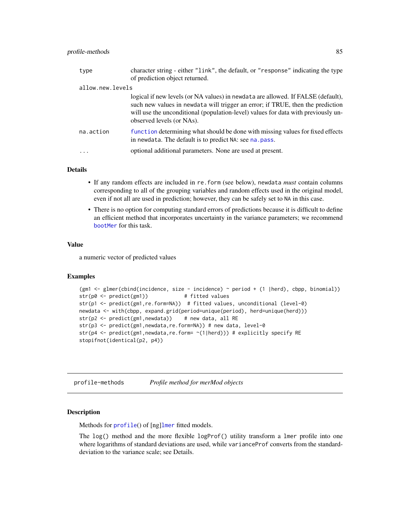| type             | character string - either "link", the default, or "response" indicating the type<br>of prediction object returned.                                                                                                                                                                   |
|------------------|--------------------------------------------------------------------------------------------------------------------------------------------------------------------------------------------------------------------------------------------------------------------------------------|
| allow.new.levels |                                                                                                                                                                                                                                                                                      |
|                  | logical if new levels (or NA values) in newdata are allowed. If FALSE (default),<br>such new values in newdata will trigger an error; if TRUE, then the prediction<br>will use the unconditional (population-level) values for data with previously un-<br>observed levels (or NAs). |
| na.action        | function determining what should be done with missing values for fixed effects<br>in newdata. The default is to predict NA: see na. pass.                                                                                                                                            |
| $\ddotsc$        | optional additional parameters. None are used at present.                                                                                                                                                                                                                            |

# Details

- If any random effects are included in re.form (see below), newdata *must* contain columns corresponding to all of the grouping variables and random effects used in the original model, even if not all are used in prediction; however, they can be safely set to NA in this case.
- There is no option for computing standard errors of predictions because it is difficult to define an efficient method that incorporates uncertainty in the variance parameters; we recommend [bootMer](#page-5-0) for this task.

# Value

a numeric vector of predicted values

#### Examples

```
(gm1 <- glmer(cbind(incidence, size - incidence) ~ period + (1 |herd), cbpp, binomial))
str(p0 <- predict(gm1)) # fitted values
str(p1 <- predict(gm1,re.form=NA)) # fitted values, unconditional (level-0)
newdata <- with(cbpp, expand.grid(period=unique(period), herd=unique(herd)))
str(p2 \leq -\text{predict}(gm1, newdata)) # new data, all RE
str(p3 <- predict(gm1, newdata, re.form=NA)) # new data, level-0
str(p4 <- predict(gm1, newdata, re.form= ~(1|herd))) # explicitly specify RE
stopifnot(identical(p2, p4))
```
<span id="page-84-0"></span>profile-methods *Profile method for merMod objects*

# <span id="page-84-1"></span>Description

Methods for [profile](#page-0-0)() of [ng][lmer](#page-41-0) fitted models.

The  $log()$  method and the more flexible  $logProf()$  utility transform a lmer profile into one where logarithms of standard deviations are used, while varianceProf converts from the standarddeviation to the variance scale; see Details.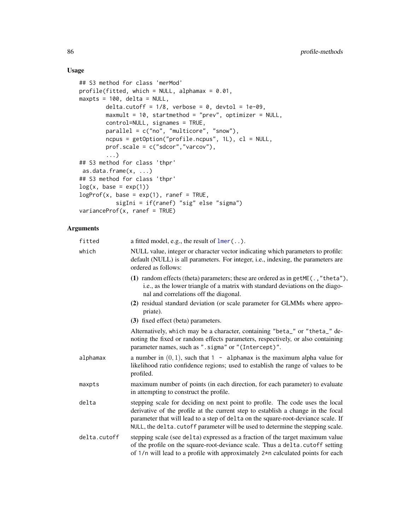# Usage

```
## S3 method for class 'merMod'
profile(fitted, which = NULL, alphamax = 0.01,
maxpts = 100, delta = NULL,
        delta.cutoff = 1/8, verbose = 0, devtol = 1e-09,
        maxmult = 10, startmethod = "prev", optimizer = NULL,
        control=NULL, signames = TRUE,
        parallel = c("no", "multicore", "snow"),
        ncpus = getOption("profile.ncpus", 1L), cl = NULL,
        prof.scale = c("sdcor","varcov"),
        ...)
## S3 method for class 'thpr'
as.data.frame(x, ...)
## S3 method for class 'thpr'
log(x, base = exp(1))logProf(x, base = exp(1), range = TRUE,sigIni = if(ranef) "sig" else "sigma")
varianceProf(x, \text{rand} = TRUE)
```

| fitted       | a fitted model, e.g., the result of $lmer$ ().                                                                                                                                                                                                                                                                                            |
|--------------|-------------------------------------------------------------------------------------------------------------------------------------------------------------------------------------------------------------------------------------------------------------------------------------------------------------------------------------------|
| which        | NULL value, integer or character vector indicating which parameters to profile:<br>default (NULL) is all parameters. For integer, i.e., indexing, the parameters are<br>ordered as follows:                                                                                                                                               |
|              | (1) random effects (theta) parameters; these are ordered as in $getME( . , "theta"),$<br>i.e., as the lower triangle of a matrix with standard deviations on the diago-<br>nal and correlations off the diagonal.                                                                                                                         |
|              | (2) residual standard deviation (or scale parameter for GLMMs where appro-<br>priate).                                                                                                                                                                                                                                                    |
|              | (3) fixed effect (beta) parameters.                                                                                                                                                                                                                                                                                                       |
|              | Alternatively, which may be a character, containing "beta_" or "theta_" de-<br>noting the fixed or random effects parameters, respectively, or also containing<br>parameter names, such as ".sigma" or "(Intercept)".                                                                                                                     |
| alphamax     | a number in $(0, 1)$ , such that 1 - alphamax is the maximum alpha value for<br>likelihood ratio confidence regions; used to establish the range of values to be<br>profiled.                                                                                                                                                             |
| maxpts       | maximum number of points (in each direction, for each parameter) to evaluate<br>in attempting to construct the profile.                                                                                                                                                                                                                   |
| delta        | stepping scale for deciding on next point to profile. The code uses the local<br>derivative of the profile at the current step to establish a change in the focal<br>parameter that will lead to a step of delta on the square-root-deviance scale. If<br>NULL, the delta. cutoff parameter will be used to determine the stepping scale. |
| delta.cutoff | stepping scale (see delta) expressed as a fraction of the target maximum value<br>of the profile on the square-root-deviance scale. Thus a delta.cutoff setting<br>of 1/n will lead to a profile with approximately 2*n calculated points for each                                                                                        |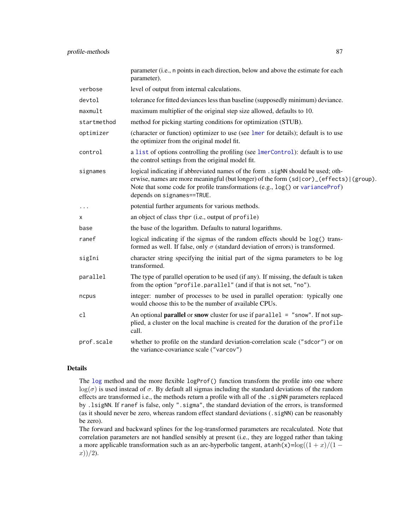|             | parameter (i.e., n points in each direction, below and above the estimate for each<br>parameter).                                                                                                                                                                                         |
|-------------|-------------------------------------------------------------------------------------------------------------------------------------------------------------------------------------------------------------------------------------------------------------------------------------------|
| verbose     | level of output from internal calculations.                                                                                                                                                                                                                                               |
| devtol      | tolerance for fitted deviances less than baseline (supposedly minimum) deviance.                                                                                                                                                                                                          |
| maxmult     | maximum multiplier of the original step size allowed, defaults to 10.                                                                                                                                                                                                                     |
| startmethod | method for picking starting conditions for optimization (STUB).                                                                                                                                                                                                                           |
| optimizer   | (character or function) optimizer to use (see lmer for details); default is to use<br>the optimizer from the original model fit.                                                                                                                                                          |
| control     | a list of options controlling the profiling (see lmerControl): default is to use<br>the control settings from the original model fit.                                                                                                                                                     |
| signames    | logical indicating if abbreviated names of the form . sigNN should be used; oth-<br>erwise, names are more meaningful (but longer) of the form (sd cor)_(effects) (group).<br>Note that some code for profile transformations (e.g., log() or varianceProf)<br>depends on signames==TRUE. |
|             | potential further arguments for various methods.                                                                                                                                                                                                                                          |
| х           | an object of class thpr (i.e., output of profile)                                                                                                                                                                                                                                         |
| base        | the base of the logarithm. Defaults to natural logarithms.                                                                                                                                                                                                                                |
| ranef       | logical indicating if the sigmas of the random effects should be log() trans-<br>formed as well. If false, only $\sigma$ (standard deviation of errors) is transformed.                                                                                                                   |
| sigIni      | character string specifying the initial part of the sigma parameters to be log<br>transformed.                                                                                                                                                                                            |
| parallel    | The type of parallel operation to be used (if any). If missing, the default is taken<br>from the option "profile.parallel" (and if that is not set, "no").                                                                                                                                |
| ncpus       | integer: number of processes to be used in parallel operation: typically one<br>would choose this to be the number of available CPUs.                                                                                                                                                     |
| cl          | An optional <b>parallel</b> or snow cluster for use if $parallel = "snow".$ If not sup-<br>plied, a cluster on the local machine is created for the duration of the profile<br>call.                                                                                                      |
| prof.scale  | whether to profile on the standard deviation-correlation scale ("sdcor") or on<br>the variance-covariance scale ("varcov")                                                                                                                                                                |

# Details

The [log](#page-0-0) method and the more flexible logProf() function transform the profile into one where  $\log(\sigma)$  is used instead of  $\sigma$ . By default all sigmas including the standard deviations of the random effects are transformed i.e., the methods return a profile with all of the .sigNN parameters replaced by .lsigNN. If ranef is false, only ".sigma", the standard deviation of the errors, is transformed (as it should never be zero, whereas random effect standard deviations (.sigNN) can be reasonably be zero).

The forward and backward splines for the log-transformed parameters are recalculated. Note that correlation parameters are not handled sensibly at present (i.e., they are logged rather than taking a more applicable transformation such as an arc-hyperbolic tangent, atanh(x)=log( $(1 + x)/(1$  $x)$ )/2).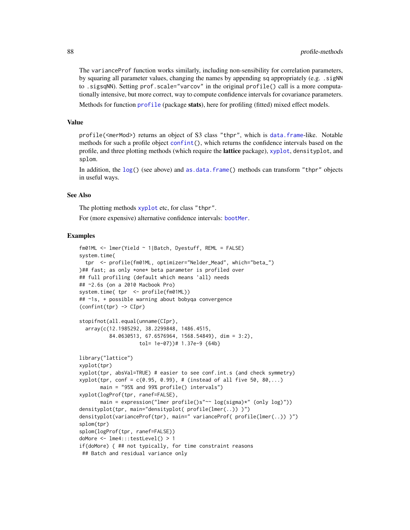The varianceProf function works similarly, including non-sensibility for correlation parameters, by squaring all parameter values, changing the names by appending sq appropriately (e.g. .sigNN to .sigsqNN). Setting prof.scale="varcov" in the original profile() call is a more computationally intensive, but more correct, way to compute confidence intervals for covariance parameters.

Methods for function [profile](#page-0-0) (package stats), here for profiling (fitted) mixed effect models.

#### Value

profile(<merMod>) returns an object of S3 class "thpr", which is [data.frame](#page-0-0)-like. Notable methods for such a profile object [confint\(](#page-0-0)), which returns the confidence intervals based on the profile, and three plotting methods (which require the **lattice** package), [xyplot](#page-82-0), densityplot, and splom.

In addition, the [log\(](#page-0-0)) (see above) and [as.data.frame\(](#page-0-0)) methods can transform "thpr" objects in useful ways.

# See Also

The plotting methods [xyplot](#page-82-0) etc, for class "thpr".

For (more expensive) alternative confidence intervals: [bootMer](#page-5-0).

```
fm01ML <- lmer(Yield ~ 1|Batch, Dyestuff, REML = FALSE)
system.time(
 tpr <- profile(fm01ML, optimizer="Nelder_Mead", which="beta_")
)## fast; as only *one* beta parameter is profiled over
## full profiling (default which means 'all) needs
## ~2.6s (on a 2010 Macbook Pro)
system.time( tpr <- profile(fm01ML))
## ~1s, + possible warning about bobyqa convergence
(confint(tpr) -> CIpr)
stopifnot(all.equal(unname(CIpr),
 array(c(12.1985292, 38.2299848, 1486.4515,
          84.0630513, 67.6576964, 1568.54849), dim = 3:2),
                    tol= 1e-07))# 1.37e-9 {64b}
library("lattice")
xyplot(tpr)
xyplot(tpr, absVal=TRUE) # easier to see conf.int.s (and check symmetry)
xyplot(tpr, conf = c(0.95, 0.99), # (instead of all five 50, 80,...)
      main = "95% and 99% profile() intervals")
xyplot(logProf(tpr, ranef=FALSE),
      main = expression("lmer profile()s"\sim log(sigma)*" (only log)"))
densityplot(tpr, main="densityplot( profile(lmer(..)) )")
densityplot(varianceProf(tpr), main=" varianceProf( profile(lmer(..)) )")
splom(tpr)
splom(logProf(tpr, ranef=FALSE))
doMore <- lme4:::testLevel() > 1
if(doMore) { ## not typically, for time constraint reasons
## Batch and residual variance only
```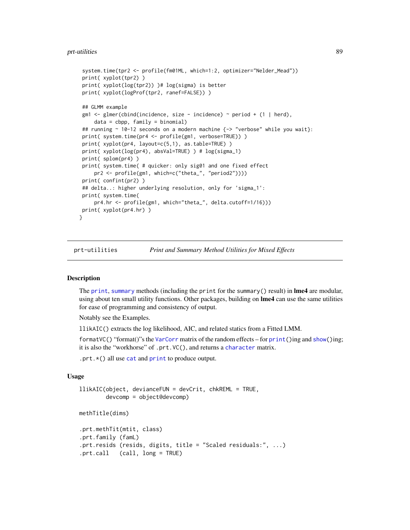#### prt-utilities 89

```
system.time(tpr2 <- profile(fm01ML, which=1:2, optimizer="Nelder_Mead"))
print( xyplot(tpr2) )
print( xyplot(log(tpr2)) )# log(sigma) is better
print( xyplot(logProf(tpr2, ranef=FALSE)) )
## GLMM example
gm1 <- glmer(cbind(incidence, size - incidence) \sim period + (1 | herd),
    data = cbpp, family = binomial## running ~ 10-12 seconds on a modern machine {-> "verbose" while you wait}:
print( system.time(pr4 <- profile(gm1, verbose=TRUE)) )
print( xyplot(pr4, layout=c(5,1), as.table=TRUE) )
print( xyplot(log(pr4), absVal=TRUE) ) # log(sigma_1)
print( splom(pr4) )
print( system.time( # quicker: only sig01 and one fixed effect
    pr2 <- profile(gm1, which=c("theta_", "period2"))))
print( confint(pr2) )
## delta..: higher underlying resolution, only for 'sigma_1':
print( system.time(
    pr4.hr <- profile(gm1, which="theta_", delta.cutoff=1/16)))
print( xyplot(pr4.hr) )
}
```
prt-utilities *Print and Summary Method Utilities for Mixed Effects*

#### <span id="page-88-0"></span>Description

The [print](#page-0-0), [summary](#page-0-0) methods (including the print for the summary() result) in **lme4** are modular, using about ten small utility functions. Other packages, building on lme4 can use the same utilities for ease of programming and consistency of output.

Notably see the Examples.

llikAIC() extracts the log likelihood, AIC, and related statics from a Fitted LMM.

formatVC() "format()"s the [VarCorr](#page-103-0) matrix of the random effects – for [print\(](#page-0-0))ing and [show\(](#page-0-0))ing; it is also the "workhorse" of .prt.VC(), and returns a [character](#page-0-0) matrix.

.prt.\*() all use [cat](#page-0-0) and [print](#page-0-0) to produce output.

## Usage

```
llikAIC(object, devianceFUN = devCrit, chkREML = TRUE,
        devcomp = object@devcomp)
methTitle(dims)
```

```
.prt.methTit(mtit, class)
.prt.family (famL)
.prt.resids (resids, digits, title = "Scaled residuals:", ...)
.prt.call (call, long = TRUE)
```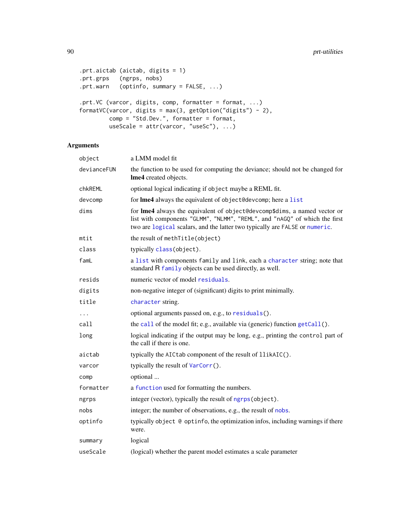```
.prt.aictab (aictab, digits = 1)
.prt.grps (ngrps, nobs)
.prt.warn (optinfo, summary = FALSE, ...)
.prt.VC (varcor, digits, comp, formatter = format, ...)
formatVC(varcor, digits = max(3, getOption("digits") - 2),
        comp = "Std.Dev.", formatter = format,
        useScale = attr(varcor, "useSc"), ...)
```

| object      | a LMM model fit                                                                                                                                                                                                                        |
|-------------|----------------------------------------------------------------------------------------------------------------------------------------------------------------------------------------------------------------------------------------|
| devianceFUN | the function to be used for computing the deviance; should not be changed for<br>Ime4 created objects.                                                                                                                                 |
| chkREML     | optional logical indicating if object maybe a REML fit.                                                                                                                                                                                |
| devcomp     | for Ime4 always the equivalent of object@devcomp; here a list                                                                                                                                                                          |
| dims        | for Ime4 always the equivalent of object@devcomp\$dims, a named vector or<br>list with components "GLMM", "NLMM", "REML", and "nAGQ" of which the first<br>two are logical scalars, and the latter two typically are FALSE or numeric. |
| mtit        | the result of methTitle(object)                                                                                                                                                                                                        |
| class       | typically class(object).                                                                                                                                                                                                               |
| famL        | a list with components family and link, each a character string; note that<br>standard R family objects can be used directly, as well.                                                                                                 |
| resids      | numeric vector of model residuals.                                                                                                                                                                                                     |
| digits      | non-negative integer of (significant) digits to print minimally.                                                                                                                                                                       |
| title       | character string.                                                                                                                                                                                                                      |
| $\cdots$    | optional arguments passed on, e.g., to residuals().                                                                                                                                                                                    |
| call        | the call of the model fit; e.g., available via (generic) function getCall().                                                                                                                                                           |
| long        | logical indicating if the output may be long, e.g., printing the control part of<br>the call if there is one.                                                                                                                          |
| aictab      | typically the AICtab component of the result of llikAIC().                                                                                                                                                                             |
| varcor      | typically the result of VarCorr().                                                                                                                                                                                                     |
| comp        | optional                                                                                                                                                                                                                               |
| formatter   | a function used for formatting the numbers.                                                                                                                                                                                            |
| ngrps       | integer (vector), typically the result of ngrps (object).                                                                                                                                                                              |
| nobs        | integer; the number of observations, e.g., the result of nobs.                                                                                                                                                                         |
| optinfo     | typically object @ optinfo, the optimization infos, including warnings if there<br>were.                                                                                                                                               |
| summary     | logical                                                                                                                                                                                                                                |
| useScale    | (logical) whether the parent model estimates a scale parameter                                                                                                                                                                         |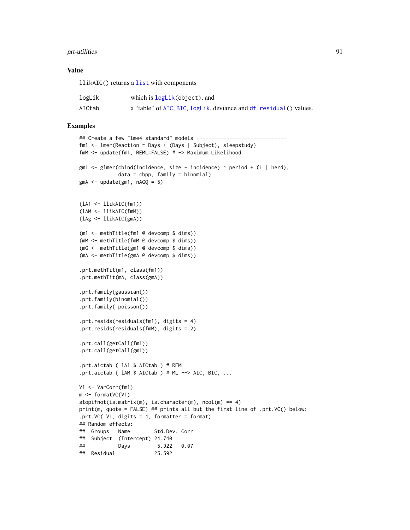# prt-utilities 91

# Value

llikAIC() returns a [list](#page-0-0) with components

| logLik | which is logLik(object), and                                        |
|--------|---------------------------------------------------------------------|
| AICtab | a "table" of AIC, BIC, logLik, deviance and df. residual () values. |

```
## Create a few "lme4 standard" models -------------------------------
fm1 <- lmer(Reaction ~ Days + (Days | Subject), sleepstudy)
fmM <- update(fm1, REML=FALSE) # -> Maximum Likelihood
gm1 <- glmer(cbind(incidence, size - incidence) \sim period + (1 | herd),
             data = cbpp, family = binomialgmA \leq - update(gml, nAGQ = 5)
(lA1 <- llikAIC(fm1))
(lAM <- llikAIC(fmM))
(lAg <- llikAIC(gmA))
(m1 <- methTitle(fm1 @ devcomp $ dims))
(mM <- methTitle(fmM @ devcomp $ dims))
(mG <- methTitle(gm1 @ devcomp $ dims))
(mA <- methTitle(gmA @ devcomp $ dims))
.prt.methTit(m1, class(fm1))
.prt.methTit(mA, class(gmA))
.prt.family(gaussian())
.prt.family(binomial())
.prt.family( poisson())
.prt.resids(residuals(fm1), digits = 4)
.prt.resids(residuals(fmM), digits = 2)
.prt.call(getCall(fm1))
.prt.call(getCall(gm1))
.prt.aictab ( lA1 $ AICtab ) # REML
.prt.aictab ( lAM $ AICtab ) # ML --> AIC, BIC, ...
V1 <- VarCorr(fm1)
m <- formatVC(V1)
stopifnot(is.matrix(m), is.character(m), ncol(m) == 4)
print(m, quote = FALSE) ## prints all but the first line of .prt.VC() below:
.prt.VC( V1, digits = 4, formatter = format)
## Random effects:
## Groups Name Std.Dev. Corr
## Subject (Intercept) 24.740
## Days 5.922 0.07
## Residual 25.592
```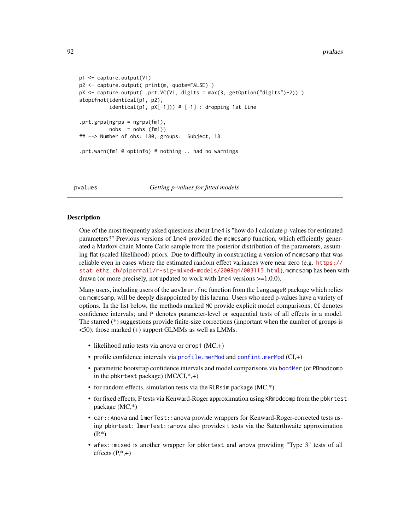#### 92 pvalues and the property of the set of the property of the property of the property of the property of the property of the property of the property of the property of the property of the property of the property of the

```
p1 <- capture.output(V1)
p2 <- capture.output( print(m, quote=FALSE) )
pX <- capture.output( .prt.VC(V1, digits = max(3, getOption("digits")-2)) )
stopifnot(identical(p1, p2),
          identical(p1, pX[-1])) # [-1] : dropping 1st line.prt.grps(ngrps = ngrps(fm1),
         nobs = nobs (fm1)## --> Number of obs: 180, groups: Subject, 18
.prt.warn(fm1 @ optinfo) # nothing .. had no warnings
```
pvalues *Getting p-values for fitted models*

# Description

One of the most frequently asked questions about lme4 is "how do I calculate p-values for estimated parameters?" Previous versions of lme4 provided the mcmcsamp function, which efficiently generated a Markov chain Monte Carlo sample from the posterior distribution of the parameters, assuming flat (scaled likelihood) priors. Due to difficulty in constructing a version of mcmcsamp that was reliable even in cases where the estimated random effect variances were near zero (e.g. [https://](https://stat.ethz.ch/pipermail/r-sig-mixed-models/2009q4/003115.html) [stat.ethz.ch/pipermail/r-sig-mixed-models/2009q4/003115.html](https://stat.ethz.ch/pipermail/r-sig-mixed-models/2009q4/003115.html)), mcmcsamp has been withdrawn (or more precisely, not updated to work with lme4 versions >=1.0.0).

Many users, including users of the aovlmer. fnc function from the languageR package which relies on mcmcsamp, will be deeply disappointed by this lacuna. Users who need p-values have a variety of options. In the list below, the methods marked MC provide explicit model comparisons; CI denotes confidence intervals; and P denotes parameter-level or sequential tests of all effects in a model. The starred (\*) suggestions provide finite-size corrections (important when the number of groups is <50); those marked (+) support GLMMs as well as LMMs.

- likelihood ratio tests via anova or drop1  $(MC,+)$
- profile confidence intervals via [profile.merMod](#page-84-1) and [confint.merMod](#page-11-0) (CI,+)
- parametric bootstrap confidence intervals and model comparisons via [bootMer](#page-5-0) (or PBmodcomp in the pbkrtest package)  $(MC/CI, *, +)$
- for random effects, simulation tests via the RLRsim package  $(MC^*)$
- for fixed effects, F tests via Kenward-Roger approximation using KRmodcomp from the pbkrtest package (MC,\*)
- car:: Anova and lmerTest:: anova provide wrappers for Kenward-Roger-corrected tests using pbkrtest: lmerTest::anova also provides t tests via the Satterthwaite approximation (P,\*)
- afex::mixed is another wrapper for pbkrtest and anova providing "Type 3" tests of all effects  $(P,*,+)$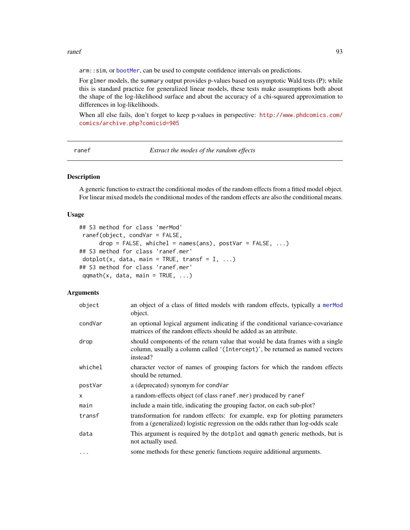ranef 93

arm:: sim, or [bootMer](#page-5-0), can be used to compute confidence intervals on predictions.

For glmer models, the summary output provides p-values based on asymptotic Wald tests (P); while this is standard practice for generalized linear models, these tests make assumptions both about the shape of the log-likelihood surface and about the accuracy of a chi-squared approximation to differences in log-likelihoods.

When all else fails, don't forget to keep p-values in perspective: [http://www.phdcomics.com/](http://www.phdcomics.com/comics/archive.php?comicid=905) [comics/archive.php?comicid=905](http://www.phdcomics.com/comics/archive.php?comicid=905)

ranef *Extract the modes of the random effects*

# <span id="page-92-0"></span>Description

A generic function to extract the conditional modes of the random effects from a fitted model object. For linear mixed models the conditional modes of the random effects are also the conditional means.

### Usage

```
## S3 method for class 'merMod'
ranef(object, condVar = FALSE,
     drop = FALSE, whichel = names(ans), postVar = FALSE, ...)## S3 method for class 'ranef.mer'
dot(x, data, main = TRUE, transfer = I, ...)## S3 method for class 'ranef.mer'
qqmath(t), data, main = TRUE, ...)
```

| object   | an object of a class of fitted models with random effects, typically a merMod<br>object.                                                                                 |
|----------|--------------------------------------------------------------------------------------------------------------------------------------------------------------------------|
| condVar  | an optional logical argument indicating if the conditional variance-covariance<br>matrices of the random effects should be added as an attribute.                        |
| drop     | should components of the return value that would be data frames with a single<br>column, usually a column called '(Intercept)', be returned as named vectors<br>instead? |
| whichel  | character vector of names of grouping factors for which the random effects<br>should be returned.                                                                        |
| postVar  | a (deprecated) synonym for condVar                                                                                                                                       |
| X        | a random-effects object (of class ranef.mer) produced by ranef                                                                                                           |
| main     | include a main title, indicating the grouping factor, on each sub-plot?                                                                                                  |
| transf   | transformation for random effects: for example, exp for plotting parameters<br>from a (generalized) logistic regression on the odds rather than log-odds scale           |
| data     | This argument is required by the dotplot and qqmath generic methods, but is<br>not actually used.                                                                        |
| $\cdots$ | some methods for these generic functions require additional arguments.                                                                                                   |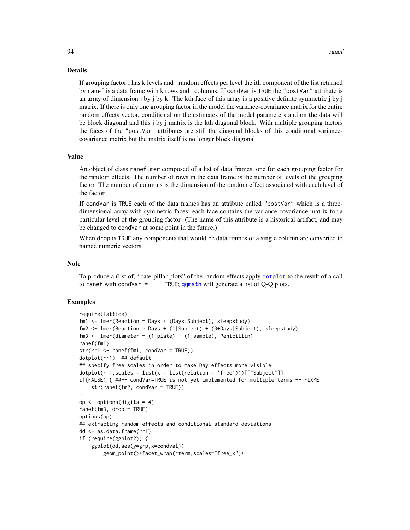#### Details

If grouping factor i has k levels and j random effects per level the ith component of the list returned by ranef is a data frame with k rows and j columns. If condVar is TRUE the "postVar" attribute is an array of dimension  $\mathbf{j}$  by  $\mathbf{j}$  by k. The kth face of this array is a positive definite symmetric  $\mathbf{j}$  by  $\mathbf{j}$ matrix. If there is only one grouping factor in the model the variance-covariance matrix for the entire random effects vector, conditional on the estimates of the model parameters and on the data will be block diagonal and this j by j matrix is the kth diagonal block. With multiple grouping factors the faces of the "postVar" attributes are still the diagonal blocks of this conditional variancecovariance matrix but the matrix itself is no longer block diagonal.

# Value

An object of class ranef.mer composed of a list of data frames, one for each grouping factor for the random effects. The number of rows in the data frame is the number of levels of the grouping factor. The number of columns is the dimension of the random effect associated with each level of the factor.

If condVar is TRUE each of the data frames has an attribute called "postVar" which is a threedimensional array with symmetric faces; each face contains the variance-covariance matrix for a particular level of the grouping factor. (The name of this attribute is a historical artifact, and may be changed to condVar at some point in the future.)

When drop is TRUE any components that would be data frames of a single column are converted to named numeric vectors.

#### **Note**

To produce a (list of) "caterpillar plots" of the random effects apply [dotplot](#page-0-0) to the result of a call to ranef with condVar = TRUE;  $qq$ math will generate a list of Q-Q plots.

```
require(lattice)
fm1 <- lmer(Reaction ~ Days + (Days|Subject), sleepstudy)
fm2 <- lmer(Reaction ~ Days + (1|Subject) + (0+Days|Subject), sleepstudy)
fm3 <- lmer(diameter ~ (1|plate) + (1|sample), Penicillin)
ranef(fm1)
str(rr1 <- ranef(fm1, condVar = TRUE))
dotplot(rr1) ## default
## specify free scales in order to make Day effects more visible
dot(rr1, scales = list(x = list(relation = 'free'))[[['Subject'']]if(FALSE) { ##-- condVar=TRUE is not yet implemented for multiple terms -- FIXME
    str(ranef(fm2, condVar = TRUE))
}
op <- options(digits = 4)
ranef(fm3, drop = TRUE)
options(op)
## extracting random effects and conditional standard deviations
dd <- as.data.frame(rr1)
if (require(ggplot2)) {
   ggplot(dd,aes(y=grp,x=condval))+
        geom_point()+facet_wrap(~term,scales="free_x")+
```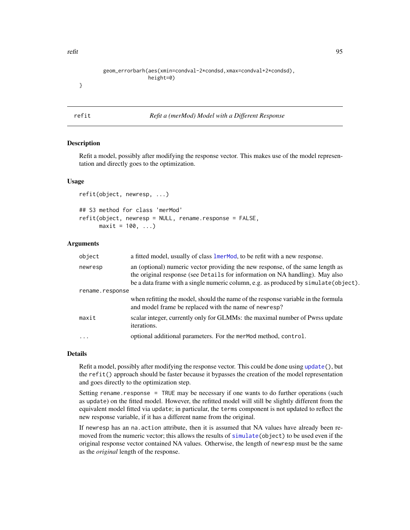refit that the contract of the contract of the contract of the contract of the contract of the contract of the contract of the contract of the contract of the contract of the contract of the contract of the contract of the

| geom_errorbarh(aes(xmin=condval-2*condsd,xmax=condval+2*condsd), |
|------------------------------------------------------------------|
| $height=0)$                                                      |
|                                                                  |
|                                                                  |
|                                                                  |
|                                                                  |

# Description

Refit a model, possibly after modifying the response vector. This makes use of the model representation and directly goes to the optimization.

#### Usage

```
refit(object, newresp, ...)
## S3 method for class 'merMod'
refit(object, newresp = NULL, rename.response = FALSE,
     maxit = 100, ...
```
<span id="page-94-0"></span>refit *Refit a (merMod) Model with a Different Response*

## Arguments

| object          | a fitted model, usually of class lmerMod, to be refit with a new response.                                                                                                                                                                            |
|-----------------|-------------------------------------------------------------------------------------------------------------------------------------------------------------------------------------------------------------------------------------------------------|
| newresp         | an (optional) numeric vector providing the new response, of the same length as<br>the original response (see Details for information on NA handling). May also<br>be a data frame with a single numeric column, e.g. as produced by simulate(object). |
| rename.response |                                                                                                                                                                                                                                                       |
|                 | when refitting the model, should the name of the response variable in the formula<br>and model frame be replaced with the name of newresp?                                                                                                            |
| maxit           | scalar integer, currently only for GLMMs: the maximal number of Pwrss update<br>iterations.                                                                                                                                                           |
| $\ddotsc$       | optional additional parameters. For the mermod method, control.                                                                                                                                                                                       |

# Details

Refit a model, possibly after modifying the response vector. This could be done using [update\(](#page-0-0)), but the refit() approach should be faster because it bypasses the creation of the model representation and goes directly to the optimization step.

Setting rename.response = TRUE may be necessary if one wants to do further operations (such as update) on the fitted model. However, the refitted model will still be slightly different from the equivalent model fitted via update; in particular, the terms component is not updated to reflect the new response variable, if it has a different name from the original.

If newresp has an na.action attribute, then it is assumed that NA values have already been removed from the numeric vector; this allows the results of [simulate\(](#page-0-0)object) to be used even if the original response vector contained NA values. Otherwise, the length of newresp must be the same as the *original* length of the response.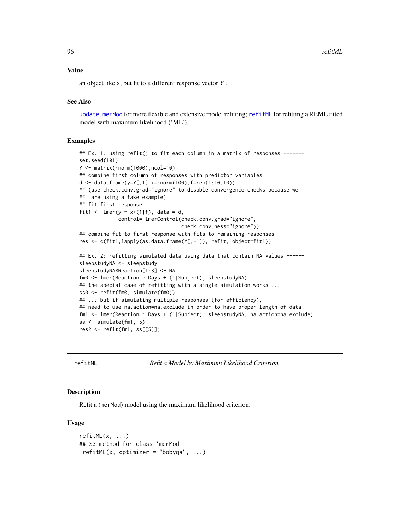96 refitML

#### Value

an object like x, but fit to a different response vector Y .

# See Also

[update.merMod](#page-54-1) for more flexible and extensive model refitting; [refitML](#page-95-0) for refitting a REML fitted model with maximum likelihood ('ML').

## Examples

```
## Ex. 1: using refit() to fit each column in a matrix of responses -------
set.seed(101)
Y <- matrix(rnorm(1000),ncol=10)
## combine first column of responses with predictor variables
d <- data.frame(y=Y[,1],x=rnorm(100),f=rep(1:10,10))
## (use check.conv.grad="ignore" to disable convergence checks because we
## are using a fake example)
## fit first response
fit1 <- lmer(y \sim x+(1|f), data = d,
             control= lmerControl(check.conv.grad="ignore",
                                  check.conv.hess="ignore"))
## combine fit to first response with fits to remaining responses
res <- c(fit1,lapply(as.data.frame(Y[,-1]), refit, object=fit1))
## Ex. 2: refitting simulated data using data that contain NA values ------
sleepstudyNA <- sleepstudy
sleepstudyNA$Reaction[1:3] <- NA
fm0 <- lmer(Reaction ~ Days + (1|Subject), sleepstudyNA)
## the special case of refitting with a single simulation works ...
ss0 <- refit(fm0, simulate(fm0))
## ... but if simulating multiple responses (for efficiency),
## need to use na.action=na.exclude in order to have proper length of data
fm1 <- lmer(Reaction ~ Days + (1|Subject), sleepstudyNA, na.action=na.exclude)
ss <- simulate(fm1, 5)
res2 <- refit(fm1, ss[[5]])
```
<span id="page-95-0"></span>

refitML *Refit a Model by Maximum Likelihood Criterion*

#### **Description**

Refit a (merMod) model using the maximum likelihood criterion.

# Usage

```
refitML(x, \ldots)## S3 method for class 'merMod'
refitML(x, optimizer = "bobyqa", ...)
```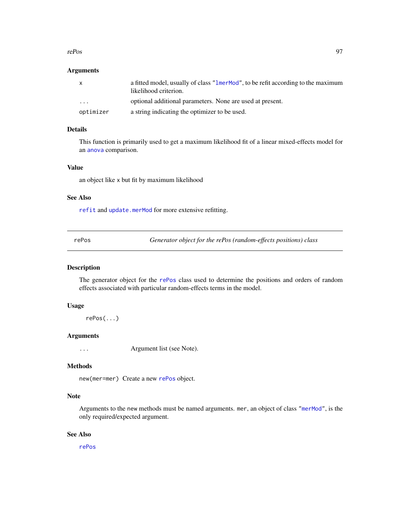#### rePos 97

## Arguments

| $\mathsf{x}$ | a fitted model, usually of class "lmerMod", to be refit according to the maximum<br>likelihood criterion. |
|--------------|-----------------------------------------------------------------------------------------------------------|
| $\cdot$      | optional additional parameters. None are used at present.                                                 |
| optimizer    | a string indicating the optimizer to be used.                                                             |

# Details

This function is primarily used to get a maximum likelihood fit of a linear mixed-effects model for an [anova](#page-0-0) comparison.

#### Value

an object like x but fit by maximum likelihood

#### See Also

[refit](#page-94-0) and [update.merMod](#page-54-1) for more extensive refitting.

rePos *Generator object for the rePos (random-effects positions) class*

## Description

The generator object for the [rePos](#page-97-0) class used to determine the positions and orders of random effects associated with particular random-effects terms in the model.

# Usage

rePos(...)

# Arguments

... Argument list (see Note).

# Methods

new(mer=mer) Create a new [rePos](#page-97-0) object.

# Note

Arguments to the new methods must be named arguments. mer, an object of class ["merMod"](#page-54-0), is the only required/expected argument.

#### See Also

[rePos](#page-97-0)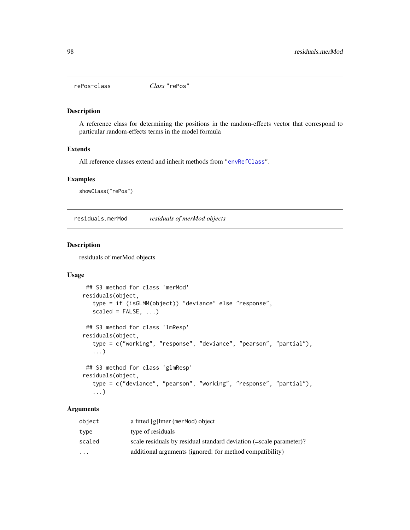<span id="page-97-0"></span>

# Description

A reference class for determining the positions in the random-effects vector that correspond to particular random-effects terms in the model formula

# Extends

All reference classes extend and inherit methods from ["envRefClass"](#page-0-0).

#### Examples

showClass("rePos")

residuals.merMod *residuals of merMod objects*

# Description

residuals of merMod objects

# Usage

```
## S3 method for class 'merMod'
residuals(object,
   type = if (isGLMM(object)) "deviance" else "response",
   scaled = FALSE, ...)
## S3 method for class 'lmResp'
residuals(object,
   type = c("working", "response", "deviance", "pearson", "partial"),
   ...)
## S3 method for class 'glmResp'
residuals(object,
   type = c("deviance", "pearson", "working", "response", "partial"),
   ...)
```

| object    | a fitted [g]lmer (merMod) object                                   |
|-----------|--------------------------------------------------------------------|
| type      | type of residuals                                                  |
| scaled    | scale residuals by residual standard deviation (=scale parameter)? |
| $\ddotsc$ | additional arguments (ignored: for method compatibility)           |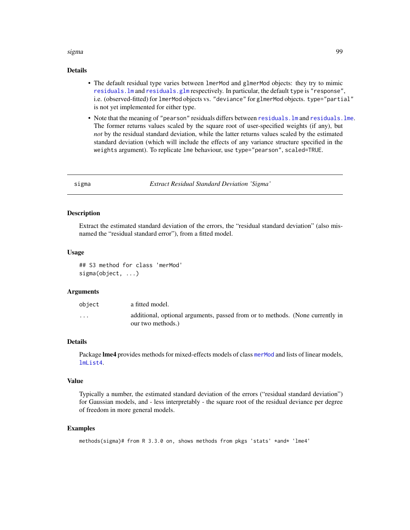#### sigma 99

# Details

- The default residual type varies between lmerMod and glmerMod objects: they try to mimic [residuals.lm](#page-0-0) and [residuals.glm](#page-0-0) respectively. In particular, the default type is "response", i.e. (observed-fitted) for lmerMod objects vs. "deviance" for glmerMod objects. type="partial" is not yet implemented for either type.
- Note that the meaning of "pearson" residuals differs between [residuals.lm](#page-0-0) and [residuals.lme](#page-0-0). The former returns values scaled by the square root of user-specified weights (if any), but *not* by the residual standard deviation, while the latter returns values scaled by the estimated standard deviation (which will include the effects of any variance structure specified in the weights argument). To replicate lme behaviour, use type="pearson", scaled=TRUE.

sigma *Extract Residual Standard Deviation 'Sigma'*

## Description

Extract the estimated standard deviation of the errors, the "residual standard deviation" (also misnamed the "residual standard error"), from a fitted model.

#### Usage

## S3 method for class 'merMod' sigma(object, ...)

#### Arguments

| obiect                  | a fitted model.                                                                                   |
|-------------------------|---------------------------------------------------------------------------------------------------|
| $\cdot$ $\cdot$ $\cdot$ | additional, optional arguments, passed from or to methods. (None currently in<br>our two methods. |

# Details

Package lme4 provides methods for mixed-effects models of class [merMod](#page-54-0) and lists of linear models, [lmList4](#page-51-0).

#### Value

Typically a number, the estimated standard deviation of the errors ("residual standard deviation") for Gaussian models, and - less interpretably - the square root of the residual deviance per degree of freedom in more general models.

```
methods(sigma)# from R 3.3.0 on, shows methods from pkgs 'stats' *and* 'lme4'
```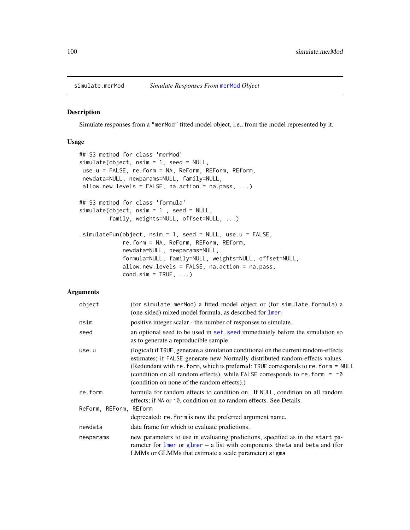#### Description

Simulate responses from a "merMod" fitted model object, i.e., from the model represented by it.

# Usage

```
## S3 method for class 'merMod'
simulate(object, nsim = 1, seed = NULL,
use.u = FALSE, re.form = NA, ReForm, REForm, REform,
newdata=NULL, newparams=NULL, family=NULL,
allow.new.levels = FALSE, na.action = na.pass, ...)
## S3 method for class 'formula'
simulate(object, nsim = 1 , seed = NULL,
         family, weights=NULL, offset=NULL, ...)
.simulateFun(object, nsim = 1, seed = NULL, use.u = FALSE,
             re.form = NA, ReForm, REForm, REform,
            newdata=NULL, newparams=NULL,
             formula=NULL, family=NULL, weights=NULL, offset=NULL,
            allow.new.levels = FALSE, na.action = na.pass,
            cond.sim = TRUE, ...
```

| object                 | (for simulate.merMod) a fitted model object or (for simulate.formula) a<br>(one-sided) mixed model formula, as described for lmer.                                                                                                                                                                                                                                                                |
|------------------------|---------------------------------------------------------------------------------------------------------------------------------------------------------------------------------------------------------------------------------------------------------------------------------------------------------------------------------------------------------------------------------------------------|
| nsim                   | positive integer scalar - the number of responses to simulate.                                                                                                                                                                                                                                                                                                                                    |
| seed                   | an optional seed to be used in set, seed immediately before the simulation so<br>as to generate a reproducible sample.                                                                                                                                                                                                                                                                            |
| use.u                  | (logical) if TRUE, generate a simulation conditional on the current random-effects<br>estimates; if FALSE generate new Normally distributed random-effects values.<br>(Redundant with re. form, which is preferred: TRUE corresponds to re. form = NULL<br>(condition on all random effects), while FALSE corresponds to re. form = $\sim\!\theta$<br>(condition on none of the random effects).) |
| re.form                | formula for random effects to condition on. If NULL, condition on all random<br>effects; if NA or ~0, condition on no random effects. See Details.                                                                                                                                                                                                                                                |
| ReForm, REForm, REform |                                                                                                                                                                                                                                                                                                                                                                                                   |
|                        | deprecated: re. form is now the preferred argument name.                                                                                                                                                                                                                                                                                                                                          |
| newdata                | data frame for which to evaluate predictions.                                                                                                                                                                                                                                                                                                                                                     |
| newparams              | new parameters to use in evaluating predictions, specified as in the start pa-<br>rameter for $lmer$ or $glmer - a$ list with components theta and beta and (for<br>LMMs or GLMMs that estimate a scale parameter) sigma                                                                                                                                                                          |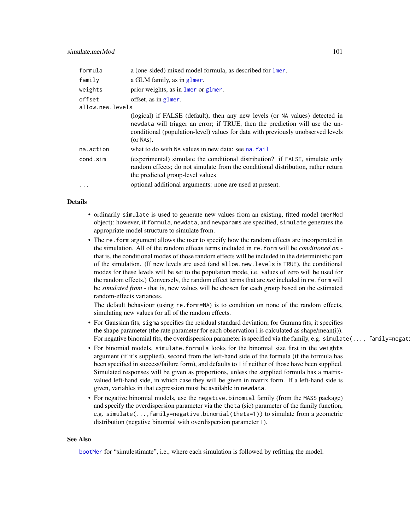| formula          | a (one-sided) mixed model formula, as described for lmer.                                                                                                                                                                                                       |
|------------------|-----------------------------------------------------------------------------------------------------------------------------------------------------------------------------------------------------------------------------------------------------------------|
| family           | a GLM family, as in glmer.                                                                                                                                                                                                                                      |
| weights          | prior weights, as in lmer or glmer.                                                                                                                                                                                                                             |
| offset           | offset, as in glmer.                                                                                                                                                                                                                                            |
| allow.new.levels |                                                                                                                                                                                                                                                                 |
|                  | (logical) if FALSE (default), then any new levels (or NA values) detected in<br>newdata will trigger an error; if TRUE, then the prediction will use the un-<br>conditional (population-level) values for data with previously unobserved levels<br>$(or NAS).$ |
| na.action        | what to do with NA values in new data: see na. fail                                                                                                                                                                                                             |
| cond.sim         | (experimental) simulate the conditional distribution? if FALSE, simulate only<br>random effects; do not simulate from the conditional distribution, rather return<br>the predicted group-level values                                                           |
| $\cdots$         | optional additional arguments: none are used at present.                                                                                                                                                                                                        |

# Details

- ordinarily simulate is used to generate new values from an existing, fitted model (merMod object): however, if formula, newdata, and newparams are specified, simulate generates the appropriate model structure to simulate from.
- The re.form argument allows the user to specify how the random effects are incorporated in the simulation. All of the random effects terms included in re.form will be *conditioned on* that is, the conditional modes of those random effects will be included in the deterministic part of the simulation. (If new levels are used (and allow.new.levels is TRUE), the conditional modes for these levels will be set to the population mode, i.e. values of zero will be used for the random effects.) Conversely, the random effect terms that are *not* included in re.form will be *simulated from* - that is, new values will be chosen for each group based on the estimated random-effects variances.

The default behaviour (using re.form=NA) is to condition on none of the random effects, simulating new values for all of the random effects.

- For Gaussian fits, sigma specifies the residual standard deviation; for Gamma fits, it specifies the shape parameter (the rate parameter for each observation i is calculated as shape/mean(i)). For negative binomial fits, the overdispersion parameter is specified via the family, e.g. simulate $(\ldots, f$ amily=negat
- For binomial models, simulate.formula looks for the binomial size first in the weights argument (if it's supplied), second from the left-hand side of the formula (if the formula has been specified in success/failure form), and defaults to 1 if neither of those have been supplied. Simulated responses will be given as proportions, unless the supplied formula has a matrixvalued left-hand side, in which case they will be given in matrix form. If a left-hand side is given, variables in that expression must be available in newdata.
- For negative binomial models, use the negative.binomial family (from the MASS package) and specify the overdispersion parameter via the theta (sic) parameter of the family function, e.g. simulate(...,family=negative.binomial(theta=1)) to simulate from a geometric distribution (negative binomial with overdispersion parameter 1).

## See Also

[bootMer](#page-5-0) for "simulestimate", i.e., where each simulation is followed by refitting the model.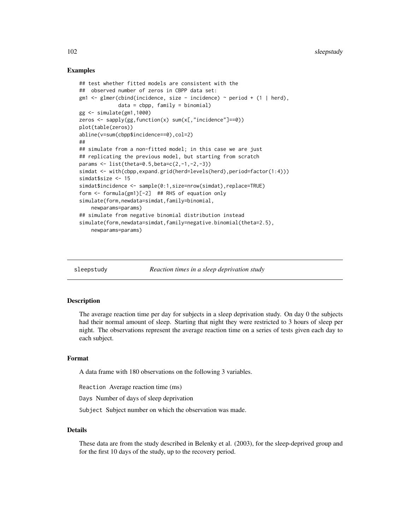## Examples

```
## test whether fitted models are consistent with the
## observed number of zeros in CBPP data set:
gm1 <- glmer(cbind(incidence, size - incidence) ~ period + (1 | herd),
             data = cbpp, family = binomial)
gg <- simulate(gm1,1000)
zeros \leq sapply(gg, function(x) sum(x[,"incidence"]==0))
plot(table(zeros))
abline(v=sum(cbpp$incidence==0),col=2)
##
## simulate from a non-fitted model; in this case we are just
## replicating the previous model, but starting from scratch
params <- list(theta=0.5,beta=c(2,-1,-2,-3))
simdat <- with(cbpp,expand.grid(herd=levels(herd),period=factor(1:4)))
simdat$size <- 15
simdat$incidence <- sample(0:1,size=nrow(simdat),replace=TRUE)
form <- formula(gm1)[-2] ## RHS of equation only
simulate(form,newdata=simdat,family=binomial,
    newparams=params)
## simulate from negative binomial distribution instead
simulate(form,newdata=simdat,family=negative.binomial(theta=2.5),
    newparams=params)
```
sleepstudy *Reaction times in a sleep deprivation study*

#### Description

The average reaction time per day for subjects in a sleep deprivation study. On day 0 the subjects had their normal amount of sleep. Starting that night they were restricted to 3 hours of sleep per night. The observations represent the average reaction time on a series of tests given each day to each subject.

## Format

A data frame with 180 observations on the following 3 variables.

Reaction Average reaction time (ms)

Days Number of days of sleep deprivation

Subject Subject number on which the observation was made.

# Details

These data are from the study described in Belenky et al. (2003), for the sleep-deprived group and for the first 10 days of the study, up to the recovery period.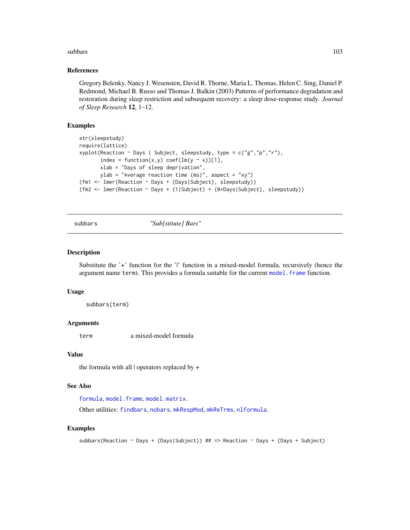#### subbars and the subset of the state of the state of the state of the state of the state of the state of the state of the state of the state of the state of the state of the state of the state of the state of the state of t

## References

Gregory Belenky, Nancy J. Wesensten, David R. Thorne, Maria L. Thomas, Helen C. Sing, Daniel P. Redmond, Michael B. Russo and Thomas J. Balkin (2003) Patterns of performance degradation and restoration during sleep restriction and subsequent recovery: a sleep dose-response study. *Journal of Sleep Research* 12, 1–12.

# **Examples**

```
str(sleepstudy)
require(lattice)
xyplot(Reaction ~ Days | Subject, sleepstudy, type = c("g","p","r"),
       index = function(x,y) coef(lm(y \sim x))[1],
       xlab = "Days of sleep deprivation",
       ylab = "Average reaction time (ms)", aspect = "xy")
(fm1 <- lmer(Reaction ~ Days + (Days|Subject), sleepstudy))
(fm2 <- lmer(Reaction ~ Days + (1|Subject) + (0+Days|Subject), sleepstudy))
```
subbars *"Sub[stitute] Bars"*

### Description

Substitute the '+' function for the '|' function in a mixed-model formula, recursively (hence the argument name term). This provides a formula suitable for the current model. frame function.

#### Usage

subbars(term)

# Arguments

term a mixed-model formula

#### Value

the formula with all | operators replaced by +

# See Also

```
formula, model.frame, model.matrix.
```
Other utilities: [findbars](#page-21-0), [nobars](#page-77-0), [mkRespMod](#page-61-0), [mkReTrms](#page-61-1), [nlformula](#page-72-0).

```
subbars(Reaction ~ Days + (Days|Subject)) ## => Reaction ~ Days + (Days + Subject)
```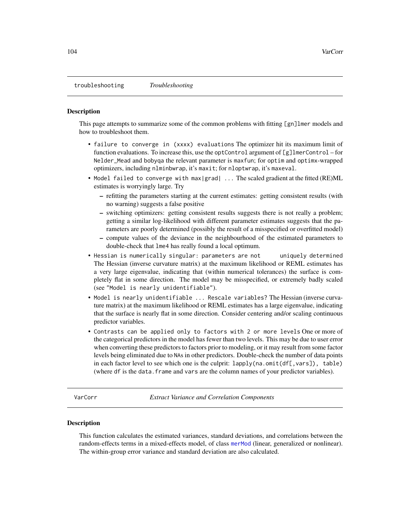troubleshooting *Troubleshooting*

#### **Description**

This page attempts to summarize some of the common problems with fitting [gn]lmer models and how to troubleshoot them.

- failure to converge in (xxxx) evaluations The optimizer hit its maximum limit of function evaluations. To increase this, use the optControl argument of [g]lmerControl – for Nelder\_Mead and bobyqa the relevant parameter is maxfun; for optim and optimx-wrapped optimizers, including nlminbwrap, it's maxit; for nloptwrap, it's maxeval.
- Model failed to converge with max|grad| ... The scaled gradient at the fitted (RE)ML estimates is worryingly large. Try
	- refitting the parameters starting at the current estimates: getting consistent results (with no warning) suggests a false positive
	- switching optimizers: getting consistent results suggests there is not really a problem; getting a similar log-likelihood with different parameter estimates suggests that the parameters are poorly determined (possibly the result of a misspecified or overfitted model)
	- compute values of the deviance in the neighbourhood of the estimated parameters to double-check that lme4 has really found a local optimum.
- Hessian is numerically singular: parameters are not uniquely determined The Hessian (inverse curvature matrix) at the maximum likelihood or REML estimates has a very large eigenvalue, indicating that (within numerical tolerances) the surface is completely flat in some direction. The model may be misspecified, or extremely badly scaled (see "Model is nearly unidentifiable").
- Model is nearly unidentifiable ... Rescale variables? The Hessian (inverse curvature matrix) at the maximum likelihood or REML estimates has a large eigenvalue, indicating that the surface is nearly flat in some direction. Consider centering and/or scaling continuous predictor variables.
- Contrasts can be applied only to factors with 2 or more levels One or more of the categorical predictors in the model has fewer than two levels. This may be due to user error when converting these predictors to factors prior to modeling, or it may result from some factor levels being eliminated due to NAs in other predictors. Double-check the number of data points in each factor level to see which one is the culprit:  $lapply(na.omit(df[,vars])$ , table) (where df is the data.frame and vars are the column names of your predictor variables).

<span id="page-103-0"></span>VarCorr *Extract Variance and Correlation Components*

#### Description

This function calculates the estimated variances, standard deviations, and correlations between the random-effects terms in a mixed-effects model, of class [merMod](#page-54-0) (linear, generalized or nonlinear). The within-group error variance and standard deviation are also calculated.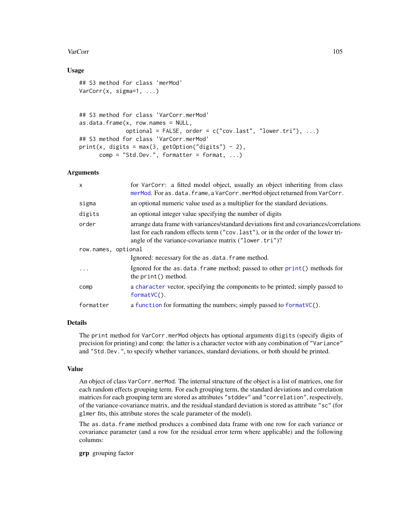#### VarCorr 105

# Usage

```
## S3 method for class 'merMod'
VarCorr(x, sigma=1, ...)
```

```
## S3 method for class 'VarCorr.merMod'
as.data.frame(x, row.name = NULL,optional = FALSE, order = c("cov.last", "lower.tri"), ...)
## S3 method for class 'VarCorr.merMod'
print(x, digits = max(3, getOption("digits") - 2),comp = "Std.Dev.", formatter = format, ...)
```
# Arguments

| $\mathsf{x}$        | for VarCorr: a fitted model object, usually an object inheriting from class<br>merMod. For as.data.frame, a VarCorr.merMod object returned from VarCorr.                                                                                 |  |
|---------------------|------------------------------------------------------------------------------------------------------------------------------------------------------------------------------------------------------------------------------------------|--|
| sigma               | an optional numeric value used as a multiplier for the standard deviations.                                                                                                                                                              |  |
| digits              | an optional integer value specifying the number of digits                                                                                                                                                                                |  |
| order               | arrange data frame with variances/standard deviations first and covariances/correlations<br>last for each random effects term ("cov. last"), or in the order of the lower tri-<br>angle of the variance-covariance matrix ("lower.tri")? |  |
| row.names, optional |                                                                                                                                                                                                                                          |  |
|                     | Ignored: necessary for the as.data.frame method.                                                                                                                                                                                         |  |
| $\ddotsc$           | Ignored for the as.data.frame method; passed to other print () methods for<br>the print () method.                                                                                                                                       |  |
| comp                | a character vector, specifying the components to be printed; simply passed to<br>$formatVC()$ .                                                                                                                                          |  |
| formatter           | a function for formatting the numbers; simply passed to formatVC().                                                                                                                                                                      |  |

# Details

The print method for VarCorr.merMod objects has optional arguments digits (specify digits of precision for printing) and comp: the latter is a character vector with any combination of "Variance" and "Std.Dev.", to specify whether variances, standard deviations, or both should be printed.

## Value

An object of class VarCorr.merMod. The internal structure of the object is a list of matrices, one for each random effects grouping term. For each grouping term, the standard deviations and correlation matrices for each grouping term are stored as attributes "stddev" and "correlation", respectively, of the variance-covariance matrix, and the residual standard deviation is stored as attribute "sc" (for glmer fits, this attribute stores the scale parameter of the model).

The as.data.frame method produces a combined data frame with one row for each variance or covariance parameter (and a row for the residual error term where applicable) and the following columns:

grp grouping factor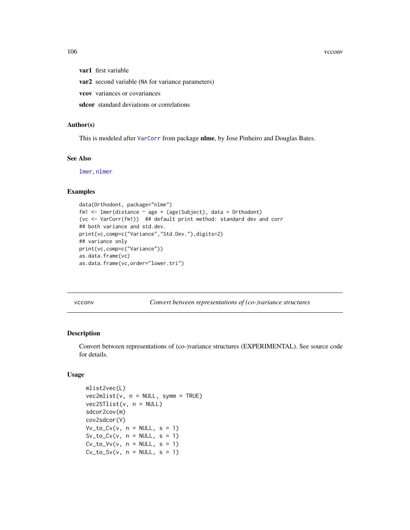106 vcconv

var1 first variable

var2 second variable (NA for variance parameters)

vcov variances or covariances

sdcor standard deviations or correlations

#### Author(s)

This is modeled after [VarCorr](#page-103-0) from package nlme, by Jose Pinheiro and Douglas Bates.

# See Also

[lmer](#page-41-0), [nlmer](#page-73-0)

# Examples

```
data(Orthodont, package="nlme")
fm1 <- lmer(distance ~ age + (age|Subject), data = Orthodont)
(vc <- VarCorr(fm1)) ## default print method: standard dev and corr
## both variance and std.dev.
print(vc,comp=c("Variance","Std.Dev."),digits=2)
## variance only
print(vc,comp=c("Variance"))
as.data.frame(vc)
as.data.frame(vc,order="lower.tri")
```
vcconv *Convert between representations of (co-)variance structures*

#### Description

Convert between representations of (co-)variance structures (EXPERIMENTAL). See source code for details.

# Usage

```
mlist2vec(L)
vec2mlist(v, n = NULL, symm = TRUE)vec2STlist(v, n = NULL)
sdcor2cov(m)
cov2sdcor(V)
Vv_to_Cv(v, n = NULL, s = 1)Sv_to_Cv(v, n = NULL, s = 1)Cv_to_V(v, n = NULL, s = 1)Cv_to_Sv(v, n = NULL, s = 1)
```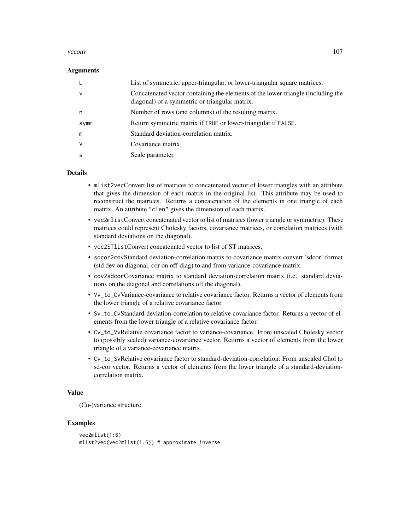#### vcconv and the set of the set of the set of the set of the set of the set of the set of the set of the set of the set of the set of the set of the set of the set of the set of the set of the set of the set of the set of th

#### **Arguments**

|              | List of symmetric, upper-triangular, or lower-triangular square matrices.                                                          |
|--------------|------------------------------------------------------------------------------------------------------------------------------------|
| $\mathsf{v}$ | Concatenated vector containing the elements of the lower-triangle (including the<br>diagonal) of a symmetric or triangular matrix. |
| n            | Number of rows (and columns) of the resulting matrix.                                                                              |
| symm         | Return symmetric matrix if TRUE or lower-triangular if FALSE.                                                                      |
| m            | Standard deviation-correlation matrix.                                                                                             |
| $\vee$       | Covariance matrix.                                                                                                                 |
| -S           | Scale parameter.                                                                                                                   |

# Details

- mlist2vecConvert list of matrices to concatenated vector of lower triangles with an attribute that gives the dimension of each matrix in the original list. This attribute may be used to reconstruct the matrices. Returns a concatenation of the elements in one triangle of each matrix. An attribute "clen" gives the dimension of each matrix.
- vec2mlistConvert concatenated vector to list of matrices (lower triangle or symmetric). These matrices could represent Cholesky factors, covariance matrices, or correlation matrices (with standard deviations on the diagonal).
- vec2STlistConvert concatenated vector to list of ST matrices.
- sdcor2covStandard deviation-correlation matrix to covariance matrix convert 'sdcor' format (std dev on diagonal, cor on off-diag) to and from variance-covariance matrix.
- cov2sdcorCovariance matrix to standard deviation-correlation matrix (i.e. standard deviations on the diagonal and correlations off the diagonal).
- Vv\_to\_CvVariance-covariance to relative covariance factor. Returns a vector of elements from the lower triangle of a relative covariance factor.
- Sv\_to\_CvStandard-deviation-correlation to relative covariance factor. Returns a vector of elements from the lower triangle of a relative covariance factor.
- Cv\_to\_VvRelative covariance factor to variance-covariance. From unscaled Cholesky vector to (possibly scaled) variance-covariance vector. Returns a vector of elements from the lower triangle of a variance-covariance matrix.
- Cv\_to\_SvRelative covariance factor to standard-deviation-correlation. From unscaled Chol to sd-cor vector. Returns a vector of elements from the lower triangle of a standard-deviationcorrelation matrix.

#### Value

(Co-)variance structure

```
vec2mlist(1:6)
mlist2vec(vec2mlist(1:6)) # approximate inverse
```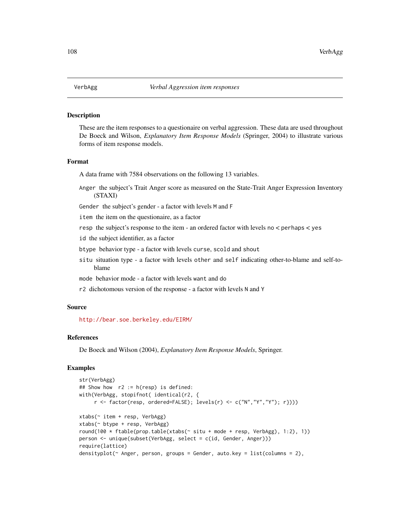#### Description

These are the item responses to a questionaire on verbal aggression. These data are used throughout De Boeck and Wilson, *Explanatory Item Response Models* (Springer, 2004) to illustrate various forms of item response models.

# Format

A data frame with 7584 observations on the following 13 variables.

Anger the subject's Trait Anger score as measured on the State-Trait Anger Expression Inventory (STAXI)

Gender the subject's gender - a factor with levels M and F

item the item on the questionaire, as a factor

resp the subject's response to the item - an ordered factor with levels no < perhaps < yes

id the subject identifier, as a factor

btype behavior type - a factor with levels curse, scold and shout

situ situation type - a factor with levels other and self indicating other-to-blame and self-toblame

mode behavior mode - a factor with levels want and do

r2 dichotomous version of the response - a factor with levels N and Y

#### Source

<http://bear.soe.berkeley.edu/EIRM/>

#### References

De Boeck and Wilson (2004), *Explanatory Item Response Models*, Springer.

```
str(VerbAgg)
## Show how r2 := h(resp) is defined:
with(VerbAgg, stopifnot( identical(r2, {
     r \leftarrow factor(resp, ordered=False); levels(r) \leftarrow c("N", "Y", "Y"); r})))
xtabs(~ item + resp, VerbAgg)
xtabs(~ btype + resp, VerbAgg)
round(100 * ftable(prop.table(xtabs(* situ + mode + resp, VerbAgg), 1:2), 1))
person <- unique(subset(VerbAgg, select = c(id, Gender, Anger)))
require(lattice)
densityplot(~ Anger, person, groups = Gender, auto.key = list(columns = 2),
```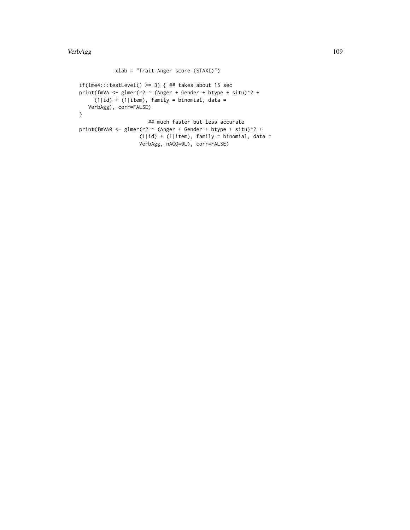```
xlab = "Trait Anger score (STAXI)")
if(lme4::testLevel() \ge 3) { #t takes about 15 sec}print(fmVA <- glmer(r2 \sim (Anger + Gender + btype + situ)^2 +
     (1|id) + (1|item), family = binomial, data =
   VerbAgg), corr=FALSE)
}
                       ## much faster but less accurate
print(fmVA0 \leq glmer(r2 \sim (Anger + Gender + btype + situ)^2 +(1|id) + (1|item), family = binomial, data =
                    VerbAgg, nAGQ=0L), corr=FALSE)
```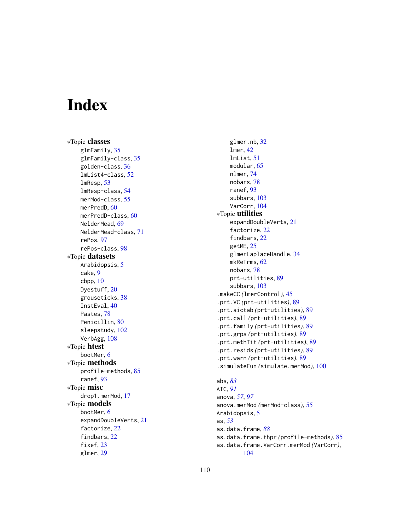# **Index**

∗Topic classes glmFamily , [35](#page-34-0) glmFamily-class , [35](#page-34-0) golden-class , [36](#page-35-0) lmList4-class , [52](#page-51-0) lmResp , [53](#page-52-0) lmResp-class , [54](#page-53-0) merMod-class, [55](#page-54-0) merPredD, [60](#page-59-0) merPredD-class , [60](#page-59-0) NelderMead, [69](#page-68-0) NelderMead-class , [71](#page-70-0) rePos , [97](#page-96-0) rePos-class , [98](#page-97-0) ∗Topic datasets Arabidopsis, [5](#page-4-0) cake , [9](#page-8-0) cbpp , [10](#page-9-0) Dyestuff, [20](#page-19-0) grouseticks , [38](#page-37-0) InstEval , [40](#page-39-0) Pastes, [78](#page-77-0) Penicillin, [80](#page-79-0) sleepstudy , [102](#page-101-0) VerbAgg, [108](#page-107-0) ∗Topic htest bootMer , [6](#page-5-0) ∗Topic methods profile-methods , [85](#page-84-0) ranef , [93](#page-92-0) ∗Topic misc drop1.merMod , [17](#page-16-0) ∗Topic models bootMer , [6](#page-5-0) expandDoubleVerts , [21](#page-20-0) factorize , [22](#page-21-0) findbars , [22](#page-21-0) fixef, [23](#page-22-0) glmer , [29](#page-28-0)

glmer.nb, [32](#page-31-0) lmer , [42](#page-41-0) lmList , [51](#page-50-0) modular , [65](#page-64-0) nlmer , [74](#page-73-0) nobars , [78](#page-77-0) ranef , [93](#page-92-0) subbars , [103](#page-102-0) VarCorr, [104](#page-103-0) ∗Topic utilities expandDoubleVerts , [21](#page-20-0) factorize, [22](#page-21-0) findbars , [22](#page-21-0) getME , [25](#page-24-0) glmerLaplaceHandle, [34](#page-33-0) mkReTrms, [62](#page-61-0) nobars , [78](#page-77-0) prt-utilities , [89](#page-88-0) subbars , [103](#page-102-0) .makeCC *(*lmerControl *)* , [45](#page-44-0) .prt.VC *(*prt-utilities *)* , [89](#page-88-0) .prt.aictab *(*prt-utilities *)* , [89](#page-88-0) .prt.call *(*prt-utilities *)* , [89](#page-88-0) .prt.family *(*prt-utilities *)* , [89](#page-88-0) .prt.grps *(*prt-utilities *)* , [89](#page-88-0) .prt.methTit *(*prt-utilities *)* , [89](#page-88-0) .prt.resids *(*prt-utilities *)* , [89](#page-88-0) .prt.warn *(*prt-utilities *)* , [89](#page-88-0) .simulateFun *(*simulate.merMod *)* , [100](#page-99-0) abs , *[83](#page-82-0)* AIC , *[91](#page-90-0)* anova , *[57](#page-56-0)* , *[97](#page-96-0)*

anova.merMod *(*merMod-class *)* , [55](#page-54-0) Arabidopsis, [5](#page-4-0) as , *[53](#page-52-0)* as.data.frame , *[88](#page-87-0)* as.data.frame.thpr *(*profile-methods *)* , [85](#page-84-0) as.data.frame.VarCorr.merMod *(*VarCorr *)* , [104](#page-103-0)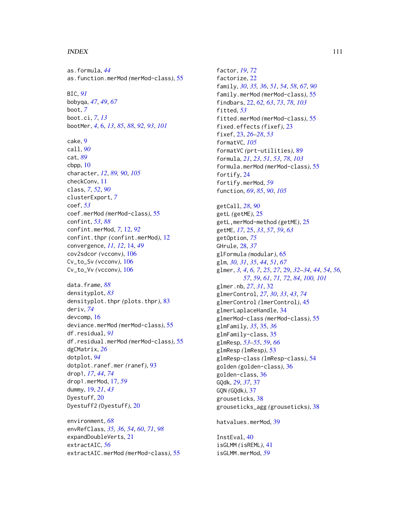### INDEX 111

as.formula, *[44](#page-43-0)* as.function.merMod *(*merMod-class*)*, [55](#page-54-0) BIC, *[91](#page-90-0)* bobyqa, *[47](#page-46-0)*, *[49](#page-48-0)*, *[67](#page-66-0)* boot, *[7](#page-6-0)* boot.ci, *[7](#page-6-0)*, *[13](#page-12-0)* bootMer, *[4](#page-3-0)*, [6,](#page-5-0) *[13](#page-12-0)*, *[85](#page-84-0)*, *[88](#page-87-0)*, *[92,](#page-91-0) [93](#page-92-0)*, *[101](#page-100-0)* cake, [9](#page-8-0) call, *[90](#page-89-0)* cat, *[89](#page-88-0)*  $cbpp, 10$  $cbpp, 10$ character, *[12](#page-11-0)*, *[89,](#page-88-0) [90](#page-89-0)*, *[105](#page-104-0)* checkConv, [11](#page-10-0) class, *[7](#page-6-0)*, *[52](#page-51-0)*, *[90](#page-89-0)* clusterExport, *[7](#page-6-0)* coef, *[53](#page-52-0)* coef.merMod *(*merMod-class*)*, [55](#page-54-0) confint, *[53](#page-52-0)*, *[88](#page-87-0)* confint.merMod, *[7](#page-6-0)*, [12,](#page-11-0) *[92](#page-91-0)* confint.thpr *(*confint.merMod*)*, [12](#page-11-0) convergence, *[11,](#page-10-0) [12](#page-11-0)*, [14,](#page-13-0) *[49](#page-48-0)* cov2sdcor *(*vcconv*)*, [106](#page-105-0) Cv\_to\_Sv *(*vcconv*)*, [106](#page-105-0) Cv\_to\_Vv *(*vcconv*)*, [106](#page-105-0) data.frame, *[88](#page-87-0)*

densityplot, *[83](#page-82-0)* densityplot.thpr *(*plots.thpr*)*, [83](#page-82-0) deriv, *[74](#page-73-0)* devcomp, [16](#page-15-0) deviance.merMod *(*merMod-class*)*, [55](#page-54-0) df.residual, *[91](#page-90-0)* df.residual.merMod *(*merMod-class*)*, [55](#page-54-0) dgCMatrix, *[26](#page-25-0)* dotplot, *[94](#page-93-0)* dotplot.ranef.mer *(*ranef*)*, [93](#page-92-0) drop1, *[17](#page-16-0)*, *[44](#page-43-0)*, *[74](#page-73-0)* drop1.merMod, [17,](#page-16-0) *[59](#page-58-0)* dummy, [19,](#page-18-0) *[21](#page-20-0)*, *[43](#page-42-0)* Dyestuff, [20](#page-19-0) Dyestuff2 *(*Dyestuff*)*, [20](#page-19-0)

environment, *[68](#page-67-0)* envRefClass, *[35,](#page-34-0) [36](#page-35-0)*, *[54](#page-53-0)*, *[60](#page-59-0)*, *[71](#page-70-0)*, *[98](#page-97-0)* expandDoubleVerts, [21](#page-20-0) extractAIC, *[56](#page-55-0)* extractAIC.merMod *(*merMod-class*)*, [55](#page-54-0)

factor, *[19](#page-18-0)*, *[72](#page-71-0)* factorize, [22](#page-21-0) family, *[30](#page-29-0)*, *[35,](#page-34-0) [36](#page-35-0)*, *[51](#page-50-0)*, *[54](#page-53-0)*, *[58](#page-57-0)*, *[67](#page-66-0)*, *[90](#page-89-0)* family.merMod *(*merMod-class*)*, [55](#page-54-0) findbars, [22,](#page-21-0) *[62,](#page-61-0) [63](#page-62-0)*, *[73](#page-72-0)*, *[78](#page-77-0)*, *[103](#page-102-0)* fitted, *[53](#page-52-0)* fitted.merMod *(*merMod-class*)*, [55](#page-54-0) fixed.effects *(*fixef*)*, [23](#page-22-0) fixef, [23,](#page-22-0) *[26](#page-25-0)[–28](#page-27-0)*, *[53](#page-52-0)* formatVC, *[105](#page-104-0)* formatVC *(*prt-utilities*)*, [89](#page-88-0) formula, *[21](#page-20-0)*, *[23](#page-22-0)*, *[51](#page-50-0)*, *[53](#page-52-0)*, *[78](#page-77-0)*, *[103](#page-102-0)* formula.merMod *(*merMod-class*)*, [55](#page-54-0) fortify, [24](#page-23-0) fortify.merMod, *[59](#page-58-0)* function, *[69](#page-68-0)*, *[85](#page-84-0)*, *[90](#page-89-0)*, *[105](#page-104-0)* getCall, *[28](#page-27-0)*, *[90](#page-89-0)* getL *(*getME*)*, [25](#page-24-0) getL,merMod-method *(*getME*)*, [25](#page-24-0) getME, *[17](#page-16-0)*, [25,](#page-24-0) *[33](#page-32-0)*, *[57](#page-56-0)*, *[59](#page-58-0)*, *[63](#page-62-0)* getOption, *[75](#page-74-0)* GHrule, [28,](#page-27-0) *[37](#page-36-0)* glFormula *(*modular*)*, [65](#page-64-0) glm, *[30,](#page-29-0) [31](#page-30-0)*, *[35](#page-34-0)*, *[44](#page-43-0)*, *[51](#page-50-0)*, *[67](#page-66-0)* glmer, *[3,](#page-2-0) [4](#page-3-0)*, *[6,](#page-5-0) [7](#page-6-0)*, *[25](#page-24-0)*, *[27](#page-26-0)*, [29,](#page-28-0) *[32](#page-31-0)[–34](#page-33-0)*, *[44](#page-43-0)*, *[54](#page-53-0)*, *[56,](#page-55-0) [57](#page-56-0)*, *[59](#page-58-0)*, *[61](#page-60-0)*, *[71,](#page-70-0) [72](#page-71-0)*, *[84](#page-83-0)*, *[100,](#page-99-0) [101](#page-100-0)* glmer.nb, *[27](#page-26-0)*, *[31](#page-30-0)*, [32](#page-31-0) glmerControl, *[27](#page-26-0)*, *[30](#page-29-0)*, *[33](#page-32-0)*, *[43](#page-42-0)*, *[74](#page-73-0)* glmerControl *(*lmerControl*)*, [45](#page-44-0) glmerLaplaceHandle, [34](#page-33-0) glmerMod-class *(*merMod-class*)*, [55](#page-54-0) glmFamily, *[35](#page-34-0)*, [35,](#page-34-0) *[36](#page-35-0)* glmFamily-class, [35](#page-34-0) glmResp, *[53](#page-52-0)[–55](#page-54-0)*, *[59](#page-58-0)*, *[66](#page-65-0)* glmResp *(*lmResp*)*, [53](#page-52-0) glmResp-class *(*lmResp-class*)*, [54](#page-53-0) golden *(*golden-class*)*, [36](#page-35-0) golden-class, [36](#page-35-0) GQdk, *[29](#page-28-0)*, *[37](#page-36-0)*, [37](#page-36-0) GQN *(*GQdk*)*, [37](#page-36-0) grouseticks, [38](#page-37-0) grouseticks\_agg *(*grouseticks*)*, [38](#page-37-0) hatvalues.merMod, [39](#page-38-0)

InstEval, [40](#page-39-0) isGLMM *(*isREML*)*, [41](#page-40-0) isGLMM.merMod, *[59](#page-58-0)*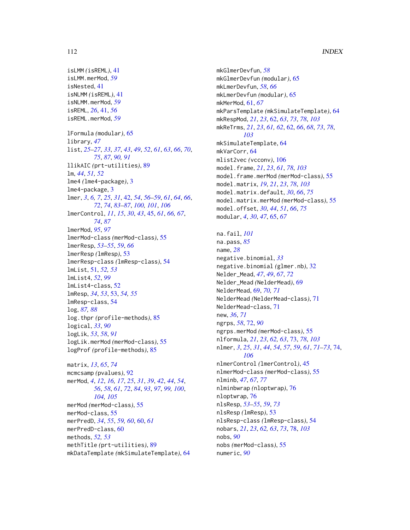```
isLMM (isREML), 41
isLMM.merMod, 59
isNested, 41
isNLMM (isREML), 41
isNLMM.merMod, 59
isREML, 26, 41, 56
isREML.merMod, 59
lFormula (modular), 65
library, 47
list, 25–27, 33, 37, 43, 49, 52, 61, 63, 66, 70,
         75, 87, 90, 91
llikAIC (prt-utilities), 89
lm, 44, 51, 52
lme4 (lme4-package), 3
lme4-package, 3
lmer, 3, 6, 7, 25, 31, 42, 54, 56–59, 61, 64, 66,
         72, 74, 83–87, 100, 101, 106
lmerControl, 11, 15, 30, 43, 45, 61, 66, 67,
         74, 87
lmerMod, 95, 97
lmerMod-class (merMod-class), 55
lmerResp, 53–55, 59, 66
lmerResp (lmResp), 53
lmerResp-class (lmResp-class), 54
lmList, 51, 52, 53
lmList4, 52, 99
lmList4-class, 52
lmResp, 34, 53, 53, 54, 55
lmResp-class, 54
log, 87, 88
log.thpr (profile-methods), 85
logical, 33, 90
logLik, 53, 58, 91
logLik.merMod (merMod-class), 55
logProf (profile-methods), 85
matrix, 13, 65, 74
mcmcsamp (pvalues), 92
merMod, 4, 12, 16, 17, 25, 31, 39, 42, 44, 54,
         56, 58, 61, 72, 84, 93, 97, 99, 100,
         104, 105
merMod (merMod-class), 55
merMod-class, 55
merPredD, 34, 55, 59, 60, 60, 61
merPredD-class, 60
```
methods, *[52,](#page-51-0) [53](#page-52-0)*

methTitle *(*prt-utilities*)*, [89](#page-88-0)

mkDataTemplate *(*mkSimulateTemplate*)*, [64](#page-63-0)

mkGlmerDevfun, *[58](#page-57-0)* mkGlmerDevfun *(*modular*)*, [65](#page-64-0) mkLmerDevfun, *[58](#page-57-0)*, *[66](#page-65-0)* mkLmerDevfun *(*modular*)*, [65](#page-64-0) mkMerMod, [61,](#page-60-0) *[67](#page-66-0)* mkParsTemplate *(*mkSimulateTemplate*)*, [64](#page-63-0) mkRespMod, *[21](#page-20-0)*, *[23](#page-22-0)*, [62,](#page-61-0) *[63](#page-62-0)*, *[73](#page-72-0)*, *[78](#page-77-0)*, *[103](#page-102-0)* mkReTrms, *[21](#page-20-0)*, *[23](#page-22-0)*, *[61,](#page-60-0) [62](#page-61-0)*, [62,](#page-61-0) *[66](#page-65-0)*, *[68](#page-67-0)*, *[73](#page-72-0)*, *[78](#page-77-0)*, *[103](#page-102-0)* mkSimulateTemplate, [64](#page-63-0) mkVarCorr, [64](#page-63-0) mlist2vec *(*vcconv*)*, [106](#page-105-0) model.frame, *[21](#page-20-0)*, *[23](#page-22-0)*, *[61](#page-60-0)*, *[78](#page-77-0)*, *[103](#page-102-0)* model.frame.merMod *(*merMod-class*)*, [55](#page-54-0) model.matrix, *[19](#page-18-0)*, *[21](#page-20-0)*, *[23](#page-22-0)*, *[78](#page-77-0)*, *[103](#page-102-0)* model.matrix.default, *[30](#page-29-0)*, *[66](#page-65-0)*, *[75](#page-74-0)* model.matrix.merMod *(*merMod-class*)*, [55](#page-54-0) model.offset, *[30](#page-29-0)*, *[44](#page-43-0)*, *[51](#page-50-0)*, *[66](#page-65-0)*, *[75](#page-74-0)* modular, *[4](#page-3-0)*, *[30](#page-29-0)*, *[47](#page-46-0)*, [65,](#page-64-0) *[67](#page-66-0)* na.fail, *[101](#page-100-0)* na.pass, *[85](#page-84-0)* name, *[28](#page-27-0)* negative.binomial, *[33](#page-32-0)* negative.binomial *(*glmer.nb*)*, [32](#page-31-0) Nelder\_Mead, *[47](#page-46-0)*, *[49](#page-48-0)*, *[67](#page-66-0)*, *[72](#page-71-0)* Nelder\_Mead *(*NelderMead*)*, [69](#page-68-0) NelderMead, [69,](#page-68-0) *[70,](#page-69-0) [71](#page-70-0)* NelderMead *(*NelderMead-class*)*, [71](#page-70-0) NelderMead-class, [71](#page-70-0) new, *[36](#page-35-0)*, *[71](#page-70-0)* ngrps, *[58](#page-57-0)*, [72,](#page-71-0) *[90](#page-89-0)* ngrps.merMod *(*merMod-class*)*, [55](#page-54-0) nlformula, *[21](#page-20-0)*, *[23](#page-22-0)*, *[62,](#page-61-0) [63](#page-62-0)*, [73,](#page-72-0) *[78](#page-77-0)*, *[103](#page-102-0)* nlmer, *[3](#page-2-0)*, *[25](#page-24-0)*, *[31](#page-30-0)*, *[44](#page-43-0)*, *[54](#page-53-0)*, *[57](#page-56-0)*, *[59](#page-58-0)*, *[61](#page-60-0)*, *[71](#page-70-0)[–73](#page-72-0)*, [74,](#page-73-0) *[106](#page-105-0)* nlmerControl *(*lmerControl*)*, [45](#page-44-0) nlmerMod-class *(*merMod-class*)*, [55](#page-54-0) nlminb, *[47](#page-46-0)*, *[67](#page-66-0)*, *[77](#page-76-0)* nlminbwrap *(*nloptwrap*)*, [76](#page-75-0) nloptwrap, [76](#page-75-0) nlsResp, *[53](#page-52-0)[–55](#page-54-0)*, *[59](#page-58-0)*, *[73](#page-72-0)* nlsResp *(*lmResp*)*, [53](#page-52-0) nlsResp-class *(*lmResp-class*)*, [54](#page-53-0)

nobs, *[90](#page-89-0)* nobs *(*merMod-class*)*, [55](#page-54-0) numeric, *[90](#page-89-0)*

nobars, *[21](#page-20-0)*, *[23](#page-22-0)*, *[62,](#page-61-0) [63](#page-62-0)*, *[73](#page-72-0)*, [78,](#page-77-0) *[103](#page-102-0)*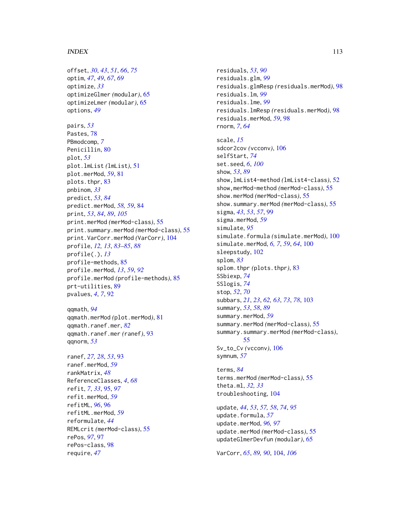#### INDEX 113

offset, *[30](#page-29-0)*, *[43](#page-42-0)*, *[51](#page-50-0)*, *[66](#page-65-0)*, *[75](#page-74-0)* optim, *[47](#page-46-0)*, *[49](#page-48-0)*, *[67](#page-66-0)*, *[69](#page-68-0)* optimize, *[33](#page-32-0)* optimizeGlmer *(*modular*)*, [65](#page-64-0) optimizeLmer *(*modular*)*, [65](#page-64-0) options, *[49](#page-48-0)* pairs, *[53](#page-52-0)* Pastes, [78](#page-77-0) PBmodcomp, *[7](#page-6-0)* Penicillin, [80](#page-79-0) plot, *[53](#page-52-0)* plot.lmList *(*lmList*)*, [51](#page-50-0) plot.merMod, *[59](#page-58-0)*, [81](#page-80-0) plots.thpr, [83](#page-82-0) pnbinom, *[33](#page-32-0)* predict, *[53](#page-52-0)*, *[84](#page-83-0)* predict.merMod, *[58,](#page-57-0) [59](#page-58-0)*, [84](#page-83-0) print, *[53](#page-52-0)*, *[84](#page-83-0)*, *[89](#page-88-0)*, *[105](#page-104-0)* print.merMod *(*merMod-class*)*, [55](#page-54-0) print.summary.merMod *(*merMod-class*)*, [55](#page-54-0) print.VarCorr.merMod *(*VarCorr*)*, [104](#page-103-0) profile, *[12,](#page-11-0) [13](#page-12-0)*, *[83](#page-82-0)[–85](#page-84-0)*, *[88](#page-87-0)* profile(.), *[13](#page-12-0)* profile-methods, [85](#page-84-0) profile.merMod, *[13](#page-12-0)*, *[59](#page-58-0)*, *[92](#page-91-0)* profile.merMod *(*profile-methods*)*, [85](#page-84-0) prt-utilities, [89](#page-88-0) pvalues, *[4](#page-3-0)*, *[7](#page-6-0)*, [92](#page-91-0) qqmath, *[94](#page-93-0)* qqmath.merMod *(*plot.merMod*)*, [81](#page-80-0) qqmath.ranef.mer, *[82](#page-81-0)* qqmath.ranef.mer *(*ranef*)*, [93](#page-92-0)

ranef, *[27,](#page-26-0) [28](#page-27-0)*, *[53](#page-52-0)*, [93](#page-92-0) ranef.merMod, *[59](#page-58-0)* rankMatrix, *[48](#page-47-0)* ReferenceClasses, *[4](#page-3-0)*, *[68](#page-67-0)* refit, *[7](#page-6-0)*, *[33](#page-32-0)*, [95,](#page-94-0) *[97](#page-96-0)* refit.merMod, *[59](#page-58-0)* refitML, *[96](#page-95-0)*, [96](#page-95-0) refitML.merMod, *[59](#page-58-0)* reformulate, *[44](#page-43-0)* REMLcrit *(*merMod-class*)*, [55](#page-54-0) rePos, *[97](#page-96-0)*, [97](#page-96-0) rePos-class, [98](#page-97-0) require, *[47](#page-46-0)*

qqnorm, *[53](#page-52-0)*

residuals, *[53](#page-52-0)*, *[90](#page-89-0)* residuals.glm, *[99](#page-98-0)* residuals.glmResp *(*residuals.merMod*)*, [98](#page-97-0) residuals.lm, *[99](#page-98-0)* residuals.lme, *[99](#page-98-0)* residuals.lmResp *(*residuals.merMod*)*, [98](#page-97-0) residuals.merMod, *[59](#page-58-0)*, [98](#page-97-0) rnorm, *[7](#page-6-0)*, *[64](#page-63-0)*

scale, *[15](#page-14-0)* sdcor2cov *(*vcconv*)*, [106](#page-105-0) selfStart, *[74](#page-73-0)* set.seed, *[6](#page-5-0)*, *[100](#page-99-0)* show, *[53](#page-52-0)*, *[89](#page-88-0)* show,lmList4-method *(*lmList4-class*)*, [52](#page-51-0) show,merMod-method *(*merMod-class*)*, [55](#page-54-0) show.merMod *(*merMod-class*)*, [55](#page-54-0) show.summary.merMod *(*merMod-class*)*, [55](#page-54-0) sigma, *[43](#page-42-0)*, *[53](#page-52-0)*, *[57](#page-56-0)*, [99](#page-98-0) sigma.merMod, *[59](#page-58-0)* simulate, *[95](#page-94-0)* simulate.formula *(*simulate.merMod*)*, [100](#page-99-0) simulate.merMod, *[6,](#page-5-0) [7](#page-6-0)*, *[59](#page-58-0)*, *[64](#page-63-0)*, [100](#page-99-0) sleepstudy, [102](#page-101-0) splom, *[83](#page-82-0)* splom.thpr *(*plots.thpr*)*, [83](#page-82-0) SSbiexp, *[74](#page-73-0)* SSlogis, *[74](#page-73-0)* stop, *[52](#page-51-0)*, *[70](#page-69-0)* subbars, *[21](#page-20-0)*, *[23](#page-22-0)*, *[62,](#page-61-0) [63](#page-62-0)*, *[73](#page-72-0)*, *[78](#page-77-0)*, [103](#page-102-0) summary, *[53](#page-52-0)*, *[58](#page-57-0)*, *[89](#page-88-0)* summary.merMod, *[59](#page-58-0)* summary.merMod *(*merMod-class*)*, [55](#page-54-0) summary.summary.merMod *(*merMod-class*)*, [55](#page-54-0) Sv\_to\_Cv *(*vcconv*)*, [106](#page-105-0) symnum, *[57](#page-56-0)*

terms, *[84](#page-83-0)* terms.merMod *(*merMod-class*)*, [55](#page-54-0) theta.ml, *[32,](#page-31-0) [33](#page-32-0)* troubleshooting, [104](#page-103-0)

update, *[44](#page-43-0)*, *[53](#page-52-0)*, *[57,](#page-56-0) [58](#page-57-0)*, *[74](#page-73-0)*, *[95](#page-94-0)* update.formula, *[57](#page-56-0)* update.merMod, *[96,](#page-95-0) [97](#page-96-0)* update.merMod *(*merMod-class*)*, [55](#page-54-0) updateGlmerDevfun *(*modular*)*, [65](#page-64-0)

VarCorr, *[65](#page-64-0)*, *[89,](#page-88-0) [90](#page-89-0)*, [104,](#page-103-0) *[106](#page-105-0)*